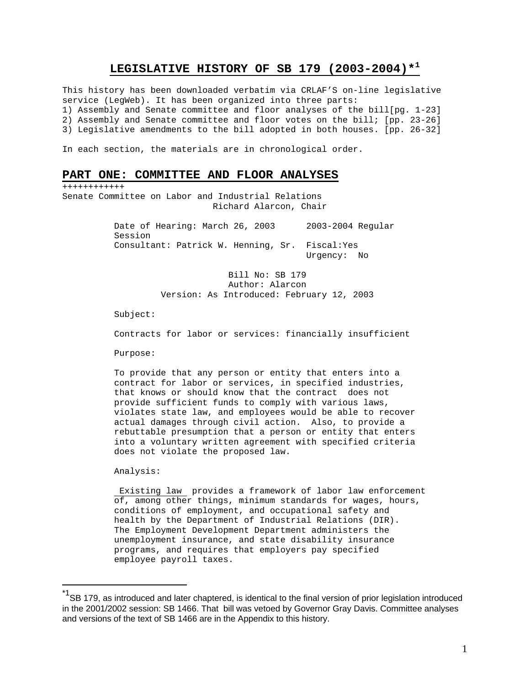# **LEGISLATIVE HISTORY OF SB 179 (2003-2004)\*<sup>1</sup>**

This history has been downloaded verbatim via CRLAF'S on-line legislative service (LegWeb). It has been organized into three parts: 1) Assembly and Senate committee and floor analyses of the bill[pg. 1-23] 2) Assembly and Senate committee and floor votes on the bill; [pp. 23-26] 3) Legislative amendments to the bill adopted in both houses. [pp. 26-32]

In each section, the materials are in chronological order.

## **PART ONE: COMMITTEE AND FLOOR ANALYSES**

++++++++++++ Senate Committee on Labor and Industrial Relations Richard Alarcon, Chair Date of Hearing: March 26, 2003 2003-2004 Regular Session Consultant: Patrick W. Henning, Sr. Fiscal:Yes Urgency: No

> Bill No: SB 179 Author: Alarcon Version: As Introduced: February 12, 2003

Subject:

Contracts for labor or services: financially insufficient

Purpose:

 To provide that any person or entity that enters into a contract for labor or services, in specified industries, that knows or should know that the contract does not provide sufficient funds to comply with various laws, violates state law, and employees would be able to recover actual damages through civil action. Also, to provide a rebuttable presumption that a person or entity that enters into a voluntary written agreement with specified criteria does not violate the proposed law.

Analysis:

 $\overline{a}$ 

 Existing law provides a framework of labor law enforcement of, among other things, minimum standards for wages, hours, conditions of employment, and occupational safety and health by the Department of Industrial Relations (DIR). The Employment Development Department administers the unemployment insurance, and state disability insurance programs, and requires that employers pay specified employee payroll taxes.

 $^{\ast}$  SB 179, as introduced and later chaptered, is identical to the final version of prior legislation introduced in the 2001/2002 session: SB 1466. That bill was vetoed by Governor Gray Davis. Committee analyses and versions of the text of SB 1466 are in the Appendix to this history.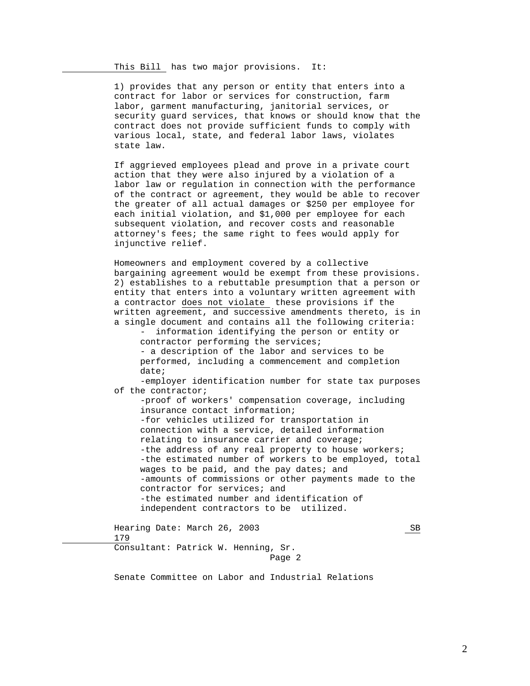This Bill has two major provisions. It:

 1) provides that any person or entity that enters into a contract for labor or services for construction, farm labor, garment manufacturing, janitorial services, or security guard services, that knows or should know that the contract does not provide sufficient funds to comply with various local, state, and federal labor laws, violates state law.

 If aggrieved employees plead and prove in a private court action that they were also injured by a violation of a labor law or regulation in connection with the performance of the contract or agreement, they would be able to recover the greater of all actual damages or \$250 per employee for each initial violation, and \$1,000 per employee for each subsequent violation, and recover costs and reasonable attorney's fees; the same right to fees would apply for injunctive relief.

 Homeowners and employment covered by a collective bargaining agreement would be exempt from these provisions. 2) establishes to a rebuttable presumption that a person or entity that enters into a voluntary written agreement with a contractor does not violate these provisions if the written agreement, and successive amendments thereto, is in a single document and contains all the following criteria: - information identifying the person or entity or contractor performing the services; - a description of the labor and services to be performed, including a commencement and completion date; -employer identification number for state tax purposes of the contractor; -proof of workers' compensation coverage, including insurance contact information; -for vehicles utilized for transportation in connection with a service, detailed information relating to insurance carrier and coverage; -the address of any real property to house workers; -the estimated number of workers to be employed, total wages to be paid, and the pay dates; and -amounts of commissions or other payments made to the contractor for services; and -the estimated number and identification of independent contractors to be utilized.

Hearing Date: March 26, 2003 SB 179

Consultant: Patrick W. Henning, Sr.

Page 2

Senate Committee on Labor and Industrial Relations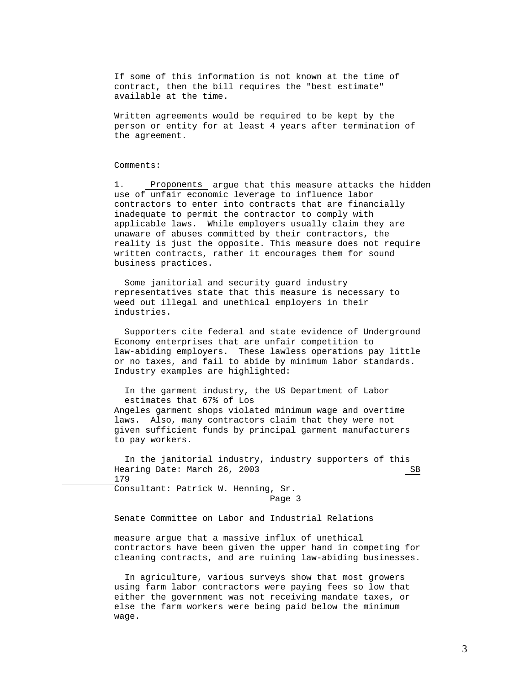If some of this information is not known at the time of contract, then the bill requires the "best estimate" available at the time.

 Written agreements would be required to be kept by the person or entity for at least 4 years after termination of the agreement.

#### Comments:

 1. Proponents argue that this measure attacks the hidden use of unfair economic leverage to influence labor contractors to enter into contracts that are financially inadequate to permit the contractor to comply with applicable laws. While employers usually claim they are unaware of abuses committed by their contractors, the reality is just the opposite. This measure does not require written contracts, rather it encourages them for sound business practices.

 Some janitorial and security guard industry representatives state that this measure is necessary to weed out illegal and unethical employers in their industries.

 Supporters cite federal and state evidence of Underground Economy enterprises that are unfair competition to law-abiding employers. These lawless operations pay little or no taxes, and fail to abide by minimum labor standards. Industry examples are highlighted:

 In the garment industry, the US Department of Labor estimates that 67% of Los Angeles garment shops violated minimum wage and overtime laws. Also, many contractors claim that they were not given sufficient funds by principal garment manufacturers to pay workers.

 In the janitorial industry, industry supporters of this Hearing Date: March 26, 2003 SB 179 Consultant: Patrick W. Henning, Sr.

Page 3

Senate Committee on Labor and Industrial Relations

 measure argue that a massive influx of unethical contractors have been given the upper hand in competing for cleaning contracts, and are ruining law-abiding businesses.

 In agriculture, various surveys show that most growers using farm labor contractors were paying fees so low that either the government was not receiving mandate taxes, or else the farm workers were being paid below the minimum wage.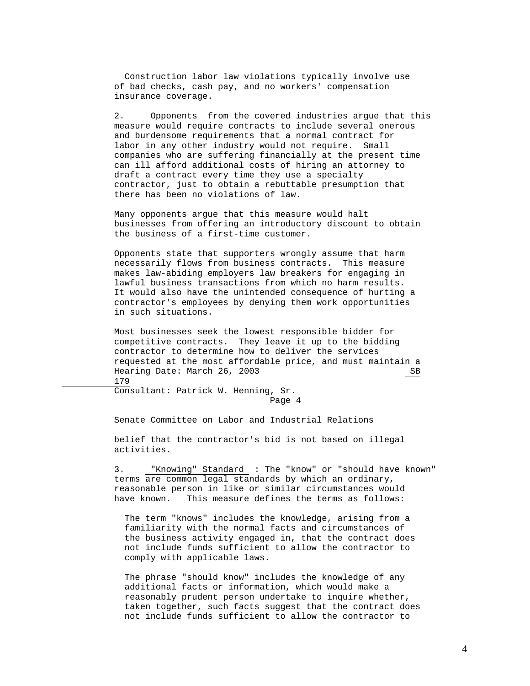Construction labor law violations typically involve use of bad checks, cash pay, and no workers' compensation insurance coverage.

 2. Opponents from the covered industries argue that this measure would require contracts to include several onerous and burdensome requirements that a normal contract for labor in any other industry would not require. Small companies who are suffering financially at the present time can ill afford additional costs of hiring an attorney to draft a contract every time they use a specialty contractor, just to obtain a rebuttable presumption that there has been no violations of law.

 Many opponents argue that this measure would halt businesses from offering an introductory discount to obtain the business of a first-time customer.

 Opponents state that supporters wrongly assume that harm necessarily flows from business contracts. This measure makes law-abiding employers law breakers for engaging in lawful business transactions from which no harm results. It would also have the unintended consequence of hurting a contractor's employees by denying them work opportunities in such situations.

 Most businesses seek the lowest responsible bidder for competitive contracts. They leave it up to the bidding contractor to determine how to deliver the services requested at the most affordable price, and must maintain a Hearing Date: March 26, 2003 SB 179

Consultant: Patrick W. Henning, Sr.

Page 4

Senate Committee on Labor and Industrial Relations

 belief that the contractor's bid is not based on illegal activities.

 3. "Knowing" Standard : The "know" or "should have known" terms are common legal standards by which an ordinary, reasonable person in like or similar circumstances would have known. This measure defines the terms as follows:

 The term "knows" includes the knowledge, arising from a familiarity with the normal facts and circumstances of the business activity engaged in, that the contract does not include funds sufficient to allow the contractor to comply with applicable laws.

 The phrase "should know" includes the knowledge of any additional facts or information, which would make a reasonably prudent person undertake to inquire whether, taken together, such facts suggest that the contract does not include funds sufficient to allow the contractor to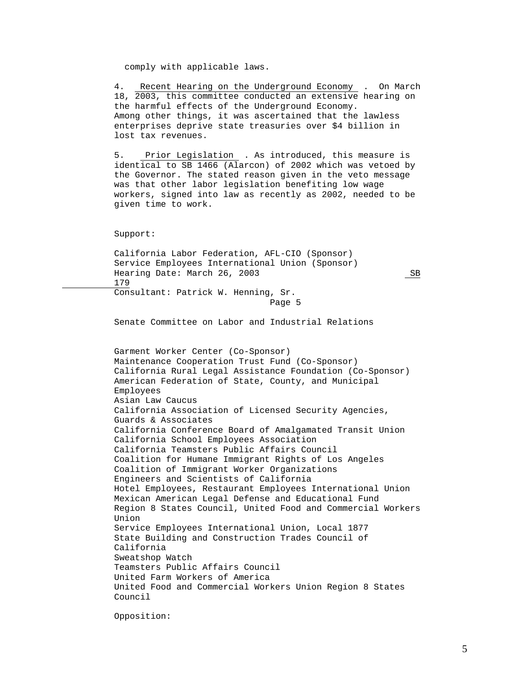comply with applicable laws.

4. Recent Hearing on the Underground Economy . On March 18, 2003, this committee conducted an extensive hearing on the harmful effects of the Underground Economy. Among other things, it was ascertained that the lawless enterprises deprive state treasuries over \$4 billion in lost tax revenues.

 5. Prior Legislation . As introduced, this measure is identical to SB 1466 (Alarcon) of 2002 which was vetoed by the Governor. The stated reason given in the veto message was that other labor legislation benefiting low wage workers, signed into law as recently as 2002, needed to be given time to work.

Support:

 California Labor Federation, AFL-CIO (Sponsor) Service Employees International Union (Sponsor) Hearing Date: March 26, 2003 SB 179 Consultant: Patrick W. Henning, Sr. Page 5

Senate Committee on Labor and Industrial Relations

 Garment Worker Center (Co-Sponsor) Maintenance Cooperation Trust Fund (Co-Sponsor) California Rural Legal Assistance Foundation (Co-Sponsor) American Federation of State, County, and Municipal Employees Asian Law Caucus California Association of Licensed Security Agencies, Guards & Associates California Conference Board of Amalgamated Transit Union California School Employees Association California Teamsters Public Affairs Council Coalition for Humane Immigrant Rights of Los Angeles Coalition of Immigrant Worker Organizations Engineers and Scientists of California Hotel Employees, Restaurant Employees International Union Mexican American Legal Defense and Educational Fund Region 8 States Council, United Food and Commercial Workers Union Service Employees International Union, Local 1877 State Building and Construction Trades Council of California Sweatshop Watch Teamsters Public Affairs Council United Farm Workers of America United Food and Commercial Workers Union Region 8 States Council

Opposition: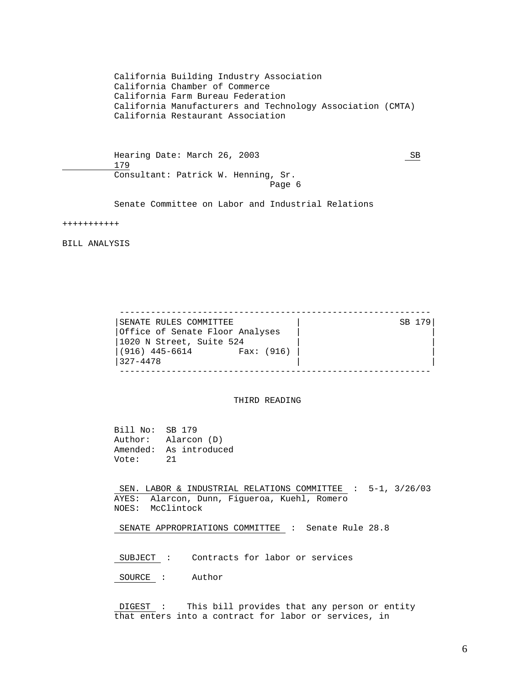California Building Industry Association California Chamber of Commerce California Farm Bureau Federation California Manufacturers and Technology Association (CMTA) California Restaurant Association

Hearing Date: March 26, 2003 SB 179 Consultant: Patrick W. Henning, Sr. Page 6

Senate Committee on Labor and Industrial Relations

+++++++++++

BILL ANALYSIS

 ------------------------------------------------------------ |SENATE RULES COMMITTEE | SENATE SB 179| | Office of Senate Floor Analyses |1020 N Street, Suite 524 | |  $|(916) 445-6614$  Fax: (916) |  $|327-4478$ ------------------------------------------------------------

## THIRD READING

 Bill No: SB 179 Author: Alarcon (D) Amended: As introduced Vote: 21

 SEN. LABOR & INDUSTRIAL RELATIONS COMMITTEE : 5-1, 3/26/03 AYES: Alarcon, Dunn, Figueroa, Kuehl, Romero NOES: McClintock

SENATE APPROPRIATIONS COMMITTEE : Senate Rule 28.8

SUBJECT : Contracts for labor or services

SOURCE : Author

 DIGEST : This bill provides that any person or entity that enters into a contract for labor or services, in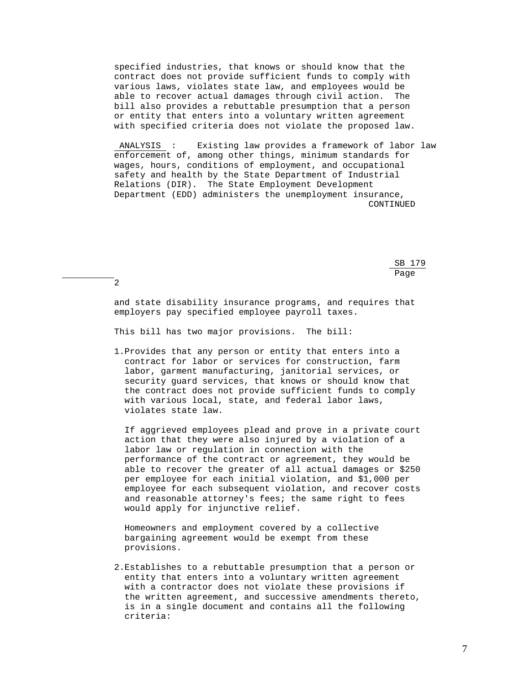specified industries, that knows or should know that the contract does not provide sufficient funds to comply with various laws, violates state law, and employees would be able to recover actual damages through civil action. The bill also provides a rebuttable presumption that a person or entity that enters into a voluntary written agreement with specified criteria does not violate the proposed law.

 ANALYSIS : Existing law provides a framework of labor law enforcement of, among other things, minimum standards for wages, hours, conditions of employment, and occupational safety and health by the State Department of Industrial Relations (DIR). The State Employment Development Department (EDD) administers the unemployment insurance, CONTINUED

SB 179 <u>Page of the control of the control of the control of the control of the control of the control of the control of the control of the control of the control of the control of the control of the control of the control of the</u>

2

 and state disability insurance programs, and requires that employers pay specified employee payroll taxes.

This bill has two major provisions. The bill:

 1.Provides that any person or entity that enters into a contract for labor or services for construction, farm labor, garment manufacturing, janitorial services, or security guard services, that knows or should know that the contract does not provide sufficient funds to comply with various local, state, and federal labor laws, violates state law.

 If aggrieved employees plead and prove in a private court action that they were also injured by a violation of a labor law or regulation in connection with the performance of the contract or agreement, they would be able to recover the greater of all actual damages or \$250 per employee for each initial violation, and \$1,000 per employee for each subsequent violation, and recover costs and reasonable attorney's fees; the same right to fees would apply for injunctive relief.

 Homeowners and employment covered by a collective bargaining agreement would be exempt from these provisions.

 2.Establishes to a rebuttable presumption that a person or entity that enters into a voluntary written agreement with a contractor does not violate these provisions if the written agreement, and successive amendments thereto, is in a single document and contains all the following criteria: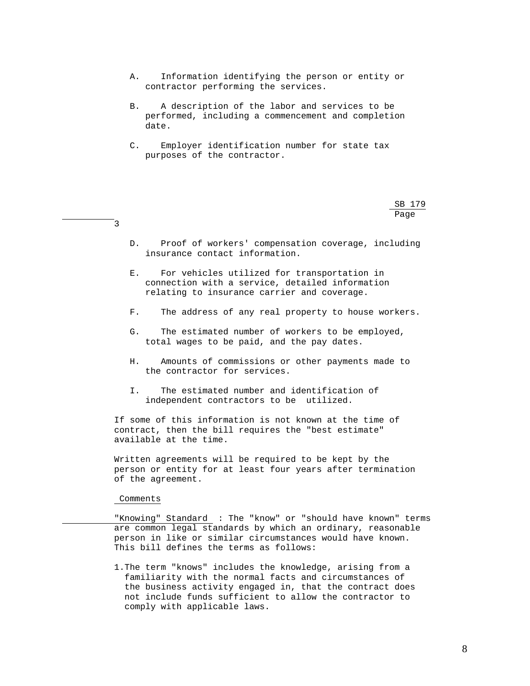- A. Information identifying the person or entity or contractor performing the services.
- B. A description of the labor and services to be performed, including a commencement and completion date.
- C. Employer identification number for state tax purposes of the contractor.

SB 179 nd a bhliain 1992 agus an t-Iomraidh ann an t-Iomraidh ann an t-Iomraidh ann an t-Iomraidh ann an t-Iomraidh a

- D. Proof of workers' compensation coverage, including insurance contact information.
- E. For vehicles utilized for transportation in connection with a service, detailed information relating to insurance carrier and coverage.
- F. The address of any real property to house workers.
- G. The estimated number of workers to be employed, total wages to be paid, and the pay dates.
- H. Amounts of commissions or other payments made to the contractor for services.
- I. The estimated number and identification of independent contractors to be utilized.

 If some of this information is not known at the time of contract, then the bill requires the "best estimate" available at the time.

 Written agreements will be required to be kept by the person or entity for at least four years after termination of the agreement.

Comments

3

 "Knowing" Standard : The "know" or "should have known" terms are common legal standards by which an ordinary, reasonable person in like or similar circumstances would have known. This bill defines the terms as follows:

 1.The term "knows" includes the knowledge, arising from a familiarity with the normal facts and circumstances of the business activity engaged in, that the contract does not include funds sufficient to allow the contractor to comply with applicable laws.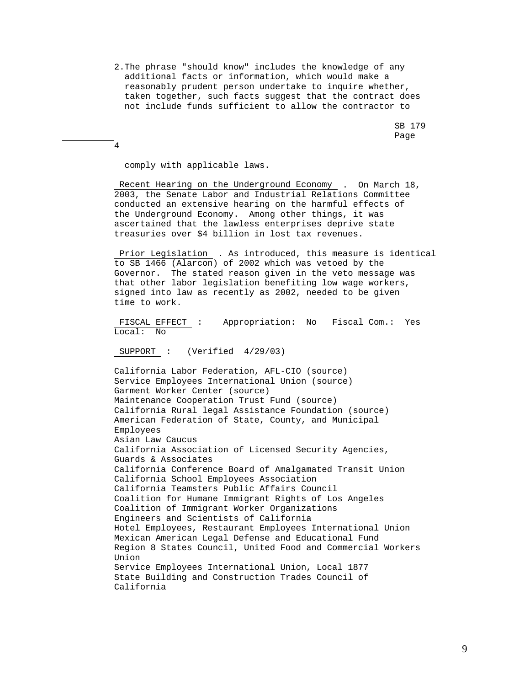2.The phrase "should know" includes the knowledge of any additional facts or information, which would make a reasonably prudent person undertake to inquire whether, taken together, such facts suggest that the contract does not include funds sufficient to allow the contractor to

SB 179 <u>Page of the control of the control of the control of the control of the control of the control of the control of the control of the control of the control of the control of the control of the control of the control of the</u>

comply with applicable laws.

4

 Recent Hearing on the Underground Economy . On March 18, 2003, the Senate Labor and Industrial Relations Committee conducted an extensive hearing on the harmful effects of the Underground Economy. Among other things, it was ascertained that the lawless enterprises deprive state treasuries over \$4 billion in lost tax revenues.

 Prior Legislation . As introduced, this measure is identical to SB 1466 (Alarcon) of 2002 which was vetoed by the Governor. The stated reason given in the veto message was that other labor legislation benefiting low wage workers, signed into law as recently as 2002, needed to be given time to work.

 FISCAL EFFECT : Appropriation: No Fiscal Com.: Yes Local: No

SUPPORT : (Verified 4/29/03)

 California Labor Federation, AFL-CIO (source) Service Employees International Union (source) Garment Worker Center (source) Maintenance Cooperation Trust Fund (source) California Rural legal Assistance Foundation (source) American Federation of State, County, and Municipal Employees Asian Law Caucus California Association of Licensed Security Agencies, Guards & Associates California Conference Board of Amalgamated Transit Union California School Employees Association California Teamsters Public Affairs Council Coalition for Humane Immigrant Rights of Los Angeles Coalition of Immigrant Worker Organizations Engineers and Scientists of California Hotel Employees, Restaurant Employees International Union Mexican American Legal Defense and Educational Fund Region 8 States Council, United Food and Commercial Workers Union Service Employees International Union, Local 1877 State Building and Construction Trades Council of California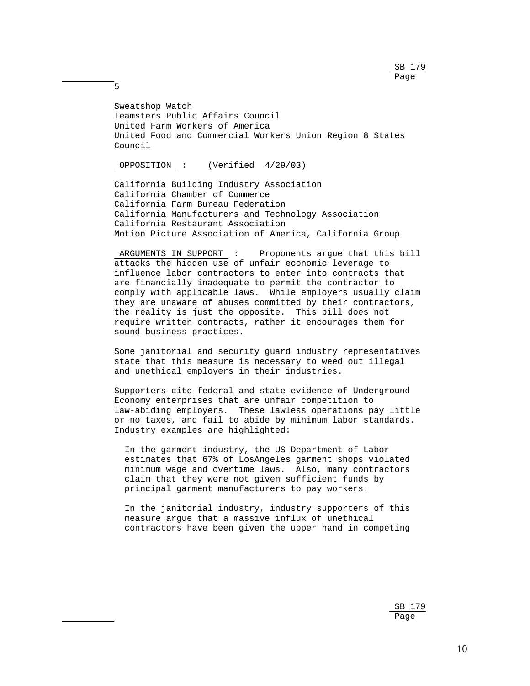Sweatshop Watch Teamsters Public Affairs Council United Farm Workers of America United Food and Commercial Workers Union Region 8 States Council

OPPOSITION : (Verified 4/29/03)

5

 California Building Industry Association California Chamber of Commerce California Farm Bureau Federation California Manufacturers and Technology Association California Restaurant Association Motion Picture Association of America, California Group

 ARGUMENTS IN SUPPORT : Proponents argue that this bill attacks the hidden use of unfair economic leverage to influence labor contractors to enter into contracts that are financially inadequate to permit the contractor to comply with applicable laws. While employers usually claim they are unaware of abuses committed by their contractors, the reality is just the opposite. This bill does not require written contracts, rather it encourages them for sound business practices.

 Some janitorial and security guard industry representatives state that this measure is necessary to weed out illegal and unethical employers in their industries.

 Supporters cite federal and state evidence of Underground Economy enterprises that are unfair competition to law-abiding employers. These lawless operations pay little or no taxes, and fail to abide by minimum labor standards. Industry examples are highlighted:

 In the garment industry, the US Department of Labor estimates that 67% of LosAngeles garment shops violated minimum wage and overtime laws. Also, many contractors claim that they were not given sufficient funds by principal garment manufacturers to pay workers.

 In the janitorial industry, industry supporters of this measure argue that a massive influx of unethical contractors have been given the upper hand in competing

SB 179 <u>Page of the control of the control of the control of the control of the control of the control of the control of the control of the control of the control of the control of the control of the control of the control of the</u>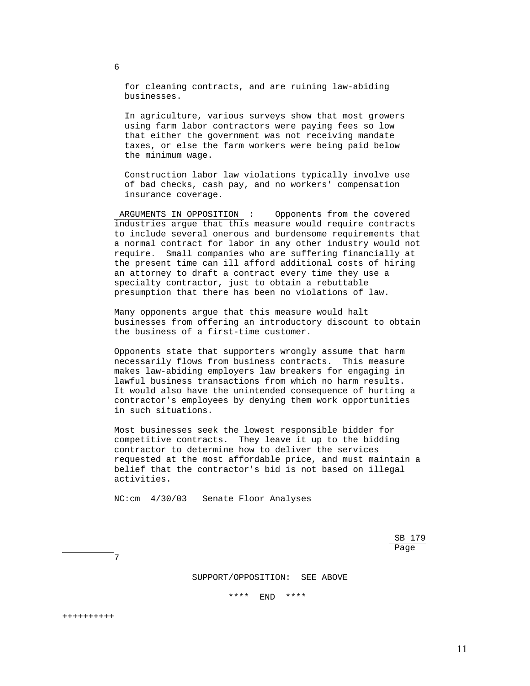for cleaning contracts, and are ruining law-abiding businesses.

 In agriculture, various surveys show that most growers using farm labor contractors were paying fees so low that either the government was not receiving mandate taxes, or else the farm workers were being paid below the minimum wage.

 Construction labor law violations typically involve use of bad checks, cash pay, and no workers' compensation insurance coverage.

 ARGUMENTS IN OPPOSITION : Opponents from the covered industries argue that this measure would require contracts to include several onerous and burdensome requirements that a normal contract for labor in any other industry would not require. Small companies who are suffering financially at the present time can ill afford additional costs of hiring an attorney to draft a contract every time they use a specialty contractor, just to obtain a rebuttable presumption that there has been no violations of law.

 Many opponents argue that this measure would halt businesses from offering an introductory discount to obtain the business of a first-time customer.

 Opponents state that supporters wrongly assume that harm necessarily flows from business contracts. This measure makes law-abiding employers law breakers for engaging in lawful business transactions from which no harm results. It would also have the unintended consequence of hurting a contractor's employees by denying them work opportunities in such situations.

 Most businesses seek the lowest responsible bidder for competitive contracts. They leave it up to the bidding contractor to determine how to deliver the services requested at the most affordable price, and must maintain a belief that the contractor's bid is not based on illegal activities.

NC:cm 4/30/03 Senate Floor Analyses

SB 179 nd a bhliain 1992 agus an t-Iomraidh ann an t-Iomraidh ann an t-Iomraidh ann an t-Iomraidh ann an t-Iomraidh a

SUPPORT/OPPOSITION: SEE ABOVE

\*\*\*\* END \*\*\*\*

++++++++++

7

6

11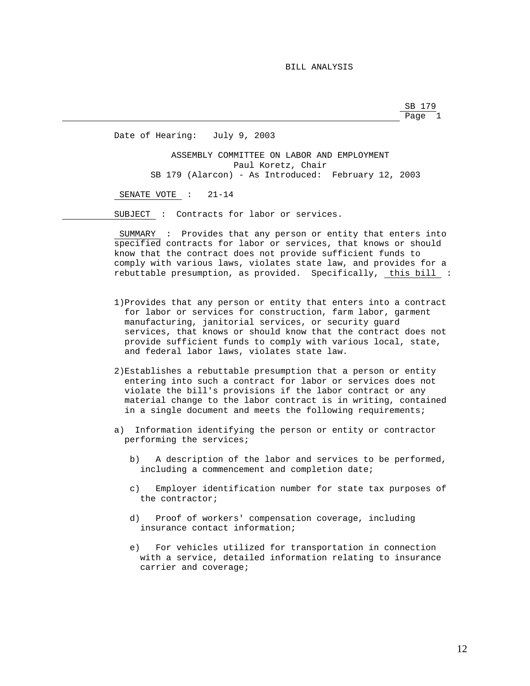SB 179 Page 1 and 2 and 2 and 2 and 2 and 2 and 2 and 2 and 2 and 2 and 2 and 2 and 2 and 2 and 2 and 2 and 2 and 2 and 2 and 2 and 2 and 2 and 2 and 2 and 2 and 2 and 2 and 2 and 2 and 2 and 2 and 2 and 2 and 2 and 2 and 2 and 2

Date of Hearing: July 9, 2003

 ASSEMBLY COMMITTEE ON LABOR AND EMPLOYMENT Paul Koretz, Chair SB 179 (Alarcon) - As Introduced: February 12, 2003

SENATE VOTE : 21-14

SUBJECT : Contracts for labor or services.

 SUMMARY : Provides that any person or entity that enters into specified contracts for labor or services, that knows or should know that the contract does not provide sufficient funds to comply with various laws, violates state law, and provides for a rebuttable presumption, as provided. Specifically, this bill :

- 1)Provides that any person or entity that enters into a contract for labor or services for construction, farm labor, garment manufacturing, janitorial services, or security guard services, that knows or should know that the contract does not provide sufficient funds to comply with various local, state, and federal labor laws, violates state law.
- 2)Establishes a rebuttable presumption that a person or entity entering into such a contract for labor or services does not violate the bill's provisions if the labor contract or any material change to the labor contract is in writing, contained in a single document and meets the following requirements;
- a) Information identifying the person or entity or contractor performing the services;
	- b) A description of the labor and services to be performed, including a commencement and completion date;
	- c) Employer identification number for state tax purposes of the contractor;
	- d) Proof of workers' compensation coverage, including insurance contact information;
	- e) For vehicles utilized for transportation in connection with a service, detailed information relating to insurance carrier and coverage;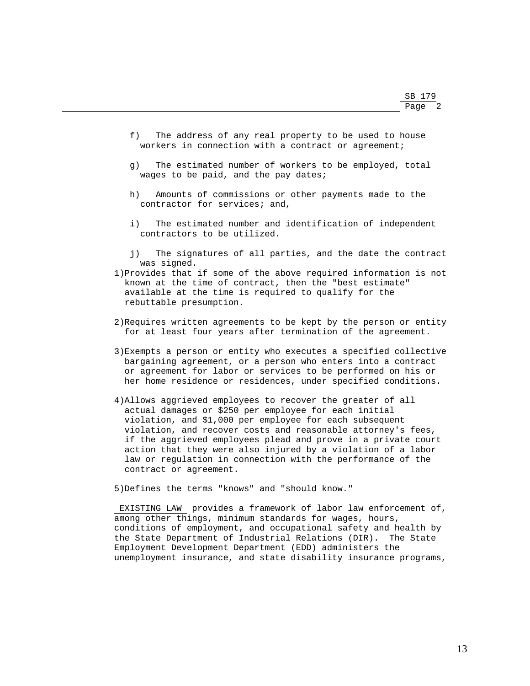- f) The address of any real property to be used to house workers in connection with a contract or agreement;
- g) The estimated number of workers to be employed, total wages to be paid, and the pay dates;
- h) Amounts of commissions or other payments made to the contractor for services; and,
- i) The estimated number and identification of independent contractors to be utilized.
- j) The signatures of all parties, and the date the contract was signed.
- 1)Provides that if some of the above required information is not known at the time of contract, then the "best estimate" available at the time is required to qualify for the rebuttable presumption.
- 2)Requires written agreements to be kept by the person or entity for at least four years after termination of the agreement.
- 3)Exempts a person or entity who executes a specified collective bargaining agreement, or a person who enters into a contract or agreement for labor or services to be performed on his or her home residence or residences, under specified conditions.
- 4)Allows aggrieved employees to recover the greater of all actual damages or \$250 per employee for each initial violation, and \$1,000 per employee for each subsequent violation, and recover costs and reasonable attorney's fees, if the aggrieved employees plead and prove in a private court action that they were also injured by a violation of a labor law or regulation in connection with the performance of the contract or agreement.

5)Defines the terms "knows" and "should know."

 EXISTING LAW provides a framework of labor law enforcement of, among other things, minimum standards for wages, hours, conditions of employment, and occupational safety and health by the State Department of Industrial Relations (DIR). The State Employment Development Department (EDD) administers the unemployment insurance, and state disability insurance programs,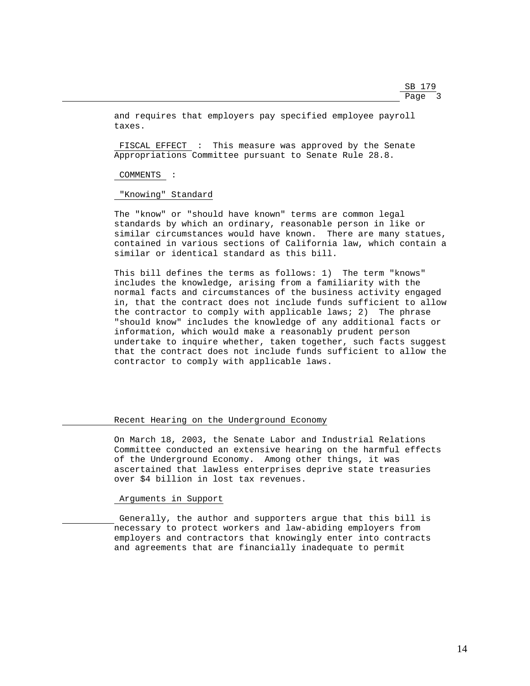and requires that employers pay specified employee payroll taxes.

 FISCAL EFFECT : This measure was approved by the Senate Appropriations Committee pursuant to Senate Rule 28.8.

COMMENTS :

### "Knowing" Standard

 The "know" or "should have known" terms are common legal standards by which an ordinary, reasonable person in like or similar circumstances would have known. There are many statues, contained in various sections of California law, which contain a similar or identical standard as this bill.

 This bill defines the terms as follows: 1) The term "knows" includes the knowledge, arising from a familiarity with the normal facts and circumstances of the business activity engaged in, that the contract does not include funds sufficient to allow the contractor to comply with applicable laws; 2) The phrase "should know" includes the knowledge of any additional facts or information, which would make a reasonably prudent person undertake to inquire whether, taken together, such facts suggest that the contract does not include funds sufficient to allow the contractor to comply with applicable laws.

#### Recent Hearing on the Underground Economy

 On March 18, 2003, the Senate Labor and Industrial Relations Committee conducted an extensive hearing on the harmful effects of the Underground Economy. Among other things, it was ascertained that lawless enterprises deprive state treasuries over \$4 billion in lost tax revenues.

## Arguments in Support

 Generally, the author and supporters argue that this bill is necessary to protect workers and law-abiding employers from employers and contractors that knowingly enter into contracts and agreements that are financially inadequate to permit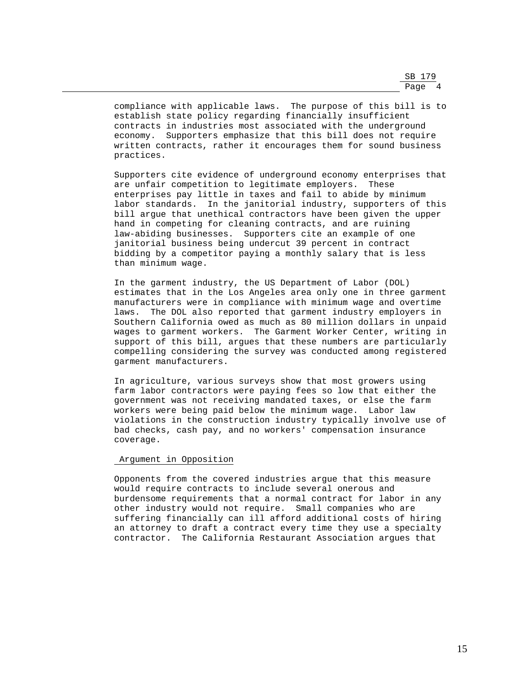compliance with applicable laws. The purpose of this bill is to establish state policy regarding financially insufficient contracts in industries most associated with the underground economy. Supporters emphasize that this bill does not require written contracts, rather it encourages them for sound business practices.

 Supporters cite evidence of underground economy enterprises that are unfair competition to legitimate employers. These enterprises pay little in taxes and fail to abide by minimum labor standards. In the janitorial industry, supporters of this bill argue that unethical contractors have been given the upper hand in competing for cleaning contracts, and are ruining law-abiding businesses. Supporters cite an example of one janitorial business being undercut 39 percent in contract bidding by a competitor paying a monthly salary that is less than minimum wage.

 In the garment industry, the US Department of Labor (DOL) estimates that in the Los Angeles area only one in three garment manufacturers were in compliance with minimum wage and overtime laws. The DOL also reported that garment industry employers in Southern California owed as much as 80 million dollars in unpaid wages to garment workers. The Garment Worker Center, writing in support of this bill, argues that these numbers are particularly compelling considering the survey was conducted among registered garment manufacturers.

 In agriculture, various surveys show that most growers using farm labor contractors were paying fees so low that either the government was not receiving mandated taxes, or else the farm workers were being paid below the minimum wage. Labor law violations in the construction industry typically involve use of bad checks, cash pay, and no workers' compensation insurance coverage.

## Argument in Opposition

 Opponents from the covered industries argue that this measure would require contracts to include several onerous and burdensome requirements that a normal contract for labor in any other industry would not require. Small companies who are suffering financially can ill afford additional costs of hiring an attorney to draft a contract every time they use a specialty contractor. The California Restaurant Association argues that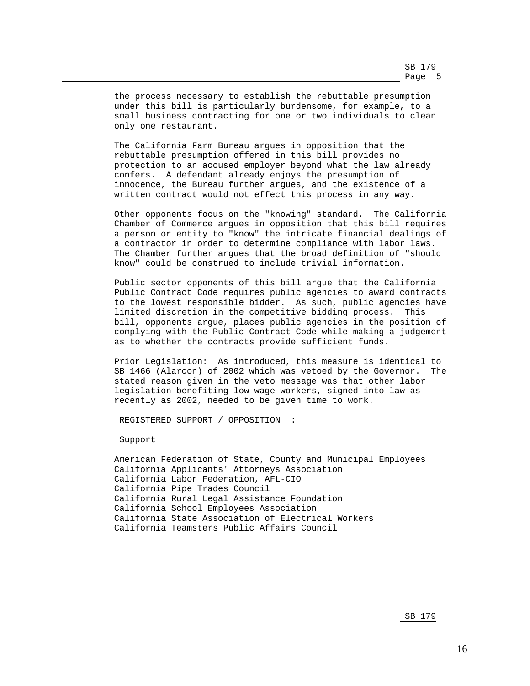the process necessary to establish the rebuttable presumption under this bill is particularly burdensome, for example, to a small business contracting for one or two individuals to clean only one restaurant.

 The California Farm Bureau argues in opposition that the rebuttable presumption offered in this bill provides no protection to an accused employer beyond what the law already confers. A defendant already enjoys the presumption of innocence, the Bureau further argues, and the existence of a written contract would not effect this process in any way.

 Other opponents focus on the "knowing" standard. The California Chamber of Commerce argues in opposition that this bill requires a person or entity to "know" the intricate financial dealings of a contractor in order to determine compliance with labor laws. The Chamber further argues that the broad definition of "should know" could be construed to include trivial information.

 Public sector opponents of this bill argue that the California Public Contract Code requires public agencies to award contracts to the lowest responsible bidder. As such, public agencies have limited discretion in the competitive bidding process. This bill, opponents argue, places public agencies in the position of complying with the Public Contract Code while making a judgement as to whether the contracts provide sufficient funds.

 Prior Legislation: As introduced, this measure is identical to SB 1466 (Alarcon) of 2002 which was vetoed by the Governor. The stated reason given in the veto message was that other labor legislation benefiting low wage workers, signed into law as recently as 2002, needed to be given time to work.

#### REGISTERED SUPPORT / OPPOSITION :

#### Support

 American Federation of State, County and Municipal Employees California Applicants' Attorneys Association California Labor Federation, AFL-CIO California Pipe Trades Council California Rural Legal Assistance Foundation California School Employees Association California State Association of Electrical Workers California Teamsters Public Affairs Council

SB 179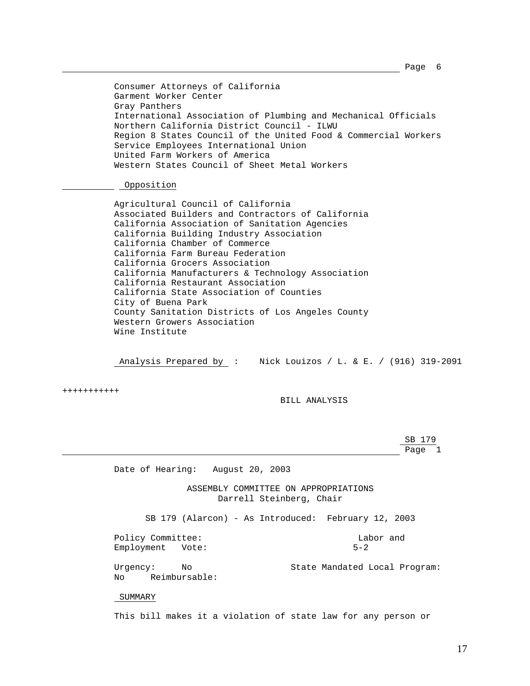Consumer Attorneys of California Garment Worker Center Gray Panthers International Association of Plumbing and Mechanical Officials Northern California District Council - ILWU Region 8 States Council of the United Food & Commercial Workers Service Employees International Union United Farm Workers of America Western States Council of Sheet Metal Workers

**COPPOSITION** 

 Agricultural Council of California Associated Builders and Contractors of California California Association of Sanitation Agencies California Building Industry Association California Chamber of Commerce California Farm Bureau Federation California Grocers Association California Manufacturers & Technology Association California Restaurant Association California State Association of Counties City of Buena Park County Sanitation Districts of Los Angeles County Western Growers Association Wine Institute

Analysis Prepared by : Nick Louizos / L. & E. / (916) 319-2091

+++++++++++

BILL ANALYSIS

SB 179 Page 1 and 2 and 2 and 2 and 2 and 2 and 2 and 2 and 2 and 2 and 2 and 2 and 2 and 2 and 2 and 2 and 2 and 2 and 2 and 2 and 2 and 2 and 2 and 2 and 2 and 2 and 2 and 2 and 2 and 2 and 2 and 2 and 2 and 2 and 2 and 2 and 2 Date of Hearing: August 20, 2003 ASSEMBLY COMMITTEE ON APPROPRIATIONS Darrell Steinberg, Chair SB 179 (Alarcon) - As Introduced: February 12, 2003 Policy Committee: Labor and Employment Vote: 15-2 Employment Vote: Urgency: No State Mandated Local Program: No Reimbursable: SUMMARY

This bill makes it a violation of state law for any person or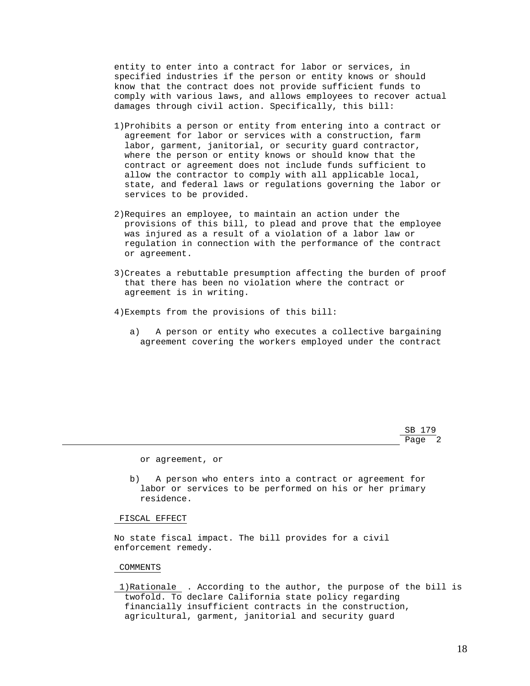entity to enter into a contract for labor or services, in specified industries if the person or entity knows or should know that the contract does not provide sufficient funds to comply with various laws, and allows employees to recover actual damages through civil action. Specifically, this bill:

- 1)Prohibits a person or entity from entering into a contract or agreement for labor or services with a construction, farm labor, garment, janitorial, or security guard contractor, where the person or entity knows or should know that the contract or agreement does not include funds sufficient to allow the contractor to comply with all applicable local, state, and federal laws or regulations governing the labor or services to be provided.
- 2)Requires an employee, to maintain an action under the provisions of this bill, to plead and prove that the employee was injured as a result of a violation of a labor law or regulation in connection with the performance of the contract or agreement.
- 3)Creates a rebuttable presumption affecting the burden of proof that there has been no violation where the contract or agreement is in writing.
- 4)Exempts from the provisions of this bill:
	- a) A person or entity who executes a collective bargaining agreement covering the workers employed under the contract

 SB 179 Page 2

or agreement, or

 b) A person who enters into a contract or agreement for labor or services to be performed on his or her primary residence.

FISCAL EFFECT

 No state fiscal impact. The bill provides for a civil enforcement remedy.

## COMMENTS

 1)Rationale . According to the author, the purpose of the bill is twofold. To declare California state policy regarding financially insufficient contracts in the construction, agricultural, garment, janitorial and security guard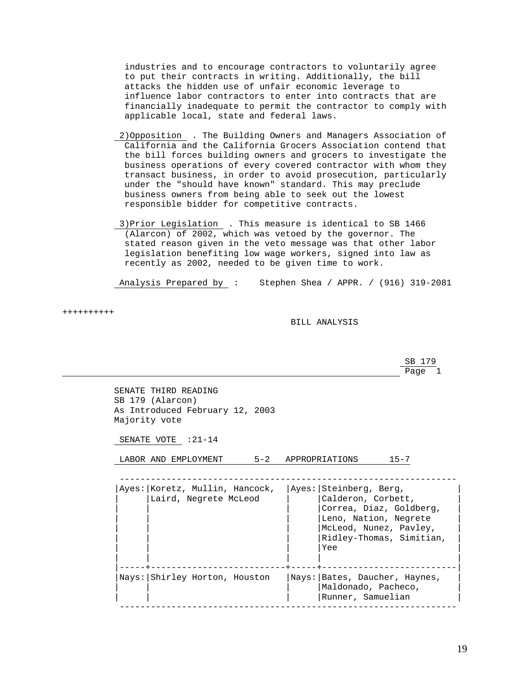industries and to encourage contractors to voluntarily agree to put their contracts in writing. Additionally, the bill attacks the hidden use of unfair economic leverage to influence labor contractors to enter into contracts that are financially inadequate to permit the contractor to comply with applicable local, state and federal laws.

- 2)Opposition . The Building Owners and Managers Association of California and the California Grocers Association contend that the bill forces building owners and grocers to investigate the business operations of every covered contractor with whom they transact business, in order to avoid prosecution, particularly under the "should have known" standard. This may preclude business owners from being able to seek out the lowest responsible bidder for competitive contracts.
- 3)Prior Legislation . This measure is identical to SB 1466 (Alarcon) of 2002, which was vetoed by the governor. The stated reason given in the veto message was that other labor legislation benefiting low wage workers, signed into law as recently as 2002, needed to be given time to work.

Analysis Prepared by : Stephen Shea / APPR. / (916) 319-2081

++++++++++

#### BILL ANALYSIS

 SB 179 Page 1

> SENATE THIRD READING SB 179 (Alarcon) As Introduced February 12, 2003 Majority vote

SENATE VOTE : 21-14

LABOR AND EMPLOYMENT 5-2 APPROPRIATIONS 15-7

| Ayes: Koretz, Mullin, Hancock,<br>Laird, Negrete McLeod | Ayes: Steinberg, Berg,<br>Calderon, Corbett,<br>Correa, Diaz, Goldberg,<br>Leno, Nation, Negrete<br>McLeod, Nunez, Pavley,<br>Ridley-Thomas, Simitian,<br>Yee |
|---------------------------------------------------------|---------------------------------------------------------------------------------------------------------------------------------------------------------------|
| Nays: Shirley Horton, Houston                           | Nays: Bates, Daucher, Haynes,<br>Maldonado, Pacheco,<br>Runner, Samuelian                                                                                     |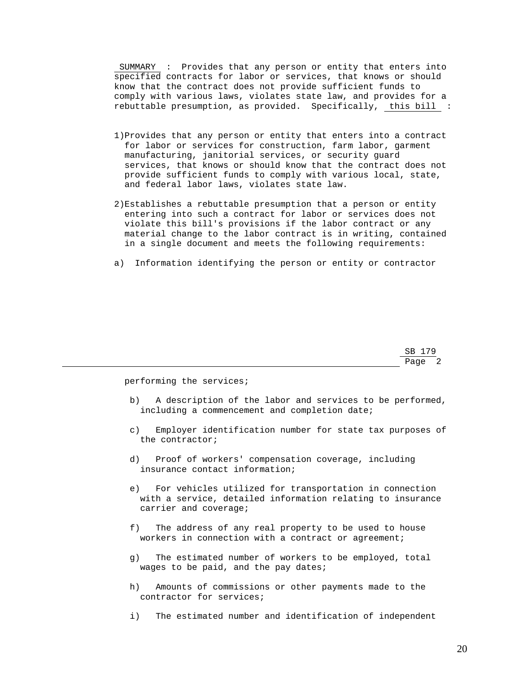SUMMARY : Provides that any person or entity that enters into specified contracts for labor or services, that knows or should know that the contract does not provide sufficient funds to comply with various laws, violates state law, and provides for a rebuttable presumption, as provided. Specifically, this bill :

- 1)Provides that any person or entity that enters into a contract for labor or services for construction, farm labor, garment manufacturing, janitorial services, or security guard services, that knows or should know that the contract does not provide sufficient funds to comply with various local, state, and federal labor laws, violates state law.
- 2)Establishes a rebuttable presumption that a person or entity entering into such a contract for labor or services does not violate this bill's provisions if the labor contract or any material change to the labor contract is in writing, contained in a single document and meets the following requirements:
- a) Information identifying the person or entity or contractor

 SB 179 Page 2

performing the services;

- b) A description of the labor and services to be performed, including a commencement and completion date;
- c) Employer identification number for state tax purposes of the contractor;
- d) Proof of workers' compensation coverage, including insurance contact information;
- e) For vehicles utilized for transportation in connection with a service, detailed information relating to insurance carrier and coverage;
- f) The address of any real property to be used to house workers in connection with a contract or agreement;
- g) The estimated number of workers to be employed, total wages to be paid, and the pay dates;
- h) Amounts of commissions or other payments made to the contractor for services;
- i) The estimated number and identification of independent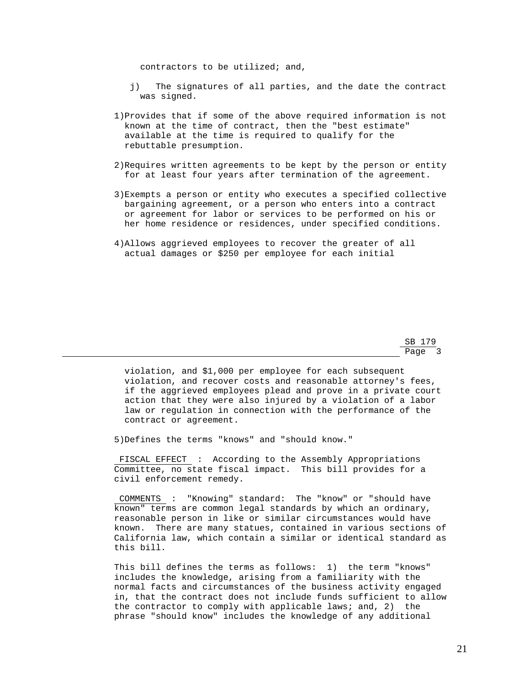contractors to be utilized; and,

- j) The signatures of all parties, and the date the contract was signed.
- 1)Provides that if some of the above required information is not known at the time of contract, then the "best estimate" available at the time is required to qualify for the rebuttable presumption.
- 2)Requires written agreements to be kept by the person or entity for at least four years after termination of the agreement.
- 3)Exempts a person or entity who executes a specified collective bargaining agreement, or a person who enters into a contract or agreement for labor or services to be performed on his or her home residence or residences, under specified conditions.
- 4)Allows aggrieved employees to recover the greater of all actual damages or \$250 per employee for each initial

| 170<br>SB<br>— <i>—</i> |  |
|-------------------------|--|
| Page                    |  |

 violation, and \$1,000 per employee for each subsequent violation, and recover costs and reasonable attorney's fees, if the aggrieved employees plead and prove in a private court action that they were also injured by a violation of a labor law or regulation in connection with the performance of the contract or agreement.

5)Defines the terms "knows" and "should know."

 FISCAL EFFECT : According to the Assembly Appropriations Committee, no state fiscal impact. This bill provides for a civil enforcement remedy.

 COMMENTS : "Knowing" standard: The "know" or "should have known" terms are common legal standards by which an ordinary, reasonable person in like or similar circumstances would have known. There are many statues, contained in various sections of California law, which contain a similar or identical standard as this bill.

 This bill defines the terms as follows: 1) the term "knows" includes the knowledge, arising from a familiarity with the normal facts and circumstances of the business activity engaged in, that the contract does not include funds sufficient to allow the contractor to comply with applicable laws; and, 2) the phrase "should know" includes the knowledge of any additional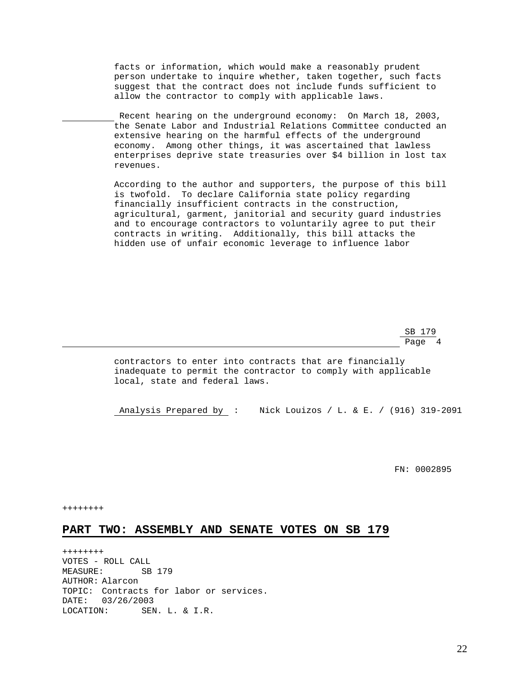facts or information, which would make a reasonably prudent person undertake to inquire whether, taken together, such facts suggest that the contract does not include funds sufficient to allow the contractor to comply with applicable laws.

 Recent hearing on the underground economy: On March 18, 2003, the Senate Labor and Industrial Relations Committee conducted an extensive hearing on the harmful effects of the underground economy. Among other things, it was ascertained that lawless enterprises deprive state treasuries over \$4 billion in lost tax revenues.

 According to the author and supporters, the purpose of this bill is twofold. To declare California state policy regarding financially insufficient contracts in the construction, agricultural, garment, janitorial and security guard industries and to encourage contractors to voluntarily agree to put their contracts in writing. Additionally, this bill attacks the hidden use of unfair economic leverage to influence labor

 SB 179 Page 4

> contractors to enter into contracts that are financially inadequate to permit the contractor to comply with applicable local, state and federal laws.

Analysis Prepared by : Nick Louizos / L. & E. / (916) 319-2091

FN: 0002895

++++++++

## **PART TWO: ASSEMBLY AND SENATE VOTES ON SB 179**

++++++++ VOTES - ROLL CALL MEASURE: SB 179 AUTHOR: Alarcon TOPIC: Contracts for labor or services. DATE: 03/26/2003 LOCATION: SEN. L. & I.R.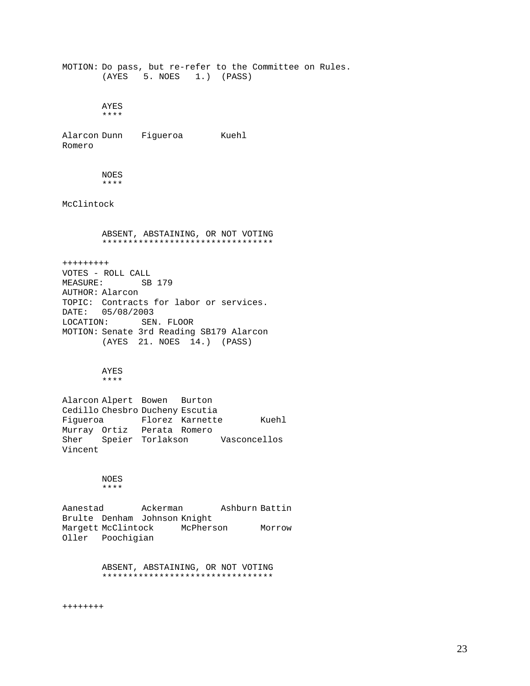MOTION: Do pass, but re-refer to the Committee on Rules. (AYES 5. NOES 1.) (PASS) AYES \*\*\*\* Alarcon Dunn Figueroa Kuehl Romero NOES \*\*\*\* McClintock ABSENT, ABSTAINING, OR NOT VOTING \*\*\*\*\*\*\*\*\*\*\*\*\*\*\*\*\*\*\*\*\*\*\*\*\*\*\*\*\*\*\*\*\* +++++++++ VOTES - ROLL CALL MEASURE: SB 179 AUTHOR: Alarcon TOPIC: Contracts for labor or services. DATE: 05/08/2003 LOCATION: SEN. FLOOR MOTION: Senate 3rd Reading SB179 Alarcon (AYES 21. NOES 14.) (PASS) AYES \*\*\*\* Alarcon Alpert Bowen Burton Cedillo Chesbro Ducheny Escutia Figueroa Florez Karnette Kuehl Murray Ortiz Perata Romero Sher Speier Torlakson Vasconcellos Vincent NOES \*\*\*\* Aanestad Ackerman Ashburn Battin Brulte Denham Johnson Knight Margett McClintock McPherson Morrow Oller Poochigian ABSENT, ABSTAINING, OR NOT VOTING \*\*\*\*\*\*\*\*\*\*\*\*\*\*\*\*\*\*\*\*\*\*\*\*\*\*\*\*\*\*\*\*\*

++++++++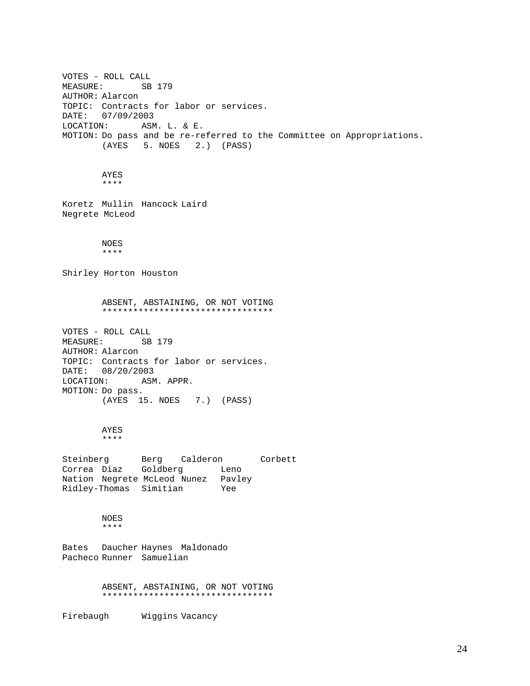VOTES - ROLL CALL MEASURE: SB 179 AUTHOR: Alarcon TOPIC: Contracts for labor or services. DATE: 07/09/2003 LOCATION: ASM. L. & E. MOTION: Do pass and be re-referred to the Committee on Appropriations. (AYES 5. NOES 2.) (PASS) AYES \*\*\*\* Koretz Mullin Hancock Laird Negrete McLeod NOES \*\*\*\* Shirley Horton Houston ABSENT, ABSTAINING, OR NOT VOTING \*\*\*\*\*\*\*\*\*\*\*\*\*\*\*\*\*\*\*\*\*\*\*\*\*\*\*\*\*\*\*\*\* VOTES - ROLL CALL MEASURE: SB 179 AUTHOR: Alarcon TOPIC: Contracts for labor or services. DATE: 08/20/2003 LOCATION: ASM. APPR. MOTION: Do pass. (AYES 15. NOES 7.) (PASS) AYES \*\*\*\* Steinberg Berg Calderon Corbett Correa Diaz Goldberg Leno Nation Negrete McLeod Nunez Pavley Ridley-Thomas Simitian Yee NOES \*\*\*\* Bates Daucher Haynes Maldonado Pacheco Runner Samuelian ABSENT, ABSTAINING, OR NOT VOTING \*\*\*\*\*\*\*\*\*\*\*\*\*\*\*\*\*\*\*\*\*\*\*\*\*\*\*\*\*\*\*\*\* Firebaugh Wiggins Vacancy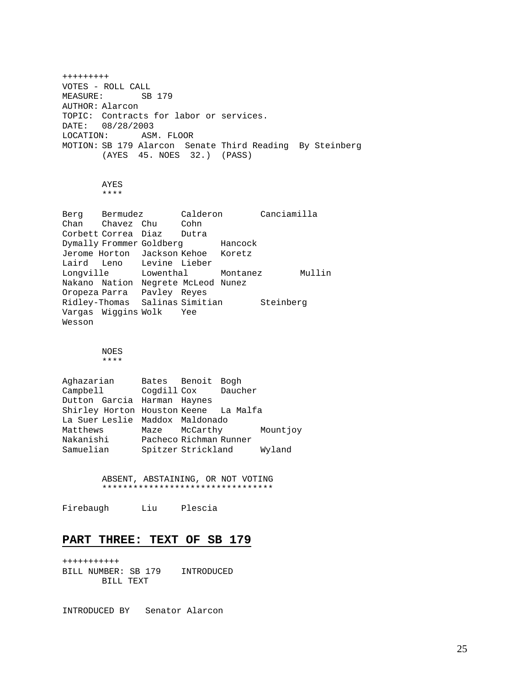+++++++++ VOTES - ROLL CALL MEASURE: SB 179 AUTHOR: Alarcon TOPIC: Contracts for labor or services. DATE: 08/28/2003 LOCATION: ASM. FLOOR MOTION: SB 179 Alarcon Senate Third Reading By Steinberg (AYES 45. NOES 32.) (PASS) AYES \*\*\*\* Berg Bermudez Calderon Canciamilla Chan Chavez Chu Cohn Corbett Correa Diaz Dutra Dymally Frommer Goldberg Hancock Jerome Horton Jackson Kehoe Koretz Laird Leno Levine Lieber Longville Lowenthal Montanez Mullin Nakano Nation Negrete McLeod Nunez Oropeza Parra Pavley Reyes Ridley-Thomas Salinas Simitian Steinberg Vargas Wiggins Wolk Yee Wesson NOES \*\*\*\* Aghazarian Bates Benoit Bogh<br>Campbell Coodill Cox Campbell Cogdill Cox Daucher Dutton Garcia Harman Haynes Shirley Horton Houston Keene La Malfa La Suer Leslie Maddox Maldonado Matthews Maze McCarthy Mountjoy<br>Nakanishi Pacheco-Richman-Runner<br>Samuelian Spitzer-Strickland Wyland Pacheco Richman Runner Spitzer Strickland Wyland ABSENT, ABSTAINING, OR NOT VOTING \*\*\*\*\*\*\*\*\*\*\*\*\*\*\*\*\*\*\*\*\*\*\*\*\*\*\*\*\*\*\*\*\* Firebaugh Liu Plescia **PART THREE: TEXT OF SB 179**

## +++++++++++ BILL NUMBER: SB 179 INTRODUCED

INTRODUCED BY Senator Alarcon

BILL TEXT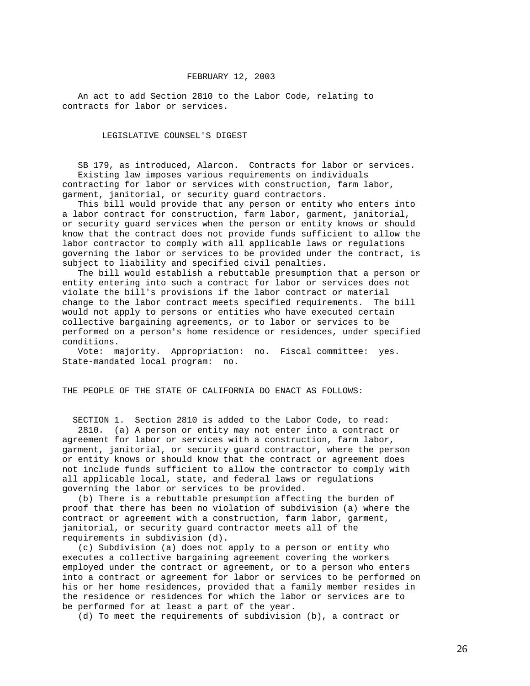## FEBRUARY 12, 2003

 An act to add Section 2810 to the Labor Code, relating to contracts for labor or services.

### LEGISLATIVE COUNSEL'S DIGEST

 SB 179, as introduced, Alarcon. Contracts for labor or services. Existing law imposes various requirements on individuals contracting for labor or services with construction, farm labor, garment, janitorial, or security guard contractors.

 This bill would provide that any person or entity who enters into a labor contract for construction, farm labor, garment, janitorial, or security guard services when the person or entity knows or should know that the contract does not provide funds sufficient to allow the labor contractor to comply with all applicable laws or regulations governing the labor or services to be provided under the contract, is subject to liability and specified civil penalties.

 The bill would establish a rebuttable presumption that a person or entity entering into such a contract for labor or services does not violate the bill's provisions if the labor contract or material change to the labor contract meets specified requirements. The bill would not apply to persons or entities who have executed certain collective bargaining agreements, or to labor or services to be performed on a person's home residence or residences, under specified conditions.

 Vote: majority. Appropriation: no. Fiscal committee: yes. State-mandated local program: no.

## THE PEOPLE OF THE STATE OF CALIFORNIA DO ENACT AS FOLLOWS:

 SECTION 1. Section 2810 is added to the Labor Code, to read: 2810. (a) A person or entity may not enter into a contract or agreement for labor or services with a construction, farm labor, garment, janitorial, or security guard contractor, where the person or entity knows or should know that the contract or agreement does not include funds sufficient to allow the contractor to comply with all applicable local, state, and federal laws or regulations governing the labor or services to be provided.

 (b) There is a rebuttable presumption affecting the burden of proof that there has been no violation of subdivision (a) where the contract or agreement with a construction, farm labor, garment, janitorial, or security guard contractor meets all of the requirements in subdivision (d).

 (c) Subdivision (a) does not apply to a person or entity who executes a collective bargaining agreement covering the workers employed under the contract or agreement, or to a person who enters into a contract or agreement for labor or services to be performed on his or her home residences, provided that a family member resides in the residence or residences for which the labor or services are to be performed for at least a part of the year.

(d) To meet the requirements of subdivision (b), a contract or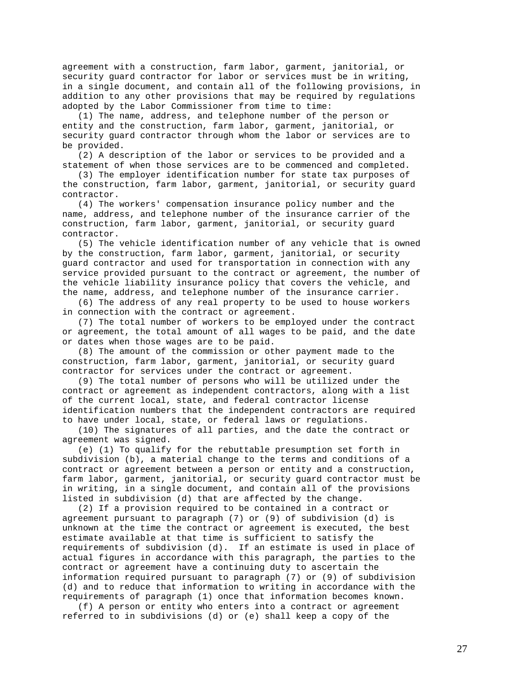agreement with a construction, farm labor, garment, janitorial, or security guard contractor for labor or services must be in writing, in a single document, and contain all of the following provisions, in addition to any other provisions that may be required by regulations adopted by the Labor Commissioner from time to time:

 (1) The name, address, and telephone number of the person or entity and the construction, farm labor, garment, janitorial, or security guard contractor through whom the labor or services are to be provided.

 (2) A description of the labor or services to be provided and a statement of when those services are to be commenced and completed.

 (3) The employer identification number for state tax purposes of the construction, farm labor, garment, janitorial, or security guard contractor.

 (4) The workers' compensation insurance policy number and the name, address, and telephone number of the insurance carrier of the construction, farm labor, garment, janitorial, or security guard contractor.

 (5) The vehicle identification number of any vehicle that is owned by the construction, farm labor, garment, janitorial, or security guard contractor and used for transportation in connection with any service provided pursuant to the contract or agreement, the number of the vehicle liability insurance policy that covers the vehicle, and the name, address, and telephone number of the insurance carrier.

 (6) The address of any real property to be used to house workers in connection with the contract or agreement.

 (7) The total number of workers to be employed under the contract or agreement, the total amount of all wages to be paid, and the date or dates when those wages are to be paid.

 (8) The amount of the commission or other payment made to the construction, farm labor, garment, janitorial, or security guard contractor for services under the contract or agreement.

 (9) The total number of persons who will be utilized under the contract or agreement as independent contractors, along with a list of the current local, state, and federal contractor license identification numbers that the independent contractors are required to have under local, state, or federal laws or regulations.

 (10) The signatures of all parties, and the date the contract or agreement was signed.

 (e) (1) To qualify for the rebuttable presumption set forth in subdivision (b), a material change to the terms and conditions of a contract or agreement between a person or entity and a construction, farm labor, garment, janitorial, or security guard contractor must be in writing, in a single document, and contain all of the provisions listed in subdivision (d) that are affected by the change.

 (2) If a provision required to be contained in a contract or agreement pursuant to paragraph (7) or (9) of subdivision (d) is unknown at the time the contract or agreement is executed, the best estimate available at that time is sufficient to satisfy the requirements of subdivision (d). If an estimate is used in place of actual figures in accordance with this paragraph, the parties to the contract or agreement have a continuing duty to ascertain the information required pursuant to paragraph (7) or (9) of subdivision (d) and to reduce that information to writing in accordance with the requirements of paragraph (1) once that information becomes known.

 (f) A person or entity who enters into a contract or agreement referred to in subdivisions (d) or (e) shall keep a copy of the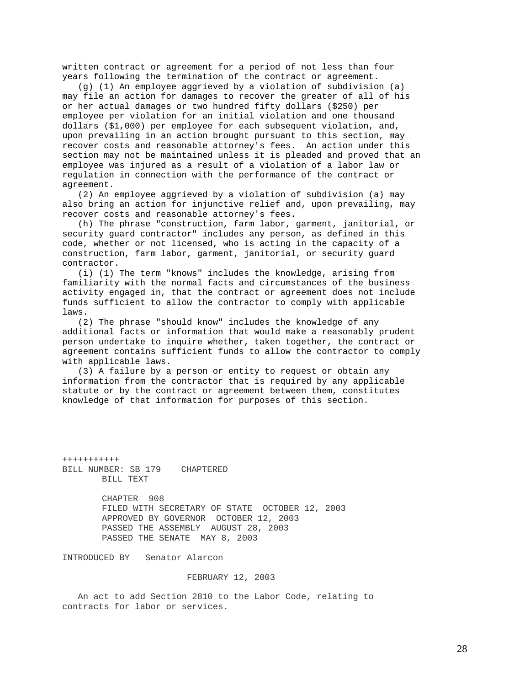written contract or agreement for a period of not less than four years following the termination of the contract or agreement.

 (g) (1) An employee aggrieved by a violation of subdivision (a) may file an action for damages to recover the greater of all of his or her actual damages or two hundred fifty dollars (\$250) per employee per violation for an initial violation and one thousand dollars (\$1,000) per employee for each subsequent violation, and, upon prevailing in an action brought pursuant to this section, may recover costs and reasonable attorney's fees. An action under this section may not be maintained unless it is pleaded and proved that an employee was injured as a result of a violation of a labor law or regulation in connection with the performance of the contract or agreement.

 (2) An employee aggrieved by a violation of subdivision (a) may also bring an action for injunctive relief and, upon prevailing, may recover costs and reasonable attorney's fees.

 (h) The phrase "construction, farm labor, garment, janitorial, or security guard contractor" includes any person, as defined in this code, whether or not licensed, who is acting in the capacity of a construction, farm labor, garment, janitorial, or security guard contractor.

 (i) (1) The term "knows" includes the knowledge, arising from familiarity with the normal facts and circumstances of the business activity engaged in, that the contract or agreement does not include funds sufficient to allow the contractor to comply with applicable laws.

 (2) The phrase "should know" includes the knowledge of any additional facts or information that would make a reasonably prudent person undertake to inquire whether, taken together, the contract or agreement contains sufficient funds to allow the contractor to comply with applicable laws.

 (3) A failure by a person or entity to request or obtain any information from the contractor that is required by any applicable statute or by the contract or agreement between them, constitutes knowledge of that information for purposes of this section.

+++++++++++ BILL NUMBER: SB 179 CHAPTERED BILL TEXT

> CHAPTER 908 FILED WITH SECRETARY OF STATE OCTOBER 12, 2003 APPROVED BY GOVERNOR OCTOBER 12, 2003 PASSED THE ASSEMBLY AUGUST 28, 2003 PASSED THE SENATE MAY 8, 2003

INTRODUCED BY Senator Alarcon

#### FEBRUARY 12, 2003

 An act to add Section 2810 to the Labor Code, relating to contracts for labor or services.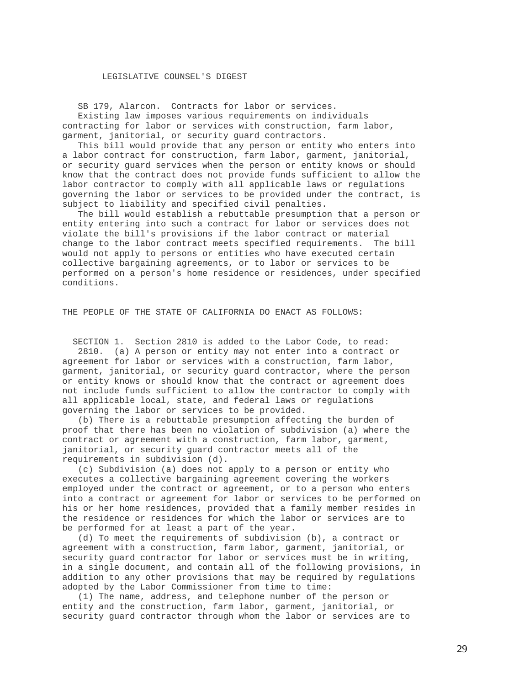## LEGISLATIVE COUNSEL'S DIGEST

 SB 179, Alarcon. Contracts for labor or services. Existing law imposes various requirements on individuals contracting for labor or services with construction, farm labor, garment, janitorial, or security guard contractors.

 This bill would provide that any person or entity who enters into a labor contract for construction, farm labor, garment, janitorial, or security guard services when the person or entity knows or should know that the contract does not provide funds sufficient to allow the labor contractor to comply with all applicable laws or regulations governing the labor or services to be provided under the contract, is subject to liability and specified civil penalties.

 The bill would establish a rebuttable presumption that a person or entity entering into such a contract for labor or services does not violate the bill's provisions if the labor contract or material change to the labor contract meets specified requirements. The bill would not apply to persons or entities who have executed certain collective bargaining agreements, or to labor or services to be performed on a person's home residence or residences, under specified conditions.

THE PEOPLE OF THE STATE OF CALIFORNIA DO ENACT AS FOLLOWS:

SECTION 1. Section 2810 is added to the Labor Code, to read:

 2810. (a) A person or entity may not enter into a contract or agreement for labor or services with a construction, farm labor, garment, janitorial, or security guard contractor, where the person or entity knows or should know that the contract or agreement does not include funds sufficient to allow the contractor to comply with all applicable local, state, and federal laws or regulations governing the labor or services to be provided.

 (b) There is a rebuttable presumption affecting the burden of proof that there has been no violation of subdivision (a) where the contract or agreement with a construction, farm labor, garment, janitorial, or security guard contractor meets all of the requirements in subdivision (d).

 (c) Subdivision (a) does not apply to a person or entity who executes a collective bargaining agreement covering the workers employed under the contract or agreement, or to a person who enters into a contract or agreement for labor or services to be performed on his or her home residences, provided that a family member resides in the residence or residences for which the labor or services are to be performed for at least a part of the year.

 (d) To meet the requirements of subdivision (b), a contract or agreement with a construction, farm labor, garment, janitorial, or security guard contractor for labor or services must be in writing, in a single document, and contain all of the following provisions, in addition to any other provisions that may be required by regulations adopted by the Labor Commissioner from time to time:

 (1) The name, address, and telephone number of the person or entity and the construction, farm labor, garment, janitorial, or security guard contractor through whom the labor or services are to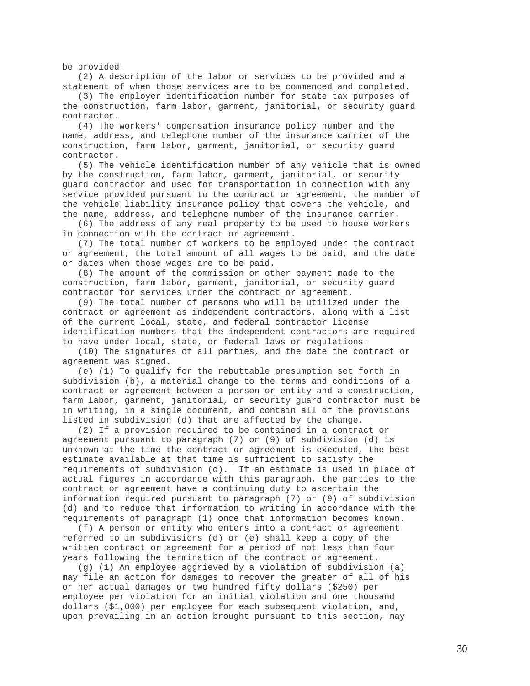be provided.

 (2) A description of the labor or services to be provided and a statement of when those services are to be commenced and completed.

 (3) The employer identification number for state tax purposes of the construction, farm labor, garment, janitorial, or security guard contractor.

 (4) The workers' compensation insurance policy number and the name, address, and telephone number of the insurance carrier of the construction, farm labor, garment, janitorial, or security guard contractor.

 (5) The vehicle identification number of any vehicle that is owned by the construction, farm labor, garment, janitorial, or security guard contractor and used for transportation in connection with any service provided pursuant to the contract or agreement, the number of the vehicle liability insurance policy that covers the vehicle, and the name, address, and telephone number of the insurance carrier.

 (6) The address of any real property to be used to house workers in connection with the contract or agreement.

 (7) The total number of workers to be employed under the contract or agreement, the total amount of all wages to be paid, and the date or dates when those wages are to be paid.

 (8) The amount of the commission or other payment made to the construction, farm labor, garment, janitorial, or security guard contractor for services under the contract or agreement.

 (9) The total number of persons who will be utilized under the contract or agreement as independent contractors, along with a list of the current local, state, and federal contractor license identification numbers that the independent contractors are required to have under local, state, or federal laws or regulations.

 (10) The signatures of all parties, and the date the contract or agreement was signed.

 (e) (1) To qualify for the rebuttable presumption set forth in subdivision (b), a material change to the terms and conditions of a contract or agreement between a person or entity and a construction, farm labor, garment, janitorial, or security guard contractor must be in writing, in a single document, and contain all of the provisions listed in subdivision (d) that are affected by the change.

 (2) If a provision required to be contained in a contract or agreement pursuant to paragraph (7) or (9) of subdivision (d) is unknown at the time the contract or agreement is executed, the best estimate available at that time is sufficient to satisfy the requirements of subdivision (d). If an estimate is used in place of actual figures in accordance with this paragraph, the parties to the contract or agreement have a continuing duty to ascertain the information required pursuant to paragraph (7) or (9) of subdivision (d) and to reduce that information to writing in accordance with the requirements of paragraph (1) once that information becomes known.

 (f) A person or entity who enters into a contract or agreement referred to in subdivisions (d) or (e) shall keep a copy of the written contract or agreement for a period of not less than four years following the termination of the contract or agreement.

 (g) (1) An employee aggrieved by a violation of subdivision (a) may file an action for damages to recover the greater of all of his or her actual damages or two hundred fifty dollars (\$250) per employee per violation for an initial violation and one thousand dollars (\$1,000) per employee for each subsequent violation, and, upon prevailing in an action brought pursuant to this section, may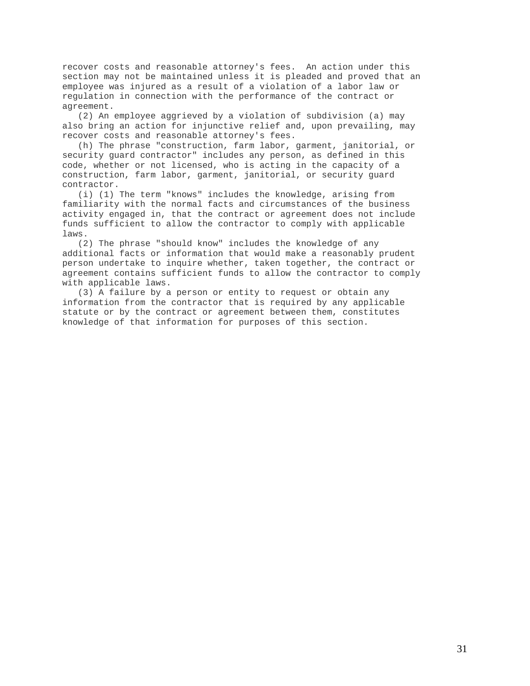recover costs and reasonable attorney's fees. An action under this section may not be maintained unless it is pleaded and proved that an employee was injured as a result of a violation of a labor law or regulation in connection with the performance of the contract or agreement.

 (2) An employee aggrieved by a violation of subdivision (a) may also bring an action for injunctive relief and, upon prevailing, may recover costs and reasonable attorney's fees.

 (h) The phrase "construction, farm labor, garment, janitorial, or security guard contractor" includes any person, as defined in this code, whether or not licensed, who is acting in the capacity of a construction, farm labor, garment, janitorial, or security guard contractor.

 (i) (1) The term "knows" includes the knowledge, arising from familiarity with the normal facts and circumstances of the business activity engaged in, that the contract or agreement does not include funds sufficient to allow the contractor to comply with applicable laws.

 (2) The phrase "should know" includes the knowledge of any additional facts or information that would make a reasonably prudent person undertake to inquire whether, taken together, the contract or agreement contains sufficient funds to allow the contractor to comply with applicable laws.

 (3) A failure by a person or entity to request or obtain any information from the contractor that is required by any applicable statute or by the contract or agreement between them, constitutes knowledge of that information for purposes of this section.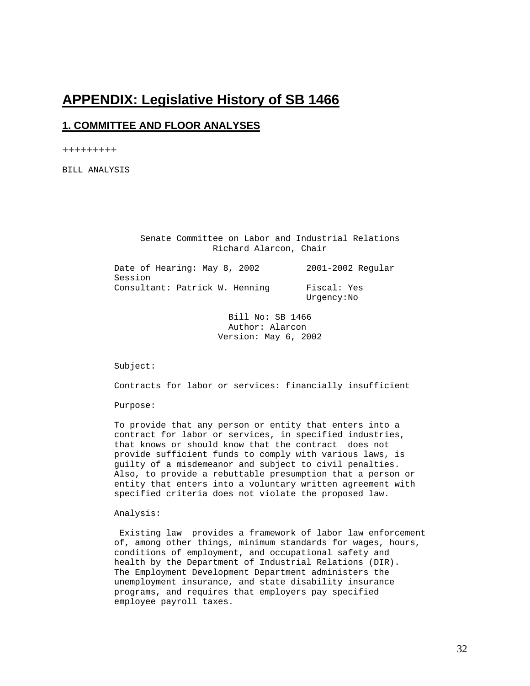# **APPENDIX: Legislative History of SB 1466**

# **1. COMMITTEE AND FLOOR ANALYSES**

+++++++++

BILL ANALYSIS

 Senate Committee on Labor and Industrial Relations Richard Alarcon, Chair

Date of Hearing: May 8, 2002 2001-2002 Regular Session Consultant: Patrick W. Henning Fiscal: Yes Urgency:No

> Bill No: SB 1466 Author: Alarcon Version: May 6, 2002

Subject:

Contracts for labor or services: financially insufficient

Purpose:

 To provide that any person or entity that enters into a contract for labor or services, in specified industries, that knows or should know that the contract does not provide sufficient funds to comply with various laws, is guilty of a misdemeanor and subject to civil penalties. Also, to provide a rebuttable presumption that a person or entity that enters into a voluntary written agreement with specified criteria does not violate the proposed law.

## Analysis:

 Existing law provides a framework of labor law enforcement of, among other things, minimum standards for wages, hours, conditions of employment, and occupational safety and health by the Department of Industrial Relations (DIR). The Employment Development Department administers the unemployment insurance, and state disability insurance programs, and requires that employers pay specified employee payroll taxes.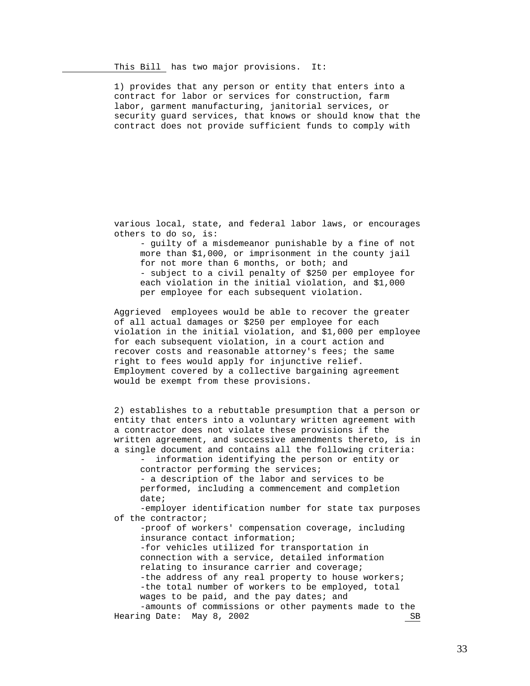This Bill has two major provisions. It:

 1) provides that any person or entity that enters into a contract for labor or services for construction, farm labor, garment manufacturing, janitorial services, or security guard services, that knows or should know that the contract does not provide sufficient funds to comply with

 various local, state, and federal labor laws, or encourages others to do so, is:

 - guilty of a misdemeanor punishable by a fine of not more than \$1,000, or imprisonment in the county jail for not more than 6 months, or both; and - subject to a civil penalty of \$250 per employee for each violation in the initial violation, and \$1,000 per employee for each subsequent violation.

 Aggrieved employees would be able to recover the greater of all actual damages or \$250 per employee for each violation in the initial violation, and \$1,000 per employee for each subsequent violation, in a court action and recover costs and reasonable attorney's fees; the same right to fees would apply for injunctive relief. Employment covered by a collective bargaining agreement would be exempt from these provisions.

 2) establishes to a rebuttable presumption that a person or entity that enters into a voluntary written agreement with a contractor does not violate these provisions if the written agreement, and successive amendments thereto, is in a single document and contains all the following criteria:

 - information identifying the person or entity or contractor performing the services; - a description of the labor and services to be performed, including a commencement and completion date;

 -employer identification number for state tax purposes of the contractor;

 -proof of workers' compensation coverage, including insurance contact information; -for vehicles utilized for transportation in connection with a service, detailed information relating to insurance carrier and coverage; -the address of any real property to house workers; -the total number of workers to be employed, total wages to be paid, and the pay dates; and -amounts of commissions or other payments made to the Hearing Date: May 8, 2002 SB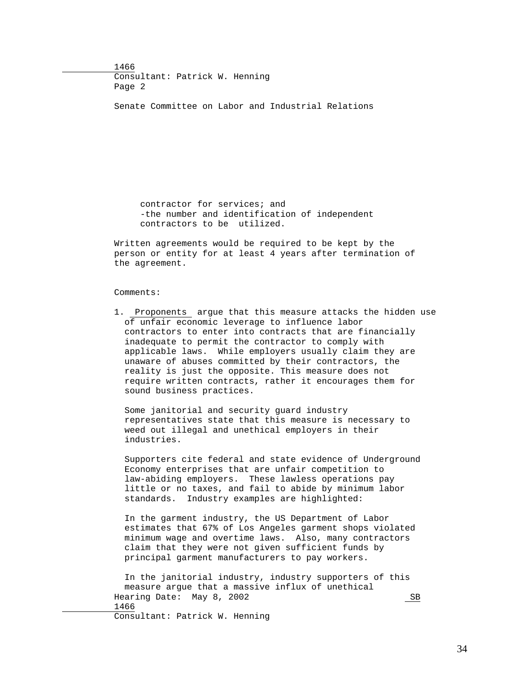1466 Consultant: Patrick W. Henning Page 2

Senate Committee on Labor and Industrial Relations

 contractor for services; and -the number and identification of independent contractors to be utilized.

 Written agreements would be required to be kept by the person or entity for at least 4 years after termination of the agreement.

#### Comments:

 1. Proponents argue that this measure attacks the hidden use of unfair economic leverage to influence labor contractors to enter into contracts that are financially inadequate to permit the contractor to comply with applicable laws. While employers usually claim they are unaware of abuses committed by their contractors, the reality is just the opposite. This measure does not require written contracts, rather it encourages them for sound business practices.

 Some janitorial and security guard industry representatives state that this measure is necessary to weed out illegal and unethical employers in their industries.

 Supporters cite federal and state evidence of Underground Economy enterprises that are unfair competition to law-abiding employers. These lawless operations pay little or no taxes, and fail to abide by minimum labor standards. Industry examples are highlighted:

 In the garment industry, the US Department of Labor estimates that 67% of Los Angeles garment shops violated minimum wage and overtime laws. Also, many contractors claim that they were not given sufficient funds by principal garment manufacturers to pay workers.

 In the janitorial industry, industry supporters of this measure argue that a massive influx of unethical Hearing Date: May 8, 2002 SB 1466 Consultant: Patrick W. Henning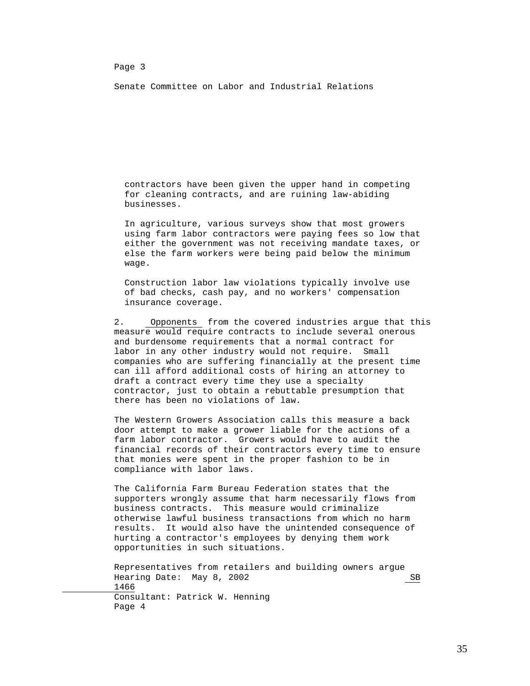Page 3

Senate Committee on Labor and Industrial Relations

 contractors have been given the upper hand in competing for cleaning contracts, and are ruining law-abiding businesses.

 In agriculture, various surveys show that most growers using farm labor contractors were paying fees so low that either the government was not receiving mandate taxes, or else the farm workers were being paid below the minimum wage.

 Construction labor law violations typically involve use of bad checks, cash pay, and no workers' compensation insurance coverage.

 2. Opponents from the covered industries argue that this measure would require contracts to include several onerous and burdensome requirements that a normal contract for labor in any other industry would not require. Small companies who are suffering financially at the present time can ill afford additional costs of hiring an attorney to draft a contract every time they use a specialty contractor, just to obtain a rebuttable presumption that there has been no violations of law.

 The Western Growers Association calls this measure a back door attempt to make a grower liable for the actions of a farm labor contractor. Growers would have to audit the financial records of their contractors every time to ensure that monies were spent in the proper fashion to be in compliance with labor laws.

 The California Farm Bureau Federation states that the supporters wrongly assume that harm necessarily flows from business contracts. This measure would criminalize otherwise lawful business transactions from which no harm results. It would also have the unintended consequence of hurting a contractor's employees by denying them work opportunities in such situations.

 Representatives from retailers and building owners argue Hearing Date: May 8, 2002 SB 1466 Consultant: Patrick W. Henning Page 4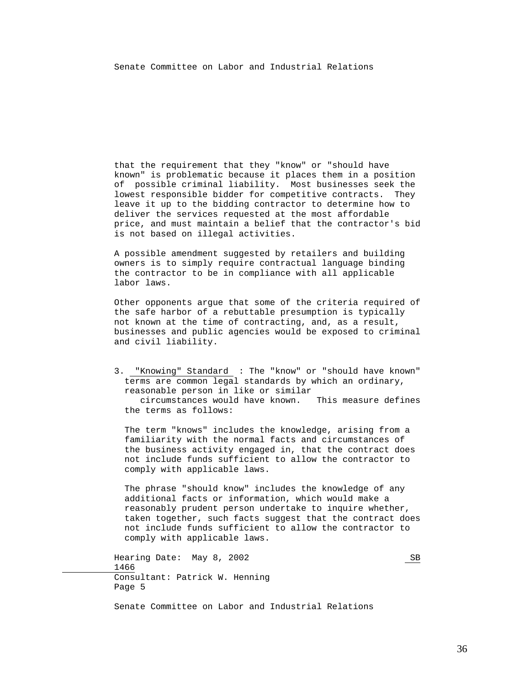that the requirement that they "know" or "should have known" is problematic because it places them in a position of possible criminal liability. Most businesses seek the lowest responsible bidder for competitive contracts. They leave it up to the bidding contractor to determine how to deliver the services requested at the most affordable price, and must maintain a belief that the contractor's bid is not based on illegal activities.

 A possible amendment suggested by retailers and building owners is to simply require contractual language binding the contractor to be in compliance with all applicable labor laws.

 Other opponents argue that some of the criteria required of the safe harbor of a rebuttable presumption is typically not known at the time of contracting, and, as a result, businesses and public agencies would be exposed to criminal and civil liability.

 3. "Knowing" Standard : The "know" or "should have known" terms are common legal standards by which an ordinary, reasonable person in like or similar circumstances would have known. This measure defines the terms as follows:

 The term "knows" includes the knowledge, arising from a familiarity with the normal facts and circumstances of the business activity engaged in, that the contract does not include funds sufficient to allow the contractor to comply with applicable laws.

 The phrase "should know" includes the knowledge of any additional facts or information, which would make a reasonably prudent person undertake to inquire whether, taken together, such facts suggest that the contract does not include funds sufficient to allow the contractor to comply with applicable laws.

Hearing Date: May 8, 2002 SB 1466 Consultant: Patrick W. Henning Page 5

Senate Committee on Labor and Industrial Relations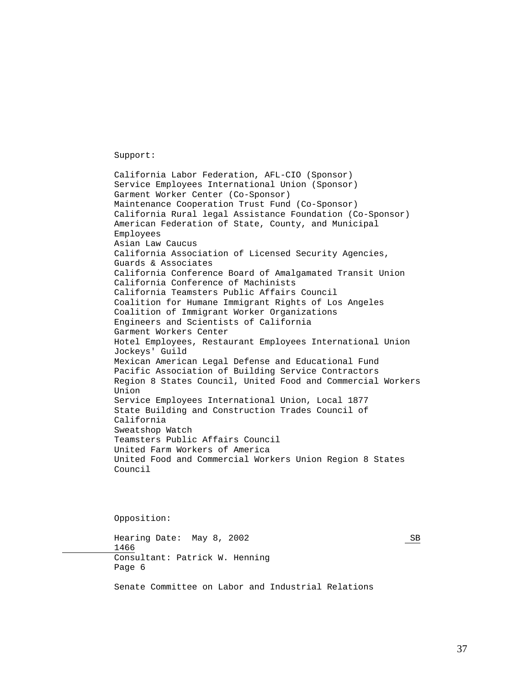Support:

 California Labor Federation, AFL-CIO (Sponsor) Service Employees International Union (Sponsor) Garment Worker Center (Co-Sponsor) Maintenance Cooperation Trust Fund (Co-Sponsor) California Rural legal Assistance Foundation (Co-Sponsor) American Federation of State, County, and Municipal Employees Asian Law Caucus California Association of Licensed Security Agencies, Guards & Associates California Conference Board of Amalgamated Transit Union California Conference of Machinists California Teamsters Public Affairs Council Coalition for Humane Immigrant Rights of Los Angeles Coalition of Immigrant Worker Organizations Engineers and Scientists of California Garment Workers Center Hotel Employees, Restaurant Employees International Union Jockeys' Guild Mexican American Legal Defense and Educational Fund Pacific Association of Building Service Contractors Region 8 States Council, United Food and Commercial Workers Union Service Employees International Union, Local 1877 State Building and Construction Trades Council of California Sweatshop Watch Teamsters Public Affairs Council United Farm Workers of America United Food and Commercial Workers Union Region 8 States Council

Opposition:

Hearing Date: May 8, 2002 SB 1466 Consultant: Patrick W. Henning Page 6

Senate Committee on Labor and Industrial Relations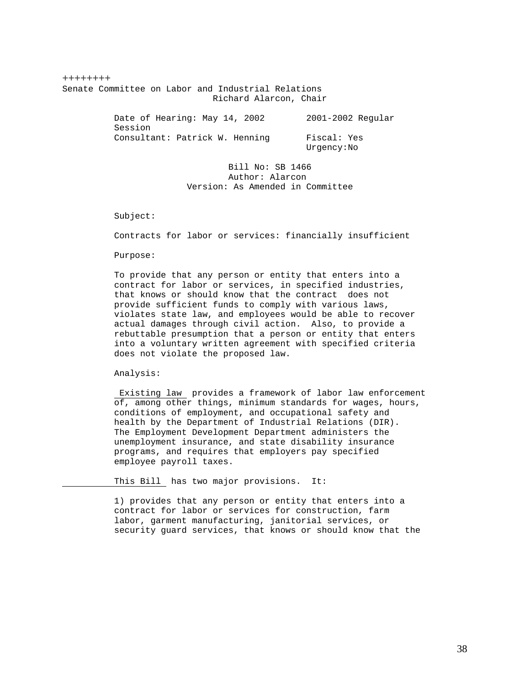++++++++ Senate Committee on Labor and Industrial Relations Richard Alarcon, Chair

> Date of Hearing: May 14, 2002 2001-2002 Regular Session Consultant: Patrick W. Henning Fiscal: Yes Urgency:No

> > Bill No: SB 1466 Author: Alarcon Version: As Amended in Committee

Subject:

Contracts for labor or services: financially insufficient

Purpose:

 To provide that any person or entity that enters into a contract for labor or services, in specified industries, that knows or should know that the contract does not provide sufficient funds to comply with various laws, violates state law, and employees would be able to recover actual damages through civil action. Also, to provide a rebuttable presumption that a person or entity that enters into a voluntary written agreement with specified criteria does not violate the proposed law.

Analysis:

 Existing law provides a framework of labor law enforcement of, among other things, minimum standards for wages, hours, conditions of employment, and occupational safety and health by the Department of Industrial Relations (DIR). The Employment Development Department administers the unemployment insurance, and state disability insurance programs, and requires that employers pay specified employee payroll taxes.

This Bill has two major provisions. It:

 1) provides that any person or entity that enters into a contract for labor or services for construction, farm labor, garment manufacturing, janitorial services, or security guard services, that knows or should know that the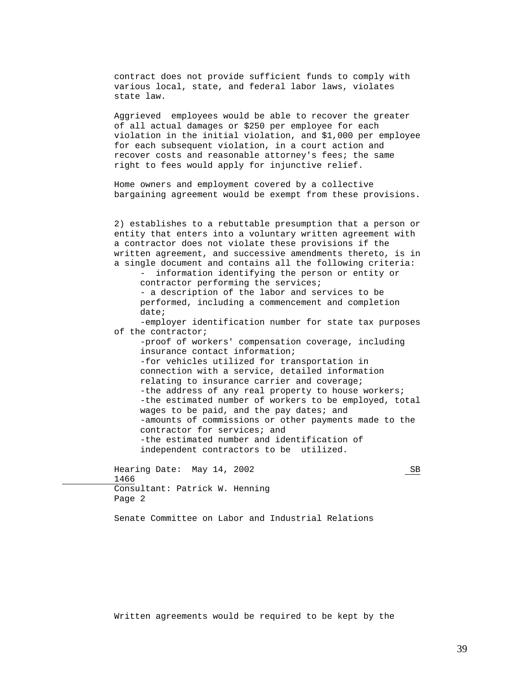contract does not provide sufficient funds to comply with various local, state, and federal labor laws, violates state law.

 Aggrieved employees would be able to recover the greater of all actual damages or \$250 per employee for each violation in the initial violation, and \$1,000 per employee for each subsequent violation, in a court action and recover costs and reasonable attorney's fees; the same right to fees would apply for injunctive relief.

 Home owners and employment covered by a collective bargaining agreement would be exempt from these provisions.

 2) establishes to a rebuttable presumption that a person or entity that enters into a voluntary written agreement with a contractor does not violate these provisions if the written agreement, and successive amendments thereto, is in a single document and contains all the following criteria: - information identifying the person or entity or contractor performing the services; - a description of the labor and services to be performed, including a commencement and completion date; -employer identification number for state tax purposes of the contractor; -proof of workers' compensation coverage, including insurance contact information; -for vehicles utilized for transportation in connection with a service, detailed information relating to insurance carrier and coverage; -the address of any real property to house workers; -the estimated number of workers to be employed, total wages to be paid, and the pay dates; and -amounts of commissions or other payments made to the contractor for services; and -the estimated number and identification of independent contractors to be utilized. Hearing Date: May 14, 2002 SB 1466 Consultant: Patrick W. Henning

Page 2

Senate Committee on Labor and Industrial Relations

Written agreements would be required to be kept by the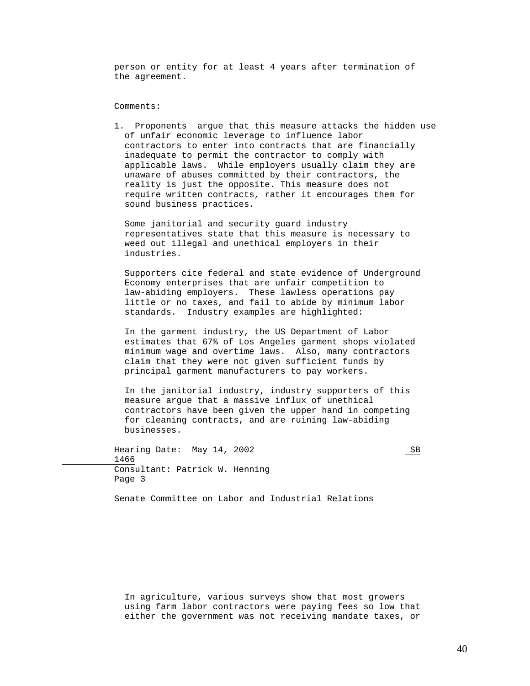person or entity for at least 4 years after termination of the agreement.

# Comments:

 1. Proponents argue that this measure attacks the hidden use of unfair economic leverage to influence labor contractors to enter into contracts that are financially inadequate to permit the contractor to comply with applicable laws. While employers usually claim they are unaware of abuses committed by their contractors, the reality is just the opposite. This measure does not require written contracts, rather it encourages them for sound business practices.

 Some janitorial and security guard industry representatives state that this measure is necessary to weed out illegal and unethical employers in their industries.

 Supporters cite federal and state evidence of Underground Economy enterprises that are unfair competition to law-abiding employers. These lawless operations pay little or no taxes, and fail to abide by minimum labor standards. Industry examples are highlighted:

 In the garment industry, the US Department of Labor estimates that 67% of Los Angeles garment shops violated minimum wage and overtime laws. Also, many contractors claim that they were not given sufficient funds by principal garment manufacturers to pay workers.

 In the janitorial industry, industry supporters of this measure argue that a massive influx of unethical contractors have been given the upper hand in competing for cleaning contracts, and are ruining law-abiding businesses.

Hearing Date: May 14, 2002 SB 1466 Consultant: Patrick W. Henning Page 3

Senate Committee on Labor and Industrial Relations

 In agriculture, various surveys show that most growers using farm labor contractors were paying fees so low that either the government was not receiving mandate taxes, or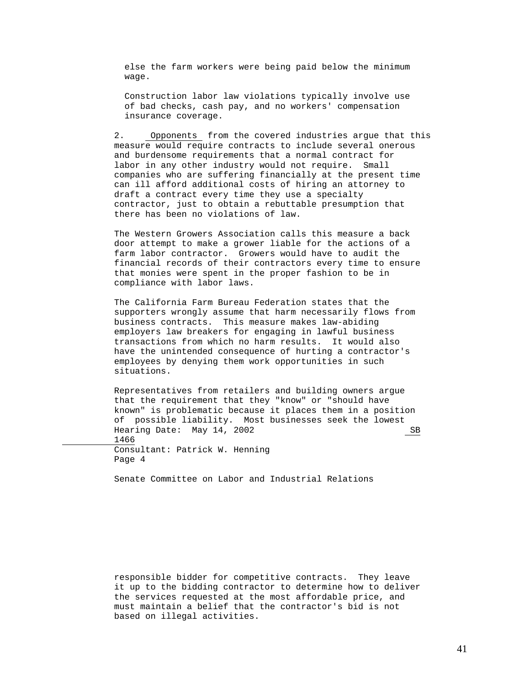else the farm workers were being paid below the minimum wage.

 Construction labor law violations typically involve use of bad checks, cash pay, and no workers' compensation insurance coverage.

 2. Opponents from the covered industries argue that this measure would require contracts to include several onerous and burdensome requirements that a normal contract for labor in any other industry would not require. Small companies who are suffering financially at the present time can ill afford additional costs of hiring an attorney to draft a contract every time they use a specialty contractor, just to obtain a rebuttable presumption that there has been no violations of law.

 The Western Growers Association calls this measure a back door attempt to make a grower liable for the actions of a farm labor contractor. Growers would have to audit the financial records of their contractors every time to ensure that monies were spent in the proper fashion to be in compliance with labor laws.

 The California Farm Bureau Federation states that the supporters wrongly assume that harm necessarily flows from business contracts. This measure makes law-abiding employers law breakers for engaging in lawful business transactions from which no harm results. It would also have the unintended consequence of hurting a contractor's employees by denying them work opportunities in such situations.

 Representatives from retailers and building owners argue that the requirement that they "know" or "should have known" is problematic because it places them in a position of possible liability. Most businesses seek the lowest Hearing Date: May 14, 2002 SB 1466 Consultant: Patrick W. Henning Page 4

Senate Committee on Labor and Industrial Relations

 responsible bidder for competitive contracts. They leave it up to the bidding contractor to determine how to deliver the services requested at the most affordable price, and must maintain a belief that the contractor's bid is not based on illegal activities.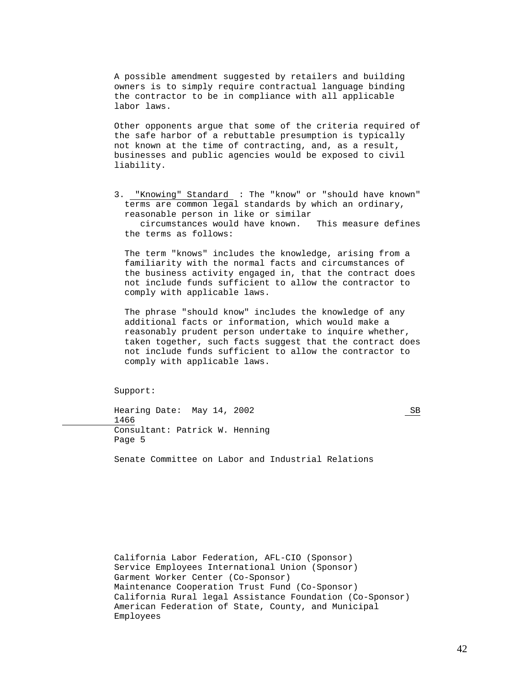A possible amendment suggested by retailers and building owners is to simply require contractual language binding the contractor to be in compliance with all applicable labor laws.

 Other opponents argue that some of the criteria required of the safe harbor of a rebuttable presumption is typically not known at the time of contracting, and, as a result, businesses and public agencies would be exposed to civil liability.

 3. "Knowing" Standard : The "know" or "should have known" terms are common legal standards by which an ordinary, reasonable person in like or similar

 circumstances would have known. This measure defines the terms as follows:

 The term "knows" includes the knowledge, arising from a familiarity with the normal facts and circumstances of the business activity engaged in, that the contract does not include funds sufficient to allow the contractor to comply with applicable laws.

 The phrase "should know" includes the knowledge of any additional facts or information, which would make a reasonably prudent person undertake to inquire whether, taken together, such facts suggest that the contract does not include funds sufficient to allow the contractor to comply with applicable laws.

Support:

Hearing Date: May 14, 2002 SB 1466 Consultant: Patrick W. Henning Page 5

Senate Committee on Labor and Industrial Relations

 California Labor Federation, AFL-CIO (Sponsor) Service Employees International Union (Sponsor) Garment Worker Center (Co-Sponsor) Maintenance Cooperation Trust Fund (Co-Sponsor) California Rural legal Assistance Foundation (Co-Sponsor) American Federation of State, County, and Municipal Employees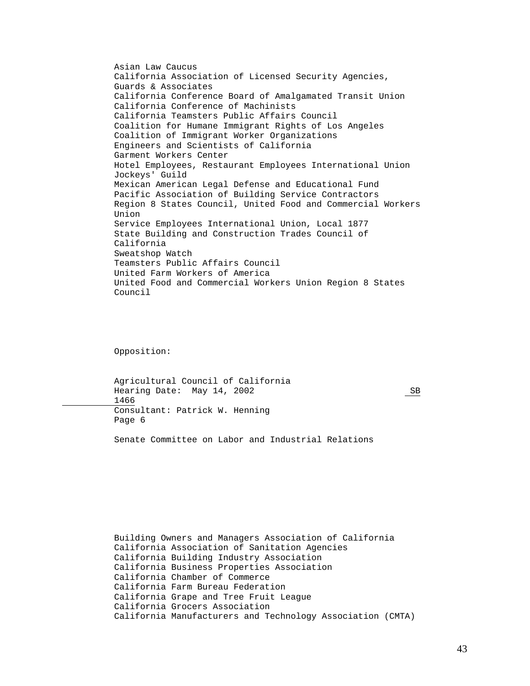Asian Law Caucus California Association of Licensed Security Agencies, Guards & Associates California Conference Board of Amalgamated Transit Union California Conference of Machinists California Teamsters Public Affairs Council Coalition for Humane Immigrant Rights of Los Angeles Coalition of Immigrant Worker Organizations Engineers and Scientists of California Garment Workers Center Hotel Employees, Restaurant Employees International Union Jockeys' Guild Mexican American Legal Defense and Educational Fund Pacific Association of Building Service Contractors Region 8 States Council, United Food and Commercial Workers Union Service Employees International Union, Local 1877 State Building and Construction Trades Council of California Sweatshop Watch Teamsters Public Affairs Council United Farm Workers of America United Food and Commercial Workers Union Region 8 States Council

Opposition:

 Agricultural Council of California Hearing Date: May 14, 2002 SB 1466 Consultant: Patrick W. Henning Page 6

Senate Committee on Labor and Industrial Relations

 Building Owners and Managers Association of California California Association of Sanitation Agencies California Building Industry Association California Business Properties Association California Chamber of Commerce California Farm Bureau Federation California Grape and Tree Fruit League California Grocers Association California Manufacturers and Technology Association (CMTA)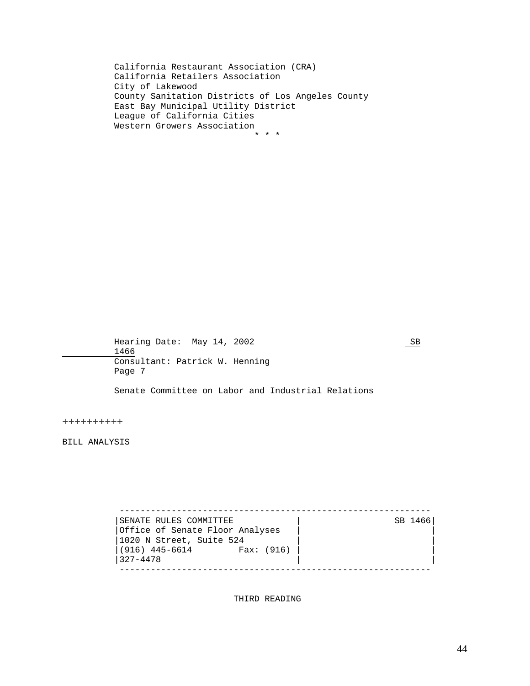California Restaurant Association (CRA) California Retailers Association City of Lakewood County Sanitation Districts of Los Angeles County East Bay Municipal Utility District League of California Cities Western Growers Association<br>\* \* \* \* \* \*

> Hearing Date: May 14, 2002 SB 1466 Consultant: Patrick W. Henning Page 7

Senate Committee on Labor and Industrial Relations

++++++++++

BILL ANALYSIS

 ------------------------------------------------------------ |SENATE RULES COMMITTEE | | SENATE RULES COMMITTEE |Office of Senate Floor Analyses | | |1020 N Street, Suite 524 | | |(916) 445-6614 Fax: (916) | | |327-4478 | | ------------------------------------------------------------

THIRD READING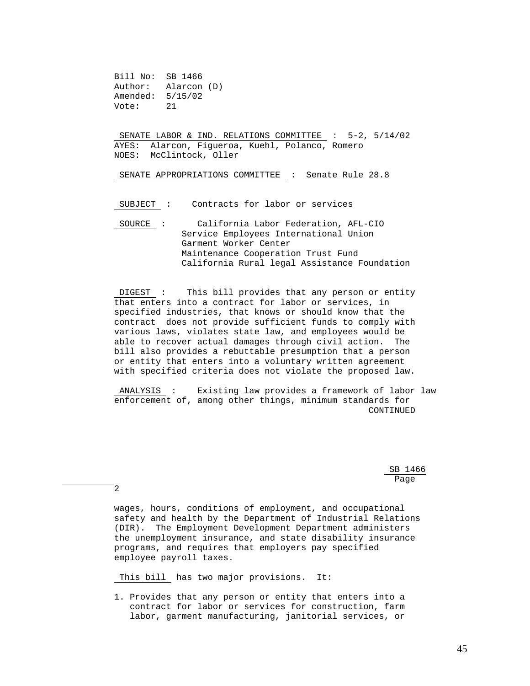Bill No: SB 1466 Author: Alarcon (D) Amended: 5/15/02 Vote: 21

SENATE LABOR & IND. RELATIONS COMMITTEE : 5-2, 5/14/02 AYES: Alarcon, Figueroa, Kuehl, Polanco, Romero NOES: McClintock, Oller

SENATE APPROPRIATIONS COMMITTEE : Senate Rule 28.8

SUBJECT : Contracts for labor or services

 SOURCE : California Labor Federation, AFL-CIO Service Employees International Union Garment Worker Center Maintenance Cooperation Trust Fund California Rural legal Assistance Foundation

 DIGEST : This bill provides that any person or entity that enters into a contract for labor or services, in specified industries, that knows or should know that the contract does not provide sufficient funds to comply with various laws, violates state law, and employees would be able to recover actual damages through civil action. The bill also provides a rebuttable presumption that a person or entity that enters into a voluntary written agreement with specified criteria does not violate the proposed law.

 ANALYSIS : Existing law provides a framework of labor law enforcement of, among other things, minimum standards for CONTINUED

 SB 1466 <u>Page of the set of the set of the set of the set of the set of the set of the set of the set of the set of the set of the set of the set of the set of the set of the set of the set of the set of the set of the set of the </u>

2

 wages, hours, conditions of employment, and occupational safety and health by the Department of Industrial Relations (DIR). The Employment Development Department administers the unemployment insurance, and state disability insurance programs, and requires that employers pay specified employee payroll taxes.

This bill has two major provisions. It:

 1. Provides that any person or entity that enters into a contract for labor or services for construction, farm labor, garment manufacturing, janitorial services, or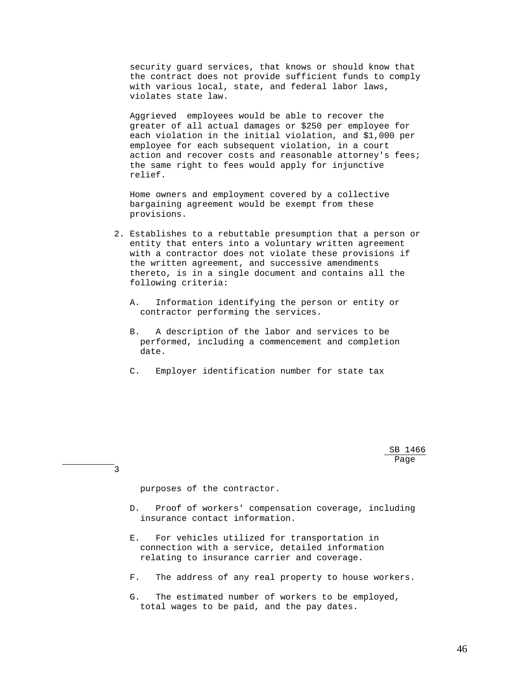security guard services, that knows or should know that the contract does not provide sufficient funds to comply with various local, state, and federal labor laws, violates state law.

 Aggrieved employees would be able to recover the greater of all actual damages or \$250 per employee for each violation in the initial violation, and \$1,000 per employee for each subsequent violation, in a court action and recover costs and reasonable attorney's fees; the same right to fees would apply for injunctive relief.

 Home owners and employment covered by a collective bargaining agreement would be exempt from these provisions.

- 2. Establishes to a rebuttable presumption that a person or entity that enters into a voluntary written agreement with a contractor does not violate these provisions if the written agreement, and successive amendments thereto, is in a single document and contains all the following criteria:
	- A. Information identifying the person or entity or contractor performing the services.
	- B. A description of the labor and services to be performed, including a commencement and completion date.
	- C. Employer identification number for state tax

 SB 1466 <u>Page of the control of the control of the control of the control of the control of the control of the control of the control of the control of the control of the control of the control of the control of the control of the</u>

3

purposes of the contractor.

- D. Proof of workers' compensation coverage, including insurance contact information.
- E. For vehicles utilized for transportation in connection with a service, detailed information relating to insurance carrier and coverage.
- F. The address of any real property to house workers.
- G. The estimated number of workers to be employed, total wages to be paid, and the pay dates.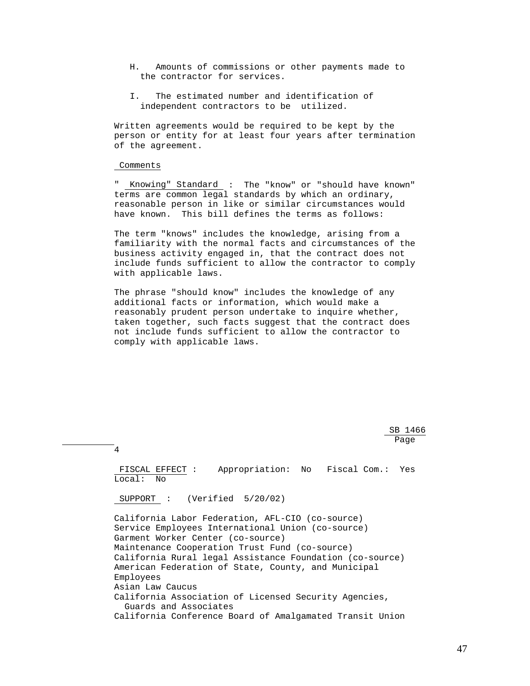- H. Amounts of commissions or other payments made to the contractor for services.
- I. The estimated number and identification of independent contractors to be utilized.

 Written agreements would be required to be kept by the person or entity for at least four years after termination of the agreement.

## Comments

 " Knowing" Standard : The "know" or "should have known" terms are common legal standards by which an ordinary, reasonable person in like or similar circumstances would have known. This bill defines the terms as follows:

 The term "knows" includes the knowledge, arising from a familiarity with the normal facts and circumstances of the business activity engaged in, that the contract does not include funds sufficient to allow the contractor to comply with applicable laws.

 The phrase "should know" includes the knowledge of any additional facts or information, which would make a reasonably prudent person undertake to inquire whether, taken together, such facts suggest that the contract does not include funds sufficient to allow the contractor to comply with applicable laws.

 SB 1466 <u>Page of the set of the set of the set of the set of the set of the set of the set of the set of the set of the set of the set of the set of the set of the set of the set of the set of the set of the set of the set of the </u>

4

 FISCAL EFFECT : Appropriation: No Fiscal Com.: Yes Local: No

SUPPORT : (Verified 5/20/02)

 California Labor Federation, AFL-CIO (co-source) Service Employees International Union (co-source) Garment Worker Center (co-source) Maintenance Cooperation Trust Fund (co-source) California Rural legal Assistance Foundation (co-source) American Federation of State, County, and Municipal Employees Asian Law Caucus California Association of Licensed Security Agencies, Guards and Associates California Conference Board of Amalgamated Transit Union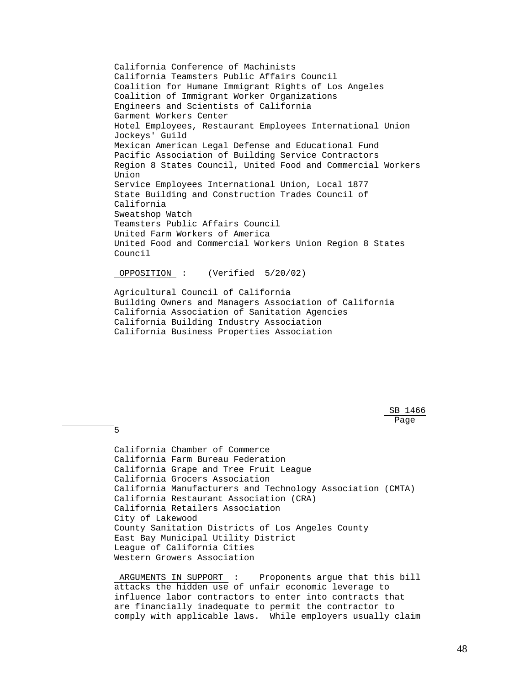California Conference of Machinists California Teamsters Public Affairs Council Coalition for Humane Immigrant Rights of Los Angeles Coalition of Immigrant Worker Organizations Engineers and Scientists of California Garment Workers Center Hotel Employees, Restaurant Employees International Union Jockeys' Guild Mexican American Legal Defense and Educational Fund Pacific Association of Building Service Contractors Region 8 States Council, United Food and Commercial Workers Union Service Employees International Union, Local 1877 State Building and Construction Trades Council of California Sweatshop Watch Teamsters Public Affairs Council United Farm Workers of America United Food and Commercial Workers Union Region 8 States Council

OPPOSITION : (Verified 5/20/02)

 Agricultural Council of California Building Owners and Managers Association of California California Association of Sanitation Agencies California Building Industry Association California Business Properties Association

 SB 1466 <u>Page of the control of the control of the control of the control of the control of the control of the control of the control of the control of the control of the control of the control of the control of the control of the</u>

5

 California Chamber of Commerce California Farm Bureau Federation California Grape and Tree Fruit League California Grocers Association California Manufacturers and Technology Association (CMTA) California Restaurant Association (CRA) California Retailers Association City of Lakewood County Sanitation Districts of Los Angeles County East Bay Municipal Utility District League of California Cities Western Growers Association

 ARGUMENTS IN SUPPORT : Proponents argue that this bill attacks the hidden use of unfair economic leverage to influence labor contractors to enter into contracts that are financially inadequate to permit the contractor to comply with applicable laws. While employers usually claim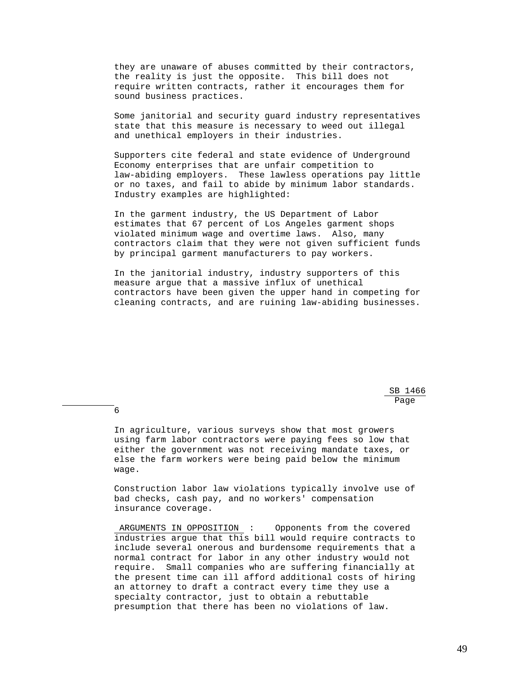they are unaware of abuses committed by their contractors, the reality is just the opposite. This bill does not require written contracts, rather it encourages them for sound business practices.

 Some janitorial and security guard industry representatives state that this measure is necessary to weed out illegal and unethical employers in their industries.

 Supporters cite federal and state evidence of Underground Economy enterprises that are unfair competition to law-abiding employers. These lawless operations pay little or no taxes, and fail to abide by minimum labor standards. Industry examples are highlighted:

 In the garment industry, the US Department of Labor estimates that 67 percent of Los Angeles garment shops violated minimum wage and overtime laws. Also, many contractors claim that they were not given sufficient funds by principal garment manufacturers to pay workers.

 In the janitorial industry, industry supporters of this measure argue that a massive influx of unethical contractors have been given the upper hand in competing for cleaning contracts, and are ruining law-abiding businesses.

 SB 1466 nd a bhliain 1992 agus an t-Iomraidh ann an t-Iomraidh ann an t-Iomraidh ann an t-Iomraidh ann an t-Iomraidh a

 6 In agriculture, various surveys show that most growers using farm labor contractors were paying fees so low that either the government was not receiving mandate taxes, or else the farm workers were being paid below the minimum

> Construction labor law violations typically involve use of bad checks, cash pay, and no workers' compensation insurance coverage.

wage.

 ARGUMENTS IN OPPOSITION : Opponents from the covered industries argue that this bill would require contracts to include several onerous and burdensome requirements that a normal contract for labor in any other industry would not require. Small companies who are suffering financially at the present time can ill afford additional costs of hiring an attorney to draft a contract every time they use a specialty contractor, just to obtain a rebuttable presumption that there has been no violations of law.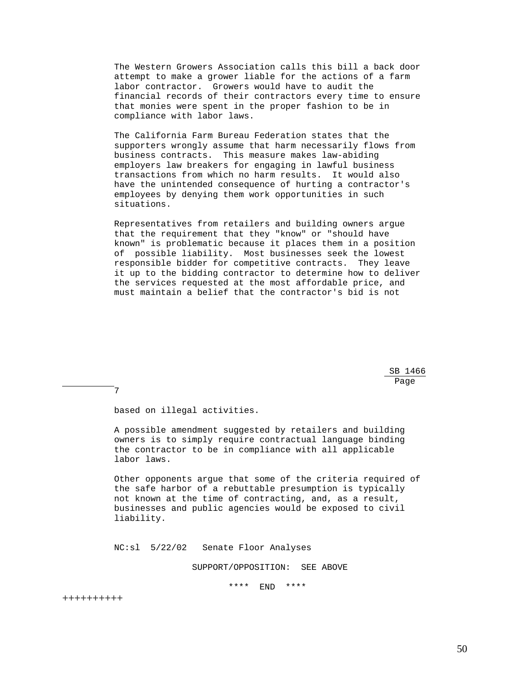The Western Growers Association calls this bill a back door attempt to make a grower liable for the actions of a farm labor contractor. Growers would have to audit the financial records of their contractors every time to ensure that monies were spent in the proper fashion to be in compliance with labor laws.

 The California Farm Bureau Federation states that the supporters wrongly assume that harm necessarily flows from business contracts. This measure makes law-abiding employers law breakers for engaging in lawful business transactions from which no harm results. It would also have the unintended consequence of hurting a contractor's employees by denying them work opportunities in such situations.

 Representatives from retailers and building owners argue that the requirement that they "know" or "should have known" is problematic because it places them in a position of possible liability. Most businesses seek the lowest responsible bidder for competitive contracts. They leave it up to the bidding contractor to determine how to deliver the services requested at the most affordable price, and must maintain a belief that the contractor's bid is not

 SB 1466 <u>Page of the control of the control of the control of the control of the control of the control of the control of the control of the control of the control of the control of the control of the control of the control of the</u>

7

based on illegal activities.

 A possible amendment suggested by retailers and building owners is to simply require contractual language binding the contractor to be in compliance with all applicable labor laws.

 Other opponents argue that some of the criteria required of the safe harbor of a rebuttable presumption is typically not known at the time of contracting, and, as a result, businesses and public agencies would be exposed to civil liability.

NC:sl 5/22/02 Senate Floor Analyses

SUPPORT/OPPOSITION: SEE ABOVE

\*\*\*\* END \*\*\*\*

++++++++++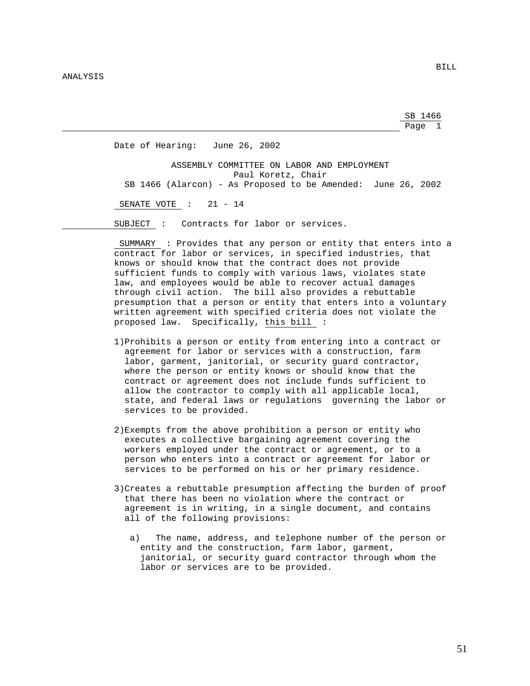SB 1466 Page 1

Date of Hearing: June 26, 2002

 ASSEMBLY COMMITTEE ON LABOR AND EMPLOYMENT Paul Koretz, Chair SB 1466 (Alarcon) - As Proposed to be Amended: June 26, 2002

SENATE VOTE : 21 - 14

SUBJECT : Contracts for labor or services.

 SUMMARY : Provides that any person or entity that enters into a contract for labor or services, in specified industries, that knows or should know that the contract does not provide sufficient funds to comply with various laws, violates state law, and employees would be able to recover actual damages through civil action. The bill also provides a rebuttable presumption that a person or entity that enters into a voluntary written agreement with specified criteria does not violate the proposed law. Specifically, this bill :

- 1)Prohibits a person or entity from entering into a contract or agreement for labor or services with a construction, farm labor, garment, janitorial, or security guard contractor, where the person or entity knows or should know that the contract or agreement does not include funds sufficient to allow the contractor to comply with all applicable local, state, and federal laws or regulations governing the labor or services to be provided.
- 2)Exempts from the above prohibition a person or entity who executes a collective bargaining agreement covering the workers employed under the contract or agreement, or to a person who enters into a contract or agreement for labor or services to be performed on his or her primary residence.
- 3)Creates a rebuttable presumption affecting the burden of proof that there has been no violation where the contract or agreement is in writing, in a single document, and contains all of the following provisions:
	- a) The name, address, and telephone number of the person or entity and the construction, farm labor, garment, janitorial, or security guard contractor through whom the labor or services are to be provided.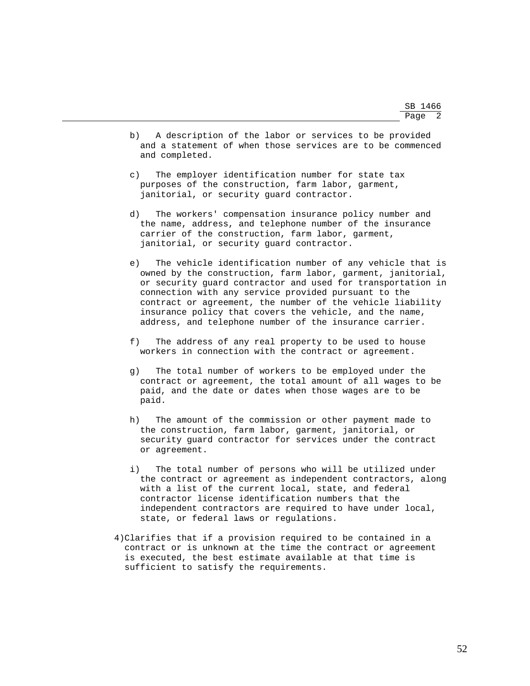- b) A description of the labor or services to be provided and a statement of when those services are to be commenced and completed.
- c) The employer identification number for state tax purposes of the construction, farm labor, garment, janitorial, or security guard contractor.
- d) The workers' compensation insurance policy number and the name, address, and telephone number of the insurance carrier of the construction, farm labor, garment, janitorial, or security guard contractor.
- e) The vehicle identification number of any vehicle that is owned by the construction, farm labor, garment, janitorial, or security guard contractor and used for transportation in connection with any service provided pursuant to the contract or agreement, the number of the vehicle liability insurance policy that covers the vehicle, and the name, address, and telephone number of the insurance carrier.
- f) The address of any real property to be used to house workers in connection with the contract or agreement.
- g) The total number of workers to be employed under the contract or agreement, the total amount of all wages to be paid, and the date or dates when those wages are to be paid.
- h) The amount of the commission or other payment made to the construction, farm labor, garment, janitorial, or security guard contractor for services under the contract or agreement.
- i) The total number of persons who will be utilized under the contract or agreement as independent contractors, along with a list of the current local, state, and federal contractor license identification numbers that the independent contractors are required to have under local, state, or federal laws or regulations.
- 4)Clarifies that if a provision required to be contained in a contract or is unknown at the time the contract or agreement is executed, the best estimate available at that time is sufficient to satisfy the requirements.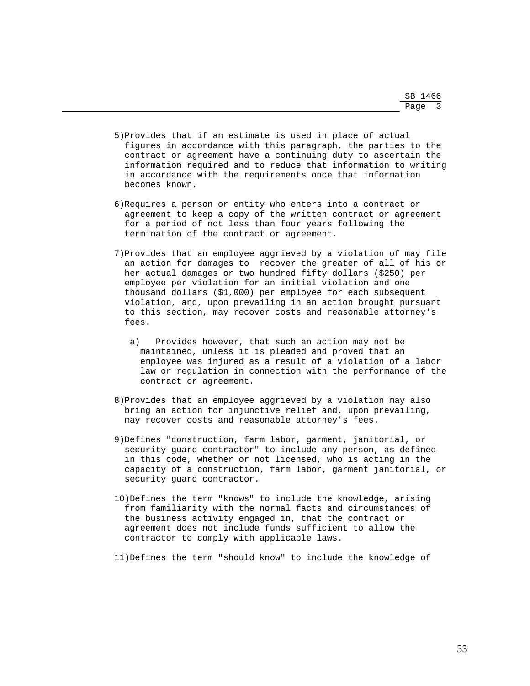- 5)Provides that if an estimate is used in place of actual figures in accordance with this paragraph, the parties to the contract or agreement have a continuing duty to ascertain the information required and to reduce that information to writing in accordance with the requirements once that information becomes known.
- 6)Requires a person or entity who enters into a contract or agreement to keep a copy of the written contract or agreement for a period of not less than four years following the termination of the contract or agreement.
- 7)Provides that an employee aggrieved by a violation of may file an action for damages to recover the greater of all of his or her actual damages or two hundred fifty dollars (\$250) per employee per violation for an initial violation and one thousand dollars (\$1,000) per employee for each subsequent violation, and, upon prevailing in an action brought pursuant to this section, may recover costs and reasonable attorney's fees.
	- a) Provides however, that such an action may not be maintained, unless it is pleaded and proved that an employee was injured as a result of a violation of a labor law or regulation in connection with the performance of the contract or agreement.
- 8)Provides that an employee aggrieved by a violation may also bring an action for injunctive relief and, upon prevailing, may recover costs and reasonable attorney's fees.
- 9)Defines "construction, farm labor, garment, janitorial, or security guard contractor" to include any person, as defined in this code, whether or not licensed, who is acting in the capacity of a construction, farm labor, garment janitorial, or security guard contractor.
- 10)Defines the term "knows" to include the knowledge, arising from familiarity with the normal facts and circumstances of the business activity engaged in, that the contract or agreement does not include funds sufficient to allow the contractor to comply with applicable laws.
- 11)Defines the term "should know" to include the knowledge of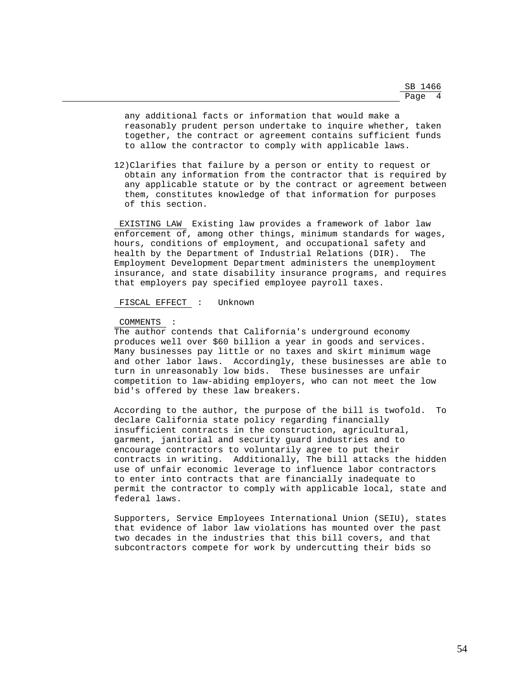any additional facts or information that would make a reasonably prudent person undertake to inquire whether, taken together, the contract or agreement contains sufficient funds to allow the contractor to comply with applicable laws.

 12)Clarifies that failure by a person or entity to request or obtain any information from the contractor that is required by any applicable statute or by the contract or agreement between them, constitutes knowledge of that information for purposes of this section.

 EXISTING LAW Existing law provides a framework of labor law enforcement of, among other things, minimum standards for wages, hours, conditions of employment, and occupational safety and health by the Department of Industrial Relations (DIR). The Employment Development Department administers the unemployment insurance, and state disability insurance programs, and requires that employers pay specified employee payroll taxes.

FISCAL EFFECT : Unknown

### COMMENTS :

 The author contends that California's underground economy produces well over \$60 billion a year in goods and services. Many businesses pay little or no taxes and skirt minimum wage and other labor laws. Accordingly, these businesses are able to turn in unreasonably low bids. These businesses are unfair competition to law-abiding employers, who can not meet the low bid's offered by these law breakers.

 According to the author, the purpose of the bill is twofold. To declare California state policy regarding financially insufficient contracts in the construction, agricultural, garment, janitorial and security guard industries and to encourage contractors to voluntarily agree to put their contracts in writing. Additionally, The bill attacks the hidden use of unfair economic leverage to influence labor contractors to enter into contracts that are financially inadequate to permit the contractor to comply with applicable local, state and federal laws.

 Supporters, Service Employees International Union (SEIU), states that evidence of labor law violations has mounted over the past two decades in the industries that this bill covers, and that subcontractors compete for work by undercutting their bids so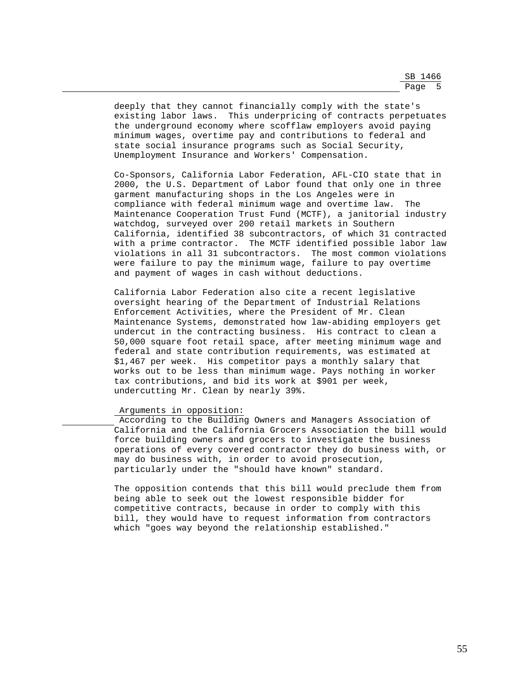deeply that they cannot financially comply with the state's existing labor laws. This underpricing of contracts perpetuates the underground economy where scofflaw employers avoid paying minimum wages, overtime pay and contributions to federal and state social insurance programs such as Social Security, Unemployment Insurance and Workers' Compensation.

 Co-Sponsors, California Labor Federation, AFL-CIO state that in 2000, the U.S. Department of Labor found that only one in three garment manufacturing shops in the Los Angeles were in compliance with federal minimum wage and overtime law. The Maintenance Cooperation Trust Fund (MCTF), a janitorial industry watchdog, surveyed over 200 retail markets in Southern California, identified 38 subcontractors, of which 31 contracted with a prime contractor. The MCTF identified possible labor law violations in all 31 subcontractors. The most common violations were failure to pay the minimum wage, failure to pay overtime and payment of wages in cash without deductions.

 California Labor Federation also cite a recent legislative oversight hearing of the Department of Industrial Relations Enforcement Activities, where the President of Mr. Clean Maintenance Systems, demonstrated how law-abiding employers get undercut in the contracting business. His contract to clean a 50,000 square foot retail space, after meeting minimum wage and federal and state contribution requirements, was estimated at \$1,467 per week. His competitor pays a monthly salary that works out to be less than minimum wage. Pays nothing in worker tax contributions, and bid its work at \$901 per week, undercutting Mr. Clean by nearly 39%.

# Arguments in opposition:

 According to the Building Owners and Managers Association of California and the California Grocers Association the bill would force building owners and grocers to investigate the business operations of every covered contractor they do business with, or may do business with, in order to avoid prosecution, particularly under the "should have known" standard.

 The opposition contends that this bill would preclude them from being able to seek out the lowest responsible bidder for competitive contracts, because in order to comply with this bill, they would have to request information from contractors which "goes way beyond the relationship established."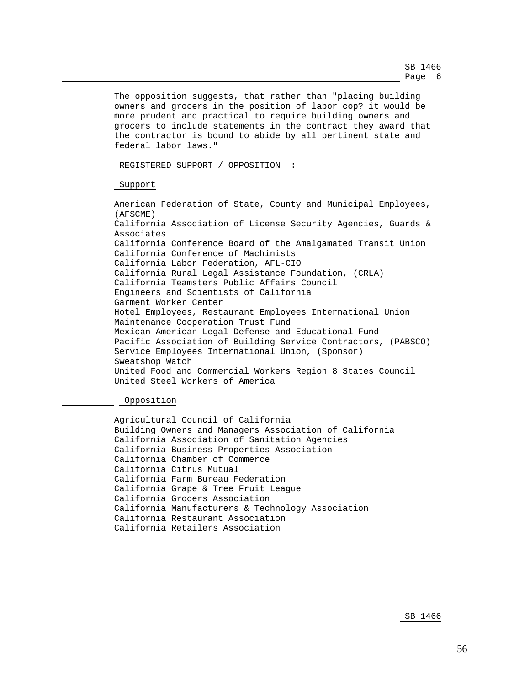The opposition suggests, that rather than "placing building owners and grocers in the position of labor cop? it would be more prudent and practical to require building owners and grocers to include statements in the contract they award that the contractor is bound to abide by all pertinent state and federal labor laws."

REGISTERED SUPPORT / OPPOSITION :

Support

 American Federation of State, County and Municipal Employees, (AFSCME) California Association of License Security Agencies, Guards & Associates California Conference Board of the Amalgamated Transit Union California Conference of Machinists California Labor Federation, AFL-CIO California Rural Legal Assistance Foundation, (CRLA) California Teamsters Public Affairs Council Engineers and Scientists of California Garment Worker Center Hotel Employees, Restaurant Employees International Union Maintenance Cooperation Trust Fund Mexican American Legal Defense and Educational Fund Pacific Association of Building Service Contractors, (PABSCO) Service Employees International Union, (Sponsor) Sweatshop Watch United Food and Commercial Workers Region 8 States Council United Steel Workers of America

Opposition

 Agricultural Council of California Building Owners and Managers Association of California California Association of Sanitation Agencies California Business Properties Association California Chamber of Commerce California Citrus Mutual California Farm Bureau Federation California Grape & Tree Fruit League California Grocers Association California Manufacturers & Technology Association California Restaurant Association California Retailers Association

SB 1466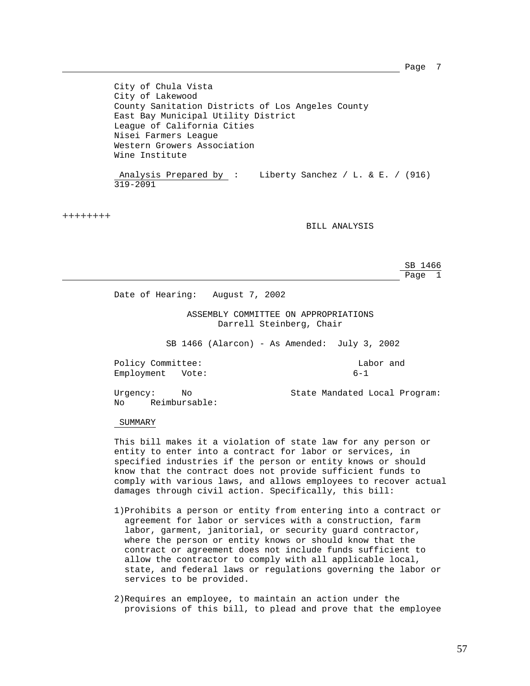City of Chula Vista City of Lakewood County Sanitation Districts of Los Angeles County East Bay Municipal Utility District League of California Cities Nisei Farmers League Western Growers Association Wine Institute

Analysis Prepared by : Liberty Sanchez / L. & E. / (916) 319-2091

++++++++

BILL ANALYSIS

 SB 1466 Page 1

Date of Hearing: August 7, 2002

 ASSEMBLY COMMITTEE ON APPROPRIATIONS Darrell Steinberg, Chair

SB 1466 (Alarcon) - As Amended: July 3, 2002

Policy Committee: Labor and Employment Vote: 6-1

No Reimbursable:

Urgency: No No State Mandated Local Program:

#### SUMMARY

 This bill makes it a violation of state law for any person or entity to enter into a contract for labor or services, in specified industries if the person or entity knows or should know that the contract does not provide sufficient funds to comply with various laws, and allows employees to recover actual damages through civil action. Specifically, this bill:

- 1)Prohibits a person or entity from entering into a contract or agreement for labor or services with a construction, farm labor, garment, janitorial, or security guard contractor, where the person or entity knows or should know that the contract or agreement does not include funds sufficient to allow the contractor to comply with all applicable local, state, and federal laws or regulations governing the labor or services to be provided.
- 2)Requires an employee, to maintain an action under the provisions of this bill, to plead and prove that the employee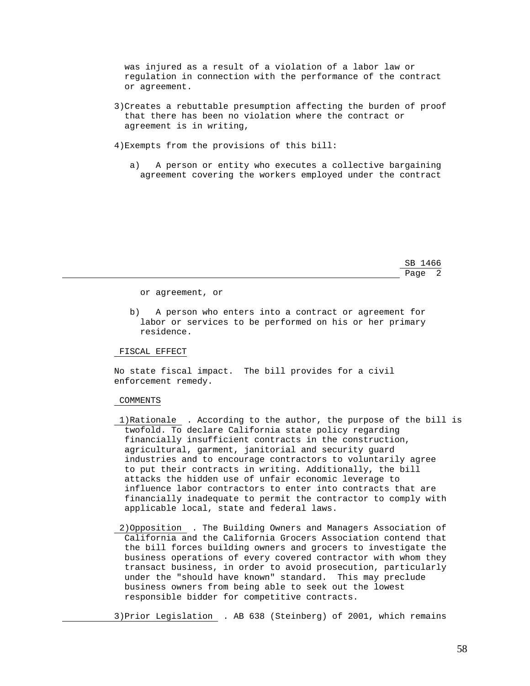was injured as a result of a violation of a labor law or regulation in connection with the performance of the contract or agreement.

 3)Creates a rebuttable presumption affecting the burden of proof that there has been no violation where the contract or agreement is in writing,

4)Exempts from the provisions of this bill:

 a) A person or entity who executes a collective bargaining agreement covering the workers employed under the contract

 SB 1466 Page 2

or agreement, or

 b) A person who enters into a contract or agreement for labor or services to be performed on his or her primary residence.

FISCAL EFFECT

 No state fiscal impact. The bill provides for a civil enforcement remedy.

#### COMMENTS

- 1)Rationale . According to the author, the purpose of the bill is twofold. To declare California state policy regarding financially insufficient contracts in the construction, agricultural, garment, janitorial and security guard industries and to encourage contractors to voluntarily agree to put their contracts in writing. Additionally, the bill attacks the hidden use of unfair economic leverage to influence labor contractors to enter into contracts that are financially inadequate to permit the contractor to comply with applicable local, state and federal laws.
- 2)Opposition . The Building Owners and Managers Association of California and the California Grocers Association contend that the bill forces building owners and grocers to investigate the business operations of every covered contractor with whom they transact business, in order to avoid prosecution, particularly under the "should have known" standard. This may preclude business owners from being able to seek out the lowest responsible bidder for competitive contracts.

3)Prior Legislation . AB 638 (Steinberg) of 2001, which remains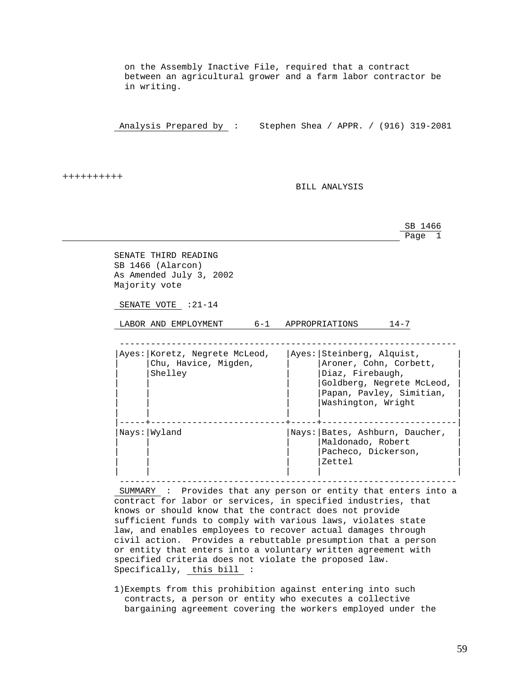on the Assembly Inactive File, required that a contract between an agricultural grower and a farm labor contractor be in writing.

Analysis Prepared by : Stephen Shea / APPR. / (916) 319-2081

++++++++++

BILL ANALYSIS

 SB 1466 Page 1 and 2 and 2 and 2 and 2 and 2 and 2 and 2 and 2 and 2 and 2 and 2 and 2 and 2 and 2 and 2 and 2 and 2 and 2 and 2 and 2 and 2 and 2 and 2 and 2 and 2 and 2 and 2 and 2 and 2 and 2 and 2 and 2 and 2 and 2 and 2 and 2

> SENATE THIRD READING SB 1466 (Alarcon) As Amended July 3, 2002 Majority vote

SENATE VOTE : 21-14

LABOR AND EMPLOYMENT 6-1 APPROPRIATIONS 14-7

| Ayes: Koretz, Negrete McLeod,<br>Chu, Havice, Migden,<br>Shelley | Ayes: Steinberg, Alquist,<br>Aroner, Cohn, Corbett,<br>Diaz, Firebaugh,<br>Goldberg, Negrete McLeod,<br>Papan, Pavley, Simitian,<br>Washington, Wright |
|------------------------------------------------------------------|--------------------------------------------------------------------------------------------------------------------------------------------------------|
| Nays: Wyland                                                     | Nays:   Bates, Ashburn, Daucher,<br>Maldonado, Robert<br>Pacheco, Dickerson,<br>Zettel                                                                 |

 SUMMARY : Provides that any person or entity that enters into a contract for labor or services, in specified industries, that knows or should know that the contract does not provide sufficient funds to comply with various laws, violates state law, and enables employees to recover actual damages through civil action. Provides a rebuttable presumption that a person or entity that enters into a voluntary written agreement with specified criteria does not violate the proposed law. Specifically, this bill :

 1)Exempts from this prohibition against entering into such contracts, a person or entity who executes a collective bargaining agreement covering the workers employed under the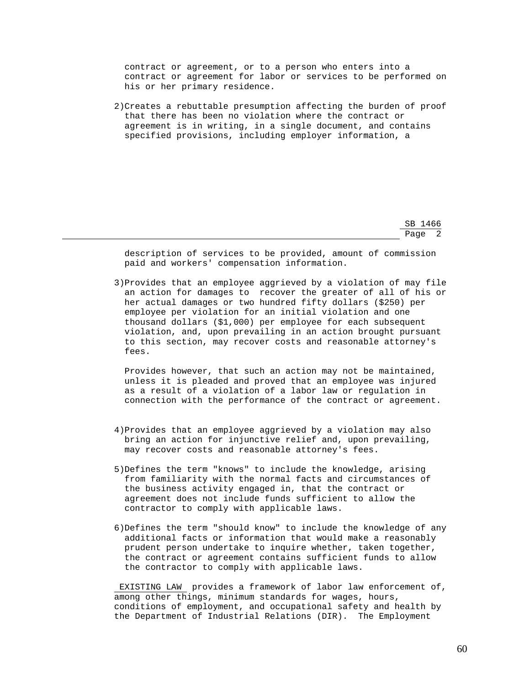contract or agreement, or to a person who enters into a contract or agreement for labor or services to be performed on his or her primary residence.

 2)Creates a rebuttable presumption affecting the burden of proof that there has been no violation where the contract or agreement is in writing, in a single document, and contains specified provisions, including employer information, a

| SB   | 1466 |
|------|------|
| Page | ∼    |

 description of services to be provided, amount of commission paid and workers' compensation information.

 3)Provides that an employee aggrieved by a violation of may file an action for damages to recover the greater of all of his or her actual damages or two hundred fifty dollars (\$250) per employee per violation for an initial violation and one thousand dollars (\$1,000) per employee for each subsequent violation, and, upon prevailing in an action brought pursuant to this section, may recover costs and reasonable attorney's fees.

 Provides however, that such an action may not be maintained, unless it is pleaded and proved that an employee was injured as a result of a violation of a labor law or regulation in connection with the performance of the contract or agreement.

- 4)Provides that an employee aggrieved by a violation may also bring an action for injunctive relief and, upon prevailing, may recover costs and reasonable attorney's fees.
- 5)Defines the term "knows" to include the knowledge, arising from familiarity with the normal facts and circumstances of the business activity engaged in, that the contract or agreement does not include funds sufficient to allow the contractor to comply with applicable laws.
- 6)Defines the term "should know" to include the knowledge of any additional facts or information that would make a reasonably prudent person undertake to inquire whether, taken together, the contract or agreement contains sufficient funds to allow the contractor to comply with applicable laws.

 EXISTING LAW provides a framework of labor law enforcement of, among other things, minimum standards for wages, hours, conditions of employment, and occupational safety and health by the Department of Industrial Relations (DIR). The Employment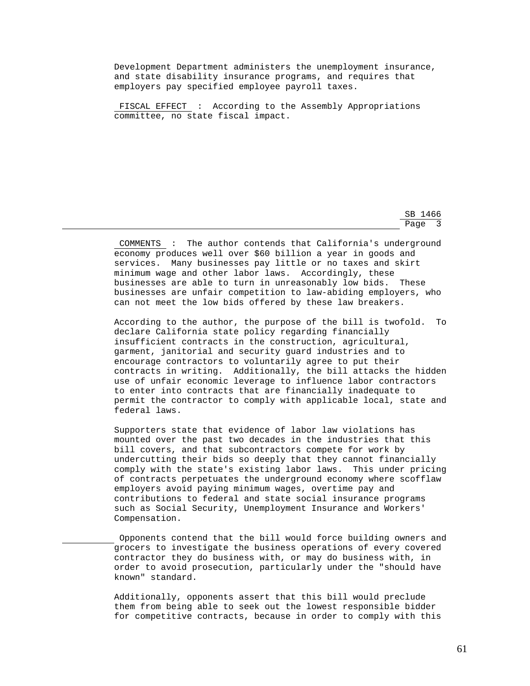Development Department administers the unemployment insurance, and state disability insurance programs, and requires that employers pay specified employee payroll taxes.

 FISCAL EFFECT : According to the Assembly Appropriations committee, no state fiscal impact.

 SB 1466 Page 3

> COMMENTS : The author contends that California's underground economy produces well over \$60 billion a year in goods and services. Many businesses pay little or no taxes and skirt minimum wage and other labor laws. Accordingly, these businesses are able to turn in unreasonably low bids. These businesses are unfair competition to law-abiding employers, who can not meet the low bids offered by these law breakers.

 According to the author, the purpose of the bill is twofold. To declare California state policy regarding financially insufficient contracts in the construction, agricultural, garment, janitorial and security guard industries and to encourage contractors to voluntarily agree to put their contracts in writing. Additionally, the bill attacks the hidden use of unfair economic leverage to influence labor contractors to enter into contracts that are financially inadequate to permit the contractor to comply with applicable local, state and federal laws.

 Supporters state that evidence of labor law violations has mounted over the past two decades in the industries that this bill covers, and that subcontractors compete for work by undercutting their bids so deeply that they cannot financially comply with the state's existing labor laws. This under pricing of contracts perpetuates the underground economy where scofflaw employers avoid paying minimum wages, overtime pay and contributions to federal and state social insurance programs such as Social Security, Unemployment Insurance and Workers' Compensation.

 Opponents contend that the bill would force building owners and grocers to investigate the business operations of every covered contractor they do business with, or may do business with, in order to avoid prosecution, particularly under the "should have known" standard.

 Additionally, opponents assert that this bill would preclude them from being able to seek out the lowest responsible bidder for competitive contracts, because in order to comply with this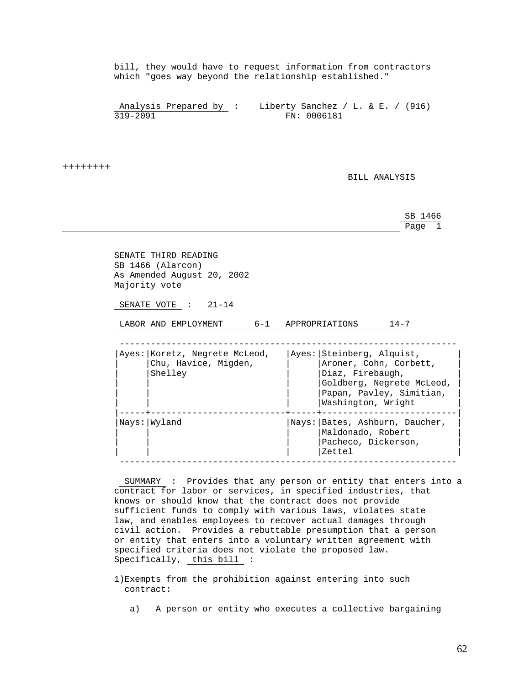bill, they would have to request information from contractors which "goes way beyond the relationship established."

Analysis Prepared by : Liberty Sanchez / L. & E. / (916)<br>319-2091 FN: 0006181 FN: 0006181

++++++++

BILL ANALYSIS

 SB 1466 Page 1

> SENATE THIRD READING SB 1466 (Alarcon) As Amended August 20, 2002 Majority vote

SENATE VOTE : 21-14

LABOR AND EMPLOYMENT 6-1 APPROPRIATIONS 14-7

| Ayes:   Koretz, Negrete McLeod,<br>Chu, Havice, Migden,<br>Shelley | Ayes: Steinberg, Alquist,<br>Aroner, Cohn, Corbett,<br>Diaz, Firebaugh,<br>Goldberg, Negrete McLeod,<br>Papan, Pavley, Simitian,<br>Washington, Wright |
|--------------------------------------------------------------------|--------------------------------------------------------------------------------------------------------------------------------------------------------|
| Nays: Wyland                                                       | Nays:   Bates, Ashburn, Daucher,<br>Maldonado, Robert<br>Pacheco, Dickerson,<br>Zettel                                                                 |

 SUMMARY : Provides that any person or entity that enters into a contract for labor or services, in specified industries, that knows or should know that the contract does not provide sufficient funds to comply with various laws, violates state law, and enables employees to recover actual damages through civil action. Provides a rebuttable presumption that a person or entity that enters into a voluntary written agreement with specified criteria does not violate the proposed law. Specifically, this bill :

 1)Exempts from the prohibition against entering into such contract:

a) A person or entity who executes a collective bargaining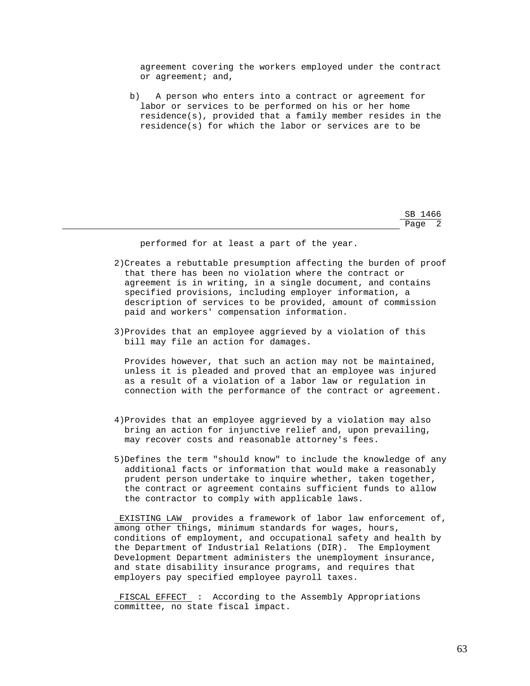agreement covering the workers employed under the contract or agreement; and,

 b) A person who enters into a contract or agreement for labor or services to be performed on his or her home residence(s), provided that a family member resides in the residence(s) for which the labor or services are to be

 SB 1466 Page 2

performed for at least a part of the year.

- 2)Creates a rebuttable presumption affecting the burden of proof that there has been no violation where the contract or agreement is in writing, in a single document, and contains specified provisions, including employer information, a description of services to be provided, amount of commission paid and workers' compensation information.
- 3)Provides that an employee aggrieved by a violation of this bill may file an action for damages.

 Provides however, that such an action may not be maintained, unless it is pleaded and proved that an employee was injured as a result of a violation of a labor law or regulation in connection with the performance of the contract or agreement.

- 4)Provides that an employee aggrieved by a violation may also bring an action for injunctive relief and, upon prevailing, may recover costs and reasonable attorney's fees.
- 5)Defines the term "should know" to include the knowledge of any additional facts or information that would make a reasonably prudent person undertake to inquire whether, taken together, the contract or agreement contains sufficient funds to allow the contractor to comply with applicable laws.

 EXISTING LAW provides a framework of labor law enforcement of, among other things, minimum standards for wages, hours, conditions of employment, and occupational safety and health by the Department of Industrial Relations (DIR). The Employment Development Department administers the unemployment insurance, and state disability insurance programs, and requires that employers pay specified employee payroll taxes.

 FISCAL EFFECT : According to the Assembly Appropriations committee, no state fiscal impact.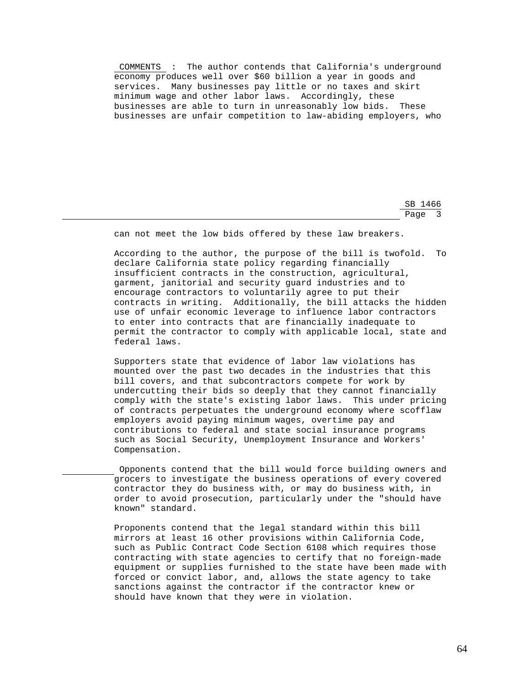COMMENTS : The author contends that California's underground economy produces well over \$60 billion a year in goods and services. Many businesses pay little or no taxes and skirt minimum wage and other labor laws. Accordingly, these businesses are able to turn in unreasonably low bids. These businesses are unfair competition to law-abiding employers, who

 SB 1466 Page 3 and 2012 and 2012 and 2012 and 2012 and 2012 and 2012 and 2012 and 2012 and 2012 and 2012 and 2012 and

can not meet the low bids offered by these law breakers.

 According to the author, the purpose of the bill is twofold. To declare California state policy regarding financially insufficient contracts in the construction, agricultural, garment, janitorial and security guard industries and to encourage contractors to voluntarily agree to put their contracts in writing. Additionally, the bill attacks the hidden use of unfair economic leverage to influence labor contractors to enter into contracts that are financially inadequate to permit the contractor to comply with applicable local, state and federal laws.

 Supporters state that evidence of labor law violations has mounted over the past two decades in the industries that this bill covers, and that subcontractors compete for work by undercutting their bids so deeply that they cannot financially comply with the state's existing labor laws. This under pricing of contracts perpetuates the underground economy where scofflaw employers avoid paying minimum wages, overtime pay and contributions to federal and state social insurance programs such as Social Security, Unemployment Insurance and Workers' Compensation.

 Opponents contend that the bill would force building owners and grocers to investigate the business operations of every covered contractor they do business with, or may do business with, in order to avoid prosecution, particularly under the "should have known" standard.

 Proponents contend that the legal standard within this bill mirrors at least 16 other provisions within California Code, such as Public Contract Code Section 6108 which requires those contracting with state agencies to certify that no foreign-made equipment or supplies furnished to the state have been made with forced or convict labor, and, allows the state agency to take sanctions against the contractor if the contractor knew or should have known that they were in violation.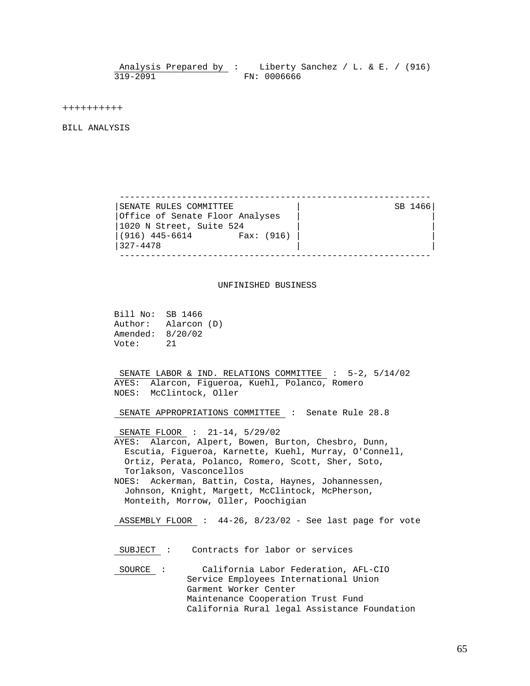Analysis Prepared by : Liberty Sanchez / L. & E. / (916) 319-2091 FN: 0006666

++++++++++

BILL ANALYSIS

| SENATE RULES COMMITTEE          | SB 1466 |
|---------------------------------|---------|
| Office of Senate Floor Analyses |         |
| 1020 N Street, Suite 524        |         |
| (916) 445-6614<br>Fax: (916)    |         |
| 327-4478                        |         |
|                                 |         |

# UNFINISHED BUSINESS

 Bill No: SB 1466 Author: Alarcon (D) Amended: 8/20/02<br>Vote: 21 Vote:

SENATE LABOR & IND. RELATIONS COMMITTEE : 5-2, 5/14/02 AYES: Alarcon, Figueroa, Kuehl, Polanco, Romero NOES: McClintock, Oller

SENATE APPROPRIATIONS COMMITTEE : Senate Rule 28.8

SENATE FLOOR : 21-14, 5/29/02

 AYES: Alarcon, Alpert, Bowen, Burton, Chesbro, Dunn, Escutia, Figueroa, Karnette, Kuehl, Murray, O'Connell, Ortiz, Perata, Polanco, Romero, Scott, Sher, Soto, Torlakson, Vasconcellos

 NOES: Ackerman, Battin, Costa, Haynes, Johannessen, Johnson, Knight, Margett, McClintock, McPherson, Monteith, Morrow, Oller, Poochigian

ASSEMBLY FLOOR : 44-26, 8/23/02 - See last page for vote

SUBJECT : Contracts for labor or services

 SOURCE : California Labor Federation, AFL-CIO Service Employees International Union Garment Worker Center Maintenance Cooperation Trust Fund California Rural legal Assistance Foundation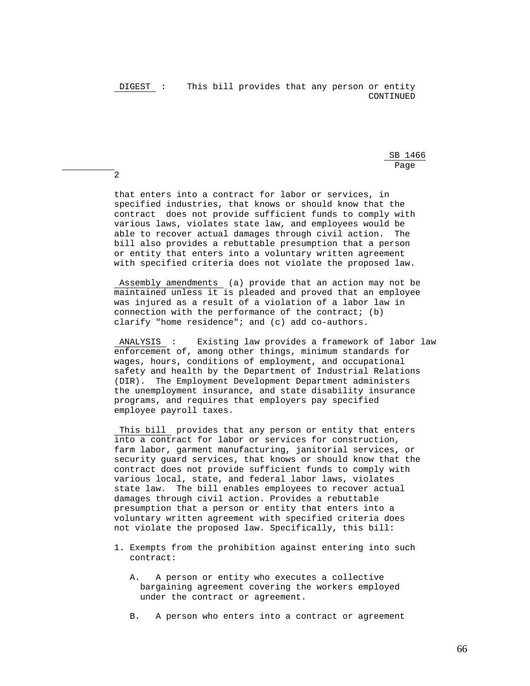DIGEST : This bill provides that any person or entity CONTINUED

 SB 1466 nd a bhliain 1992 agus an t-Iomraidh ann an t-Iomraidh ann an t-Iomraidh ann an t-Iomraidh ann an t-Iomraidh a

2

 that enters into a contract for labor or services, in specified industries, that knows or should know that the contract does not provide sufficient funds to comply with various laws, violates state law, and employees would be able to recover actual damages through civil action. The bill also provides a rebuttable presumption that a person or entity that enters into a voluntary written agreement with specified criteria does not violate the proposed law.

 Assembly amendments (a) provide that an action may not be maintained unless it is pleaded and proved that an employee was injured as a result of a violation of a labor law in connection with the performance of the contract; (b) clarify "home residence"; and (c) add co-authors.

 ANALYSIS : Existing law provides a framework of labor law enforcement of, among other things, minimum standards for wages, hours, conditions of employment, and occupational safety and health by the Department of Industrial Relations (DIR). The Employment Development Department administers the unemployment insurance, and state disability insurance programs, and requires that employers pay specified employee payroll taxes.

 This bill provides that any person or entity that enters into a contract for labor or services for construction, farm labor, garment manufacturing, janitorial services, or security guard services, that knows or should know that the contract does not provide sufficient funds to comply with various local, state, and federal labor laws, violates state law. The bill enables employees to recover actual damages through civil action. Provides a rebuttable presumption that a person or entity that enters into a voluntary written agreement with specified criteria does not violate the proposed law. Specifically, this bill:

- 1. Exempts from the prohibition against entering into such contract:
	- A. A person or entity who executes a collective bargaining agreement covering the workers employed under the contract or agreement.
	- B. A person who enters into a contract or agreement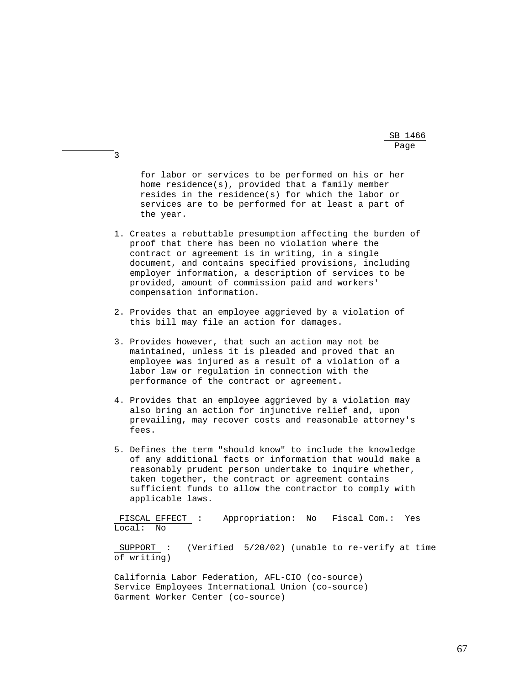SB 1466 <u>Page of the control of the control of the control of the control of the control of the control of the control of the control of the control of the control of the control of the control of the control of the control of the</u>

> for labor or services to be performed on his or her home residence(s), provided that a family member resides in the residence(s) for which the labor or services are to be performed for at least a part of the year.

3

- 1. Creates a rebuttable presumption affecting the burden of proof that there has been no violation where the contract or agreement is in writing, in a single document, and contains specified provisions, including employer information, a description of services to be provided, amount of commission paid and workers' compensation information.
- 2. Provides that an employee aggrieved by a violation of this bill may file an action for damages.
- 3. Provides however, that such an action may not be maintained, unless it is pleaded and proved that an employee was injured as a result of a violation of a labor law or regulation in connection with the performance of the contract or agreement.
- 4. Provides that an employee aggrieved by a violation may also bring an action for injunctive relief and, upon prevailing, may recover costs and reasonable attorney's fees.
- 5. Defines the term "should know" to include the knowledge of any additional facts or information that would make a reasonably prudent person undertake to inquire whether, taken together, the contract or agreement contains sufficient funds to allow the contractor to comply with applicable laws.

 FISCAL EFFECT : Appropriation: No Fiscal Com.: Yes Local: No

 SUPPORT : (Verified 5/20/02) (unable to re-verify at time of writing)

 California Labor Federation, AFL-CIO (co-source) Service Employees International Union (co-source) Garment Worker Center (co-source)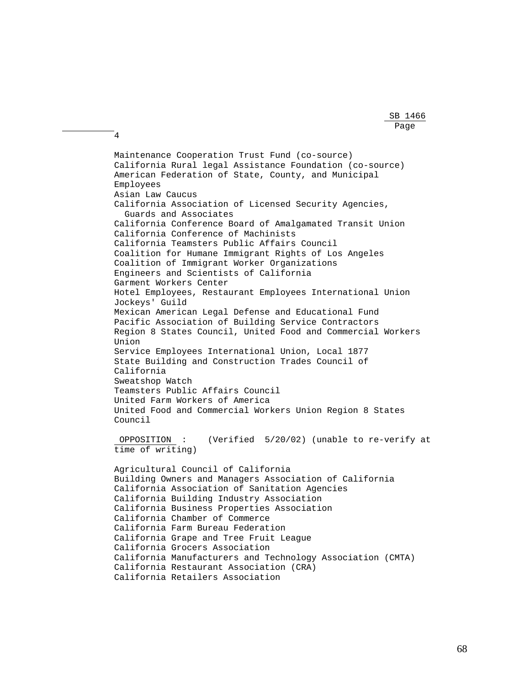```
 SB 1466
<u>Page of the control of the control of the control of the control of the control of the control of the control of the control of the control of the control of the control of the control of the control of the control of the</u>
```
 Maintenance Cooperation Trust Fund (co-source) California Rural legal Assistance Foundation (co-source) American Federation of State, County, and Municipal Employees Asian Law Caucus California Association of Licensed Security Agencies, Guards and Associates California Conference Board of Amalgamated Transit Union California Conference of Machinists California Teamsters Public Affairs Council Coalition for Humane Immigrant Rights of Los Angeles Coalition of Immigrant Worker Organizations Engineers and Scientists of California Garment Workers Center Hotel Employees, Restaurant Employees International Union Jockeys' Guild Mexican American Legal Defense and Educational Fund Pacific Association of Building Service Contractors Region 8 States Council, United Food and Commercial Workers Union Service Employees International Union, Local 1877 State Building and Construction Trades Council of California Sweatshop Watch Teamsters Public Affairs Council United Farm Workers of America United Food and Commercial Workers Union Region 8 States Council OPPOSITION : (Verified 5/20/02) (unable to re-verify at time of writing) Agricultural Council of California Building Owners and Managers Association of California California Association of Sanitation Agencies California Building Industry Association California Business Properties Association California Chamber of Commerce California Farm Bureau Federation California Grape and Tree Fruit League California Grocers Association California Manufacturers and Technology Association (CMTA) California Restaurant Association (CRA)

California Retailers Association

4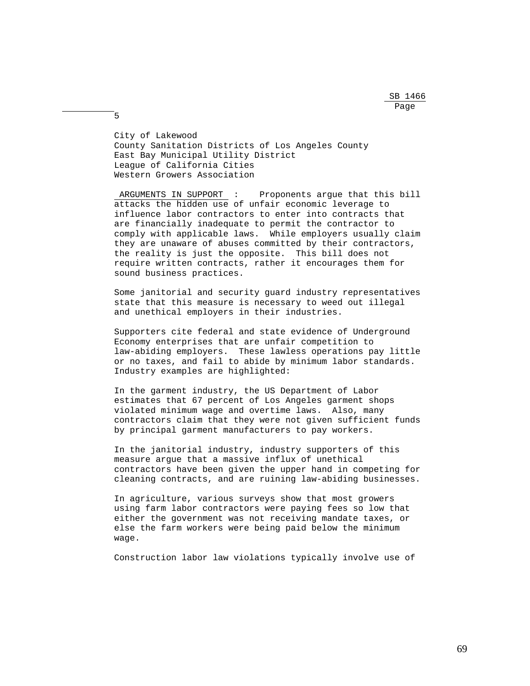City of Lakewood County Sanitation Districts of Los Angeles County East Bay Municipal Utility District League of California Cities Western Growers Association

5

 ARGUMENTS IN SUPPORT : Proponents argue that this bill attacks the hidden use of unfair economic leverage to influence labor contractors to enter into contracts that are financially inadequate to permit the contractor to comply with applicable laws. While employers usually claim they are unaware of abuses committed by their contractors, the reality is just the opposite. This bill does not require written contracts, rather it encourages them for sound business practices.

 Some janitorial and security guard industry representatives state that this measure is necessary to weed out illegal and unethical employers in their industries.

 Supporters cite federal and state evidence of Underground Economy enterprises that are unfair competition to law-abiding employers. These lawless operations pay little or no taxes, and fail to abide by minimum labor standards. Industry examples are highlighted:

 In the garment industry, the US Department of Labor estimates that 67 percent of Los Angeles garment shops violated minimum wage and overtime laws. Also, many contractors claim that they were not given sufficient funds by principal garment manufacturers to pay workers.

 In the janitorial industry, industry supporters of this measure argue that a massive influx of unethical contractors have been given the upper hand in competing for cleaning contracts, and are ruining law-abiding businesses.

 In agriculture, various surveys show that most growers using farm labor contractors were paying fees so low that either the government was not receiving mandate taxes, or else the farm workers were being paid below the minimum wage.

Construction labor law violations typically involve use of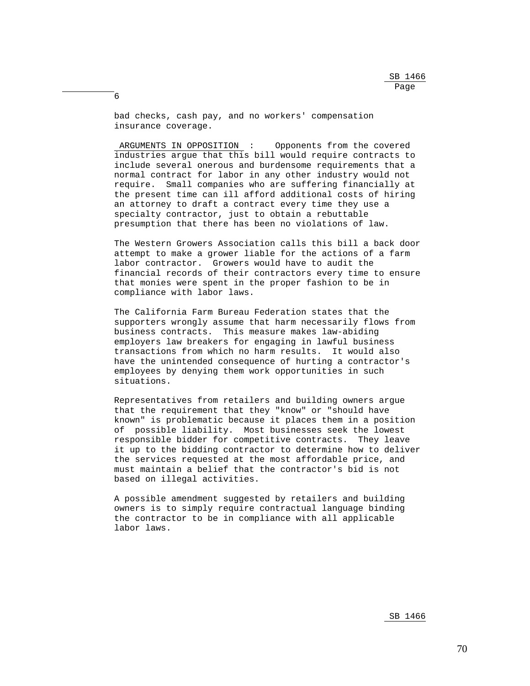bad checks, cash pay, and no workers' compensation insurance coverage.

6

 ARGUMENTS IN OPPOSITION : Opponents from the covered industries argue that this bill would require contracts to include several onerous and burdensome requirements that a normal contract for labor in any other industry would not require. Small companies who are suffering financially at the present time can ill afford additional costs of hiring an attorney to draft a contract every time they use a specialty contractor, just to obtain a rebuttable presumption that there has been no violations of law.

 The Western Growers Association calls this bill a back door attempt to make a grower liable for the actions of a farm labor contractor. Growers would have to audit the financial records of their contractors every time to ensure that monies were spent in the proper fashion to be in compliance with labor laws.

 The California Farm Bureau Federation states that the supporters wrongly assume that harm necessarily flows from business contracts. This measure makes law-abiding employers law breakers for engaging in lawful business transactions from which no harm results. It would also have the unintended consequence of hurting a contractor's employees by denying them work opportunities in such situations.

 Representatives from retailers and building owners argue that the requirement that they "know" or "should have known" is problematic because it places them in a position of possible liability. Most businesses seek the lowest responsible bidder for competitive contracts. They leave it up to the bidding contractor to determine how to deliver the services requested at the most affordable price, and must maintain a belief that the contractor's bid is not based on illegal activities.

 A possible amendment suggested by retailers and building owners is to simply require contractual language binding the contractor to be in compliance with all applicable labor laws.

SB 1466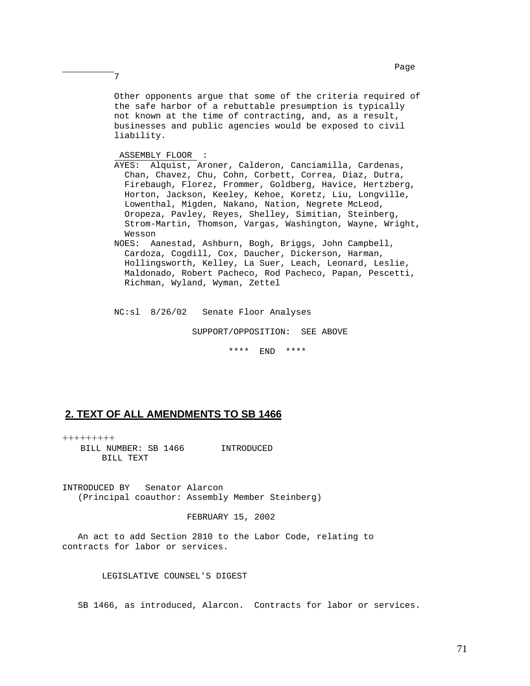Other opponents argue that some of the criteria required of the safe harbor of a rebuttable presumption is typically not known at the time of contracting, and, as a result, businesses and public agencies would be exposed to civil liability.

ASSEMBLY FLOOR :

- AYES: Alquist, Aroner, Calderon, Canciamilla, Cardenas, Chan, Chavez, Chu, Cohn, Corbett, Correa, Diaz, Dutra, Firebaugh, Florez, Frommer, Goldberg, Havice, Hertzberg, Horton, Jackson, Keeley, Kehoe, Koretz, Liu, Longville, Lowenthal, Migden, Nakano, Nation, Negrete McLeod, Oropeza, Pavley, Reyes, Shelley, Simitian, Steinberg, Strom-Martin, Thomson, Vargas, Washington, Wayne, Wright, Wesson
- NOES: Aanestad, Ashburn, Bogh, Briggs, John Campbell, Cardoza, Cogdill, Cox, Daucher, Dickerson, Harman, Hollingsworth, Kelley, La Suer, Leach, Leonard, Leslie, Maldonado, Robert Pacheco, Rod Pacheco, Papan, Pescetti, Richman, Wyland, Wyman, Zettel

NC:sl 8/26/02 Senate Floor Analyses

SUPPORT/OPPOSITION: SEE ABOVE

\*\*\*\* END \*\*\*\*

# **2. TEXT OF ALL AMENDMENTS TO SB 1466**

+++++++++

7

 BILL NUMBER: SB 1466 INTRODUCED BILL TEXT

INTRODUCED BY Senator Alarcon (Principal coauthor: Assembly Member Steinberg)

FEBRUARY 15, 2002

 An act to add Section 2810 to the Labor Code, relating to contracts for labor or services.

LEGISLATIVE COUNSEL'S DIGEST

SB 1466, as introduced, Alarcon. Contracts for labor or services.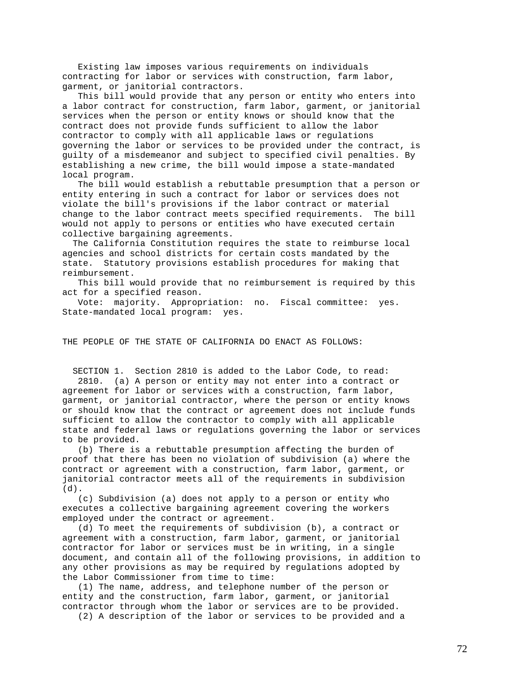Existing law imposes various requirements on individuals contracting for labor or services with construction, farm labor, garment, or janitorial contractors.

 This bill would provide that any person or entity who enters into a labor contract for construction, farm labor, garment, or janitorial services when the person or entity knows or should know that the contract does not provide funds sufficient to allow the labor contractor to comply with all applicable laws or regulations governing the labor or services to be provided under the contract, is guilty of a misdemeanor and subject to specified civil penalties. By establishing a new crime, the bill would impose a state-mandated local program.

 The bill would establish a rebuttable presumption that a person or entity entering in such a contract for labor or services does not violate the bill's provisions if the labor contract or material change to the labor contract meets specified requirements. The bill would not apply to persons or entities who have executed certain collective bargaining agreements.

 The California Constitution requires the state to reimburse local agencies and school districts for certain costs mandated by the state. Statutory provisions establish procedures for making that reimbursement.

 This bill would provide that no reimbursement is required by this act for a specified reason.

 Vote: majority. Appropriation: no. Fiscal committee: yes. State-mandated local program: yes.

THE PEOPLE OF THE STATE OF CALIFORNIA DO ENACT AS FOLLOWS:

SECTION 1. Section 2810 is added to the Labor Code, to read:

 2810. (a) A person or entity may not enter into a contract or agreement for labor or services with a construction, farm labor, garment, or janitorial contractor, where the person or entity knows or should know that the contract or agreement does not include funds sufficient to allow the contractor to comply with all applicable state and federal laws or regulations governing the labor or services to be provided.

 (b) There is a rebuttable presumption affecting the burden of proof that there has been no violation of subdivision (a) where the contract or agreement with a construction, farm labor, garment, or janitorial contractor meets all of the requirements in subdivision (d).

 (c) Subdivision (a) does not apply to a person or entity who executes a collective bargaining agreement covering the workers employed under the contract or agreement.

 (d) To meet the requirements of subdivision (b), a contract or agreement with a construction, farm labor, garment, or janitorial contractor for labor or services must be in writing, in a single document, and contain all of the following provisions, in addition to any other provisions as may be required by regulations adopted by the Labor Commissioner from time to time:

 (1) The name, address, and telephone number of the person or entity and the construction, farm labor, garment, or janitorial contractor through whom the labor or services are to be provided.

(2) A description of the labor or services to be provided and a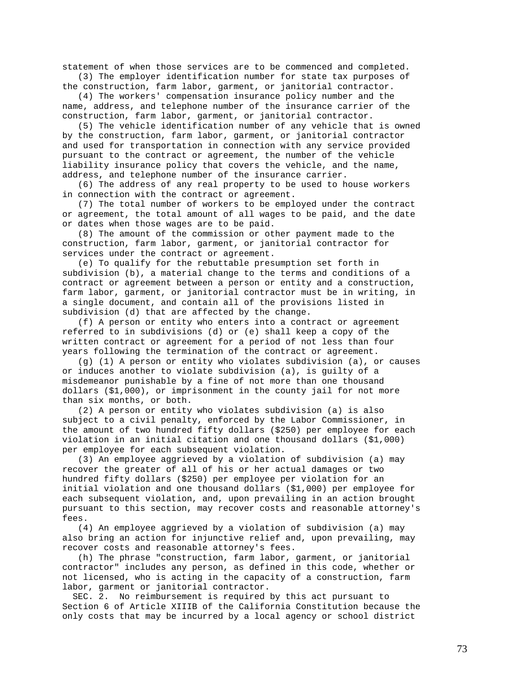statement of when those services are to be commenced and completed. (3) The employer identification number for state tax purposes of

the construction, farm labor, garment, or janitorial contractor.

 (4) The workers' compensation insurance policy number and the name, address, and telephone number of the insurance carrier of the construction, farm labor, garment, or janitorial contractor.

 (5) The vehicle identification number of any vehicle that is owned by the construction, farm labor, garment, or janitorial contractor and used for transportation in connection with any service provided pursuant to the contract or agreement, the number of the vehicle liability insurance policy that covers the vehicle, and the name, address, and telephone number of the insurance carrier.

 (6) The address of any real property to be used to house workers in connection with the contract or agreement.

 (7) The total number of workers to be employed under the contract or agreement, the total amount of all wages to be paid, and the date or dates when those wages are to be paid.

 (8) The amount of the commission or other payment made to the construction, farm labor, garment, or janitorial contractor for services under the contract or agreement.

 (e) To qualify for the rebuttable presumption set forth in subdivision (b), a material change to the terms and conditions of a contract or agreement between a person or entity and a construction, farm labor, garment, or janitorial contractor must be in writing, in a single document, and contain all of the provisions listed in subdivision (d) that are affected by the change.

 (f) A person or entity who enters into a contract or agreement referred to in subdivisions (d) or (e) shall keep a copy of the written contract or agreement for a period of not less than four years following the termination of the contract or agreement.

 (g) (1) A person or entity who violates subdivision (a), or causes or induces another to violate subdivision (a), is guilty of a misdemeanor punishable by a fine of not more than one thousand dollars (\$1,000), or imprisonment in the county jail for not more than six months, or both.

 (2) A person or entity who violates subdivision (a) is also subject to a civil penalty, enforced by the Labor Commissioner, in the amount of two hundred fifty dollars (\$250) per employee for each violation in an initial citation and one thousand dollars (\$1,000) per employee for each subsequent violation.

 (3) An employee aggrieved by a violation of subdivision (a) may recover the greater of all of his or her actual damages or two hundred fifty dollars (\$250) per employee per violation for an initial violation and one thousand dollars (\$1,000) per employee for each subsequent violation, and, upon prevailing in an action brought pursuant to this section, may recover costs and reasonable attorney's fees.

 (4) An employee aggrieved by a violation of subdivision (a) may also bring an action for injunctive relief and, upon prevailing, may recover costs and reasonable attorney's fees.

 (h) The phrase "construction, farm labor, garment, or janitorial contractor" includes any person, as defined in this code, whether or not licensed, who is acting in the capacity of a construction, farm labor, garment or janitorial contractor.

 SEC. 2. No reimbursement is required by this act pursuant to Section 6 of Article XIIIB of the California Constitution because the only costs that may be incurred by a local agency or school district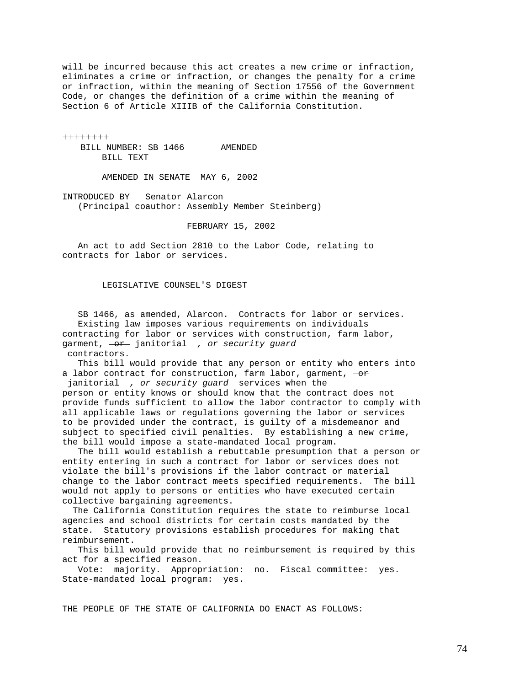will be incurred because this act creates a new crime or infraction, eliminates a crime or infraction, or changes the penalty for a crime or infraction, within the meaning of Section 17556 of the Government Code, or changes the definition of a crime within the meaning of Section 6 of Article XIIIB of the California Constitution.

++++++++ BILL NUMBER: SB 1466 AMENDED BILL TEXT

AMENDED IN SENATE MAY 6, 2002

INTRODUCED BY Senator Alarcon (Principal coauthor: Assembly Member Steinberg)

FEBRUARY 15, 2002

 An act to add Section 2810 to the Labor Code, relating to contracts for labor or services.

LEGISLATIVE COUNSEL'S DIGEST

 SB 1466, as amended, Alarcon. Contracts for labor or services. Existing law imposes various requirements on individuals contracting for labor or services with construction, farm labor, garment,  $-$ or janitorial, or security guard contractors.

 This bill would provide that any person or entity who enters into a labor contract for construction, farm labor, garment,  $-\theta$ 

 janitorial *, or security guard* services when the person or entity knows or should know that the contract does not provide funds sufficient to allow the labor contractor to comply with all applicable laws or regulations governing the labor or services to be provided under the contract, is guilty of a misdemeanor and subject to specified civil penalties. By establishing a new crime, the bill would impose a state-mandated local program.

 The bill would establish a rebuttable presumption that a person or entity entering in such a contract for labor or services does not violate the bill's provisions if the labor contract or material change to the labor contract meets specified requirements. The bill would not apply to persons or entities who have executed certain collective bargaining agreements.

 The California Constitution requires the state to reimburse local agencies and school districts for certain costs mandated by the state. Statutory provisions establish procedures for making that reimbursement.

 This bill would provide that no reimbursement is required by this act for a specified reason.

 Vote: majority. Appropriation: no. Fiscal committee: yes. State-mandated local program: yes.

THE PEOPLE OF THE STATE OF CALIFORNIA DO ENACT AS FOLLOWS: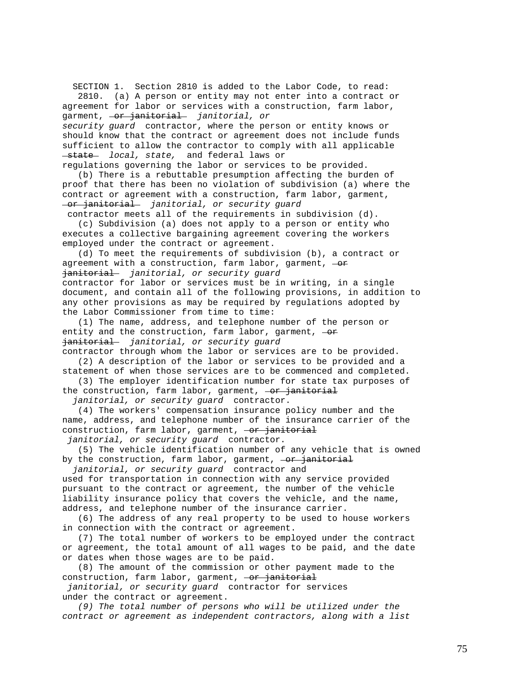SECTION 1. Section 2810 is added to the Labor Code, to read: 2810. (a) A person or entity may not enter into a contract or agreement for labor or services with a construction, farm labor, garment, or janitorial *janitorial, or* 

*security guard* contractor, where the person or entity knows or should know that the contract or agreement does not include funds sufficient to allow the contractor to comply with all applicable state *local, state,* and federal laws or

regulations governing the labor or services to be provided.

 (b) There is a rebuttable presumption affecting the burden of proof that there has been no violation of subdivision (a) where the contract or agreement with a construction, farm labor, garment, or janitorial *janitorial, or security guard* 

 contractor meets all of the requirements in subdivision (d). (c) Subdivision (a) does not apply to a person or entity who executes a collective bargaining agreement covering the workers employed under the contract or agreement.

 (d) To meet the requirements of subdivision (b), a contract or agreement with a construction, farm labor, garment,  $-\theta$ janitorial *janitorial, or security guard*  contractor for labor or services must be in writing, in a single document, and contain all of the following provisions, in addition to any other provisions as may be required by regulations adopted by the Labor Commissioner from time to time:

 (1) The name, address, and telephone number of the person or entity and the construction, farm labor, garment,  $-\theta$ janitorial *janitorial, or security guard*  contractor through whom the labor or services are to be provided.

(2) A description of the labor or services to be provided and a

statement of when those services are to be commenced and completed. (3) The employer identification number for state tax purposes of the construction, farm labor, garment,  $-or$  janitorial

 *janitorial, or security guard* contractor.

 (4) The workers' compensation insurance policy number and the name, address, and telephone number of the insurance carrier of the construction, farm labor, garment, -or janitorial

 *janitorial, or security guard* contractor.

 (5) The vehicle identification number of any vehicle that is owned by the construction, farm labor, garment, or janitorial

 *janitorial, or security guard* contractor and

used for transportation in connection with any service provided pursuant to the contract or agreement, the number of the vehicle liability insurance policy that covers the vehicle, and the name, address, and telephone number of the insurance carrier.

 (6) The address of any real property to be used to house workers in connection with the contract or agreement.

 (7) The total number of workers to be employed under the contract or agreement, the total amount of all wages to be paid, and the date or dates when those wages are to be paid.

 (8) The amount of the commission or other payment made to the construction, farm labor, garment,  $-or$  janitorial

 *janitorial, or security guard* contractor for services under the contract or agreement.

 *(9) The total number of persons who will be utilized under the contract or agreement as independent contractors, along with a list*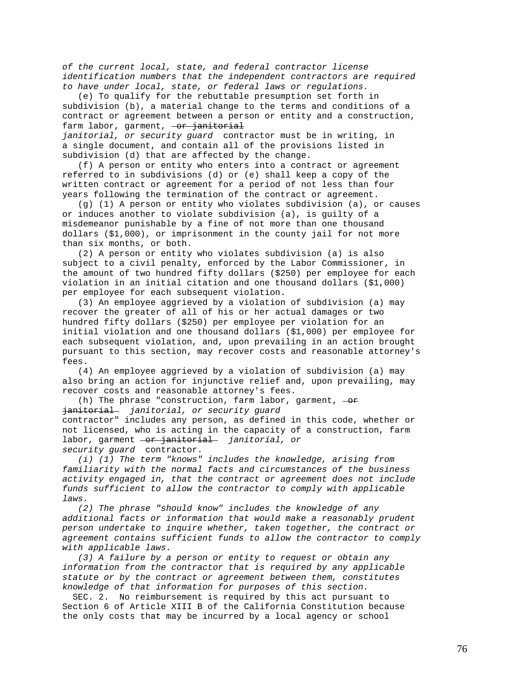*of the current local, state, and federal contractor license identification numbers that the independent contractors are required to have under local, state, or federal laws or regulations.* 

 (e) To qualify for the rebuttable presumption set forth in subdivision (b), a material change to the terms and conditions of a contract or agreement between a person or entity and a construction, farm labor, garment, or janitorial

*janitorial, or security guard* contractor must be in writing, in a single document, and contain all of the provisions listed in subdivision (d) that are affected by the change.

 (f) A person or entity who enters into a contract or agreement referred to in subdivisions (d) or (e) shall keep a copy of the written contract or agreement for a period of not less than four years following the termination of the contract or agreement.

 (g) (1) A person or entity who violates subdivision (a), or causes or induces another to violate subdivision (a), is guilty of a misdemeanor punishable by a fine of not more than one thousand dollars (\$1,000), or imprisonment in the county jail for not more than six months, or both.

 (2) A person or entity who violates subdivision (a) is also subject to a civil penalty, enforced by the Labor Commissioner, in the amount of two hundred fifty dollars (\$250) per employee for each violation in an initial citation and one thousand dollars (\$1,000) per employee for each subsequent violation.

 (3) An employee aggrieved by a violation of subdivision (a) may recover the greater of all of his or her actual damages or two hundred fifty dollars (\$250) per employee per violation for an initial violation and one thousand dollars (\$1,000) per employee for each subsequent violation, and, upon prevailing in an action brought pursuant to this section, may recover costs and reasonable attorney's fees.

 (4) An employee aggrieved by a violation of subdivision (a) may also bring an action for injunctive relief and, upon prevailing, may recover costs and reasonable attorney's fees.

(h) The phrase "construction, farm labor, garment,  $-\text{or}$ janitorial *janitorial, or security guard*  contractor" includes any person, as defined in this code, whether or not licensed, who is acting in the capacity of a construction, farm labor, garment <del>or janitorial</del> *janitorial*, or *security guard* contractor.

 *(i) (1) The term "knows" includes the knowledge, arising from familiarity with the normal facts and circumstances of the business activity engaged in, that the contract or agreement does not include funds sufficient to allow the contractor to comply with applicable laws.* 

 *(2) The phrase "should know" includes the knowledge of any additional facts or information that would make a reasonably prudent person undertake to inquire whether, taken together, the contract or agreement contains sufficient funds to allow the contractor to comply with applicable laws.* 

 *(3) A failure by a person or entity to request or obtain any information from the contractor that is required by any applicable statute or by the contract or agreement between them, constitutes knowledge of that information for purposes of this section.* 

 SEC. 2. No reimbursement is required by this act pursuant to Section 6 of Article XIII B of the California Constitution because the only costs that may be incurred by a local agency or school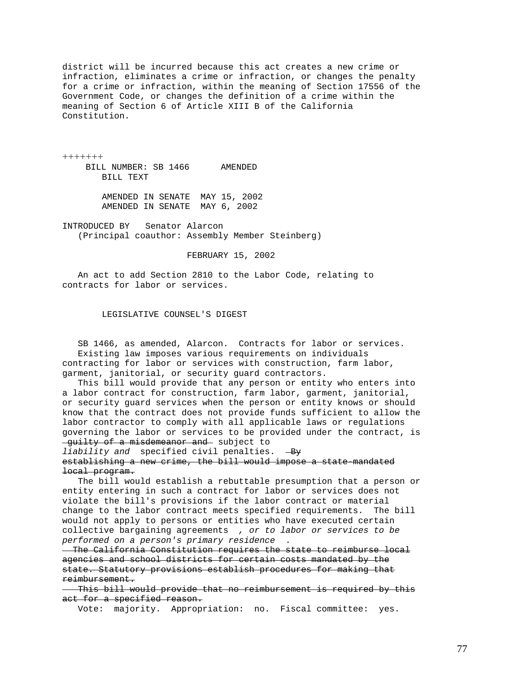district will be incurred because this act creates a new crime or infraction, eliminates a crime or infraction, or changes the penalty for a crime or infraction, within the meaning of Section 17556 of the Government Code, or changes the definition of a crime within the meaning of Section 6 of Article XIII B of the California Constitution.

+++++++ BILL NUMBER: SB 1466 AMENDED BILL TEXT

> AMENDED IN SENATE MAY 15, 2002 AMENDED IN SENATE MAY 6, 2002

INTRODUCED BY Senator Alarcon (Principal coauthor: Assembly Member Steinberg)

FEBRUARY 15, 2002

 An act to add Section 2810 to the Labor Code, relating to contracts for labor or services.

LEGISLATIVE COUNSEL'S DIGEST

 SB 1466, as amended, Alarcon. Contracts for labor or services. Existing law imposes various requirements on individuals contracting for labor or services with construction, farm labor, garment, janitorial, or security guard contractors.

 This bill would provide that any person or entity who enters into a labor contract for construction, farm labor, garment, janitorial, or security guard services when the person or entity knows or should know that the contract does not provide funds sufficient to allow the labor contractor to comply with all applicable laws or regulations governing the labor or services to be provided under the contract, is -guilty of a misdemeanor and subject to

*liability and* specified civil penalties. - By establishing a new crime, the bill would impose a state-mandated local program.

 The bill would establish a rebuttable presumption that a person or entity entering in such a contract for labor or services does not violate the bill's provisions if the labor contract or material change to the labor contract meets specified requirements. The bill would not apply to persons or entities who have executed certain collective bargaining agreements *, or to labor or services to be performed on a person's primary residence* .

 The California Constitution requires the state to reimburse local agencies and school districts for certain costs mandated by the state. Statutory provisions establish procedures for making that reimbursement.

 This bill would provide that no reimbursement is required by this act for a specified reason.

Vote: majority. Appropriation: no. Fiscal committee: yes.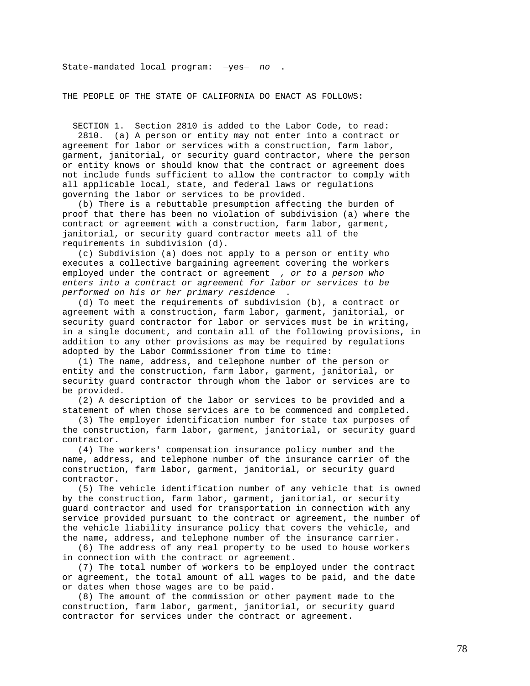State-mandated local program: - yes no .

THE PEOPLE OF THE STATE OF CALIFORNIA DO ENACT AS FOLLOWS:

SECTION 1. Section 2810 is added to the Labor Code, to read:

 2810. (a) A person or entity may not enter into a contract or agreement for labor or services with a construction, farm labor, garment, janitorial, or security guard contractor, where the person or entity knows or should know that the contract or agreement does not include funds sufficient to allow the contractor to comply with all applicable local, state, and federal laws or regulations governing the labor or services to be provided.

 (b) There is a rebuttable presumption affecting the burden of proof that there has been no violation of subdivision (a) where the contract or agreement with a construction, farm labor, garment, janitorial, or security guard contractor meets all of the requirements in subdivision (d).

 (c) Subdivision (a) does not apply to a person or entity who executes a collective bargaining agreement covering the workers employed under the contract or agreement *, or to a person who enters into a contract or agreement for labor or services to be performed on his or her primary residence* .

 (d) To meet the requirements of subdivision (b), a contract or agreement with a construction, farm labor, garment, janitorial, or security guard contractor for labor or services must be in writing, in a single document, and contain all of the following provisions, in addition to any other provisions as may be required by regulations adopted by the Labor Commissioner from time to time:

 (1) The name, address, and telephone number of the person or entity and the construction, farm labor, garment, janitorial, or security guard contractor through whom the labor or services are to be provided.

 (2) A description of the labor or services to be provided and a statement of when those services are to be commenced and completed.

 (3) The employer identification number for state tax purposes of the construction, farm labor, garment, janitorial, or security guard contractor.

 (4) The workers' compensation insurance policy number and the name, address, and telephone number of the insurance carrier of the construction, farm labor, garment, janitorial, or security guard contractor.

 (5) The vehicle identification number of any vehicle that is owned by the construction, farm labor, garment, janitorial, or security guard contractor and used for transportation in connection with any service provided pursuant to the contract or agreement, the number of the vehicle liability insurance policy that covers the vehicle, and the name, address, and telephone number of the insurance carrier.

 (6) The address of any real property to be used to house workers in connection with the contract or agreement.

 (7) The total number of workers to be employed under the contract or agreement, the total amount of all wages to be paid, and the date or dates when those wages are to be paid.

 (8) The amount of the commission or other payment made to the construction, farm labor, garment, janitorial, or security guard contractor for services under the contract or agreement.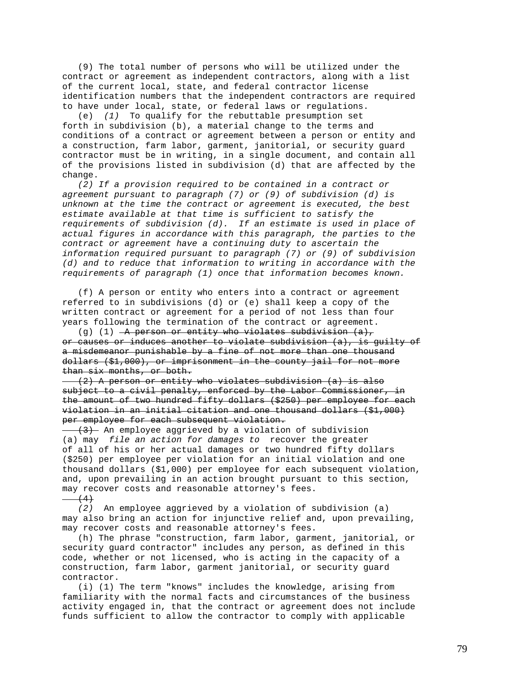(9) The total number of persons who will be utilized under the contract or agreement as independent contractors, along with a list of the current local, state, and federal contractor license identification numbers that the independent contractors are required to have under local, state, or federal laws or regulations.

 (e) *(1)* To qualify for the rebuttable presumption set forth in subdivision (b), a material change to the terms and conditions of a contract or agreement between a person or entity and a construction, farm labor, garment, janitorial, or security guard contractor must be in writing, in a single document, and contain all of the provisions listed in subdivision (d) that are affected by the change.

 *(2) If a provision required to be contained in a contract or agreement pursuant to paragraph (7) or (9) of subdivision (d) is unknown at the time the contract or agreement is executed, the best estimate available at that time is sufficient to satisfy the requirements of subdivision (d). If an estimate is used in place of actual figures in accordance with this paragraph, the parties to the contract or agreement have a continuing duty to ascertain the information required pursuant to paragraph (7) or (9) of subdivision (d) and to reduce that information to writing in accordance with the requirements of paragraph (1) once that information becomes known.* 

 (f) A person or entity who enters into a contract or agreement referred to in subdivisions (d) or (e) shall keep a copy of the written contract or agreement for a period of not less than four years following the termination of the contract or agreement.

(g) (1)  $-A$  person or entity who violates subdivision  $(a)$ , or causes or induces another to violate subdivision (a), is guilty of a misdemeanor punishable by a fine of not more than one thousand dollars (\$1,000), or imprisonment in the county jail for not more than six months, or both.

 (2) A person or entity who violates subdivision (a) is also subject to a civil penalty, enforced by the Labor Commissioner, in the amount of two hundred fifty dollars (\$250) per employee for each violation in an initial citation and one thousand dollars (\$1,000) per employee for each subsequent violation.

 $\left(43\right)$  An employee aggrieved by a violation of subdivision (a) may *file an action for damages to* recover the greater of all of his or her actual damages or two hundred fifty dollars (\$250) per employee per violation for an initial violation and one thousand dollars (\$1,000) per employee for each subsequent violation, and, upon prevailing in an action brought pursuant to this section, may recover costs and reasonable attorney's fees.  $(4)$ 

 *(2)* An employee aggrieved by a violation of subdivision (a) may also bring an action for injunctive relief and, upon prevailing, may recover costs and reasonable attorney's fees.

 (h) The phrase "construction, farm labor, garment, janitorial, or security guard contractor" includes any person, as defined in this code, whether or not licensed, who is acting in the capacity of a construction, farm labor, garment janitorial, or security guard contractor.

 (i) (1) The term "knows" includes the knowledge, arising from familiarity with the normal facts and circumstances of the business activity engaged in, that the contract or agreement does not include funds sufficient to allow the contractor to comply with applicable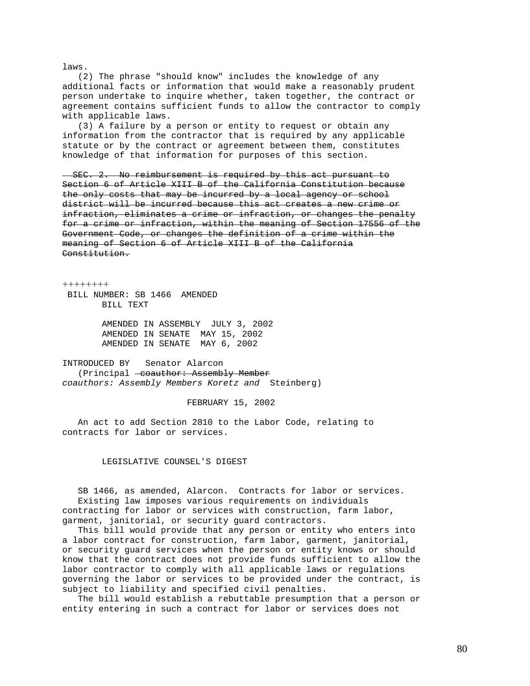laws. (2) The phrase "should know" includes the knowledge of any additional facts or information that would make a reasonably prudent person undertake to inquire whether, taken together, the contract or agreement contains sufficient funds to allow the contractor to comply with applicable laws. (3) A failure by a person or entity to request or obtain any information from the contractor that is required by any applicable statute or by the contract or agreement between them, constitutes knowledge of that information for purposes of this section. SEC. 2. No reimbursement is required by this act pursuant to

Section 6 of Article XIII B of the California Constitution because the only costs that may be incurred by a local agency or school district will be incurred because this act creates a new crime or infraction, eliminates a crime or infraction, or changes the penalty for a crime or infraction, within the meaning of Section 17556 of the Government Code, or changes the definition of a crime within the meaning of Section 6 of Article XIII B of the California Constitution.

++++++++ BILL NUMBER: SB 1466 AMENDED BILL TEXT AMENDED IN ASSEMBLY JULY 3, 2002 AMENDED IN SENATE MAY 15, 2002 AMENDED IN SENATE MAY 6, 2002

INTRODUCED BY Senator Alarcon (Principal -coauthor: Assembly Member *coauthors: Assembly Members Koretz and* Steinberg)

FEBRUARY 15, 2002

 An act to add Section 2810 to the Labor Code, relating to contracts for labor or services.

LEGISLATIVE COUNSEL'S DIGEST

 SB 1466, as amended, Alarcon. Contracts for labor or services. Existing law imposes various requirements on individuals contracting for labor or services with construction, farm labor, garment, janitorial, or security guard contractors.

 This bill would provide that any person or entity who enters into a labor contract for construction, farm labor, garment, janitorial, or security guard services when the person or entity knows or should know that the contract does not provide funds sufficient to allow the labor contractor to comply with all applicable laws or regulations governing the labor or services to be provided under the contract, is subject to liability and specified civil penalties.

 The bill would establish a rebuttable presumption that a person or entity entering in such a contract for labor or services does not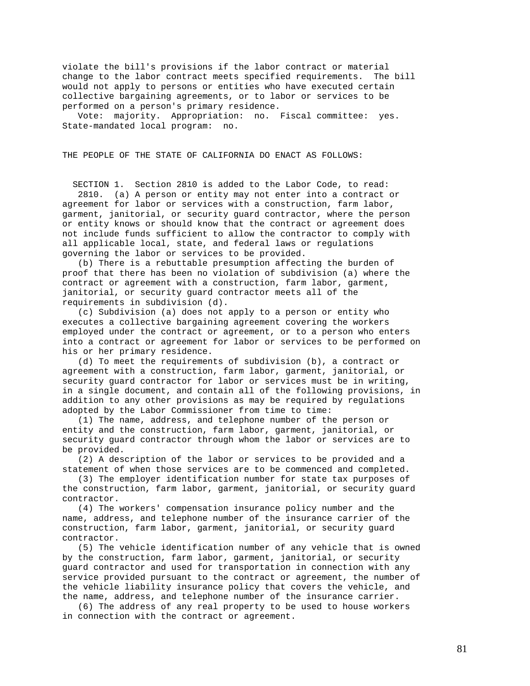violate the bill's provisions if the labor contract or material change to the labor contract meets specified requirements. The bill would not apply to persons or entities who have executed certain collective bargaining agreements, or to labor or services to be performed on a person's primary residence.

 Vote: majority. Appropriation: no. Fiscal committee: yes. State-mandated local program: no.

## THE PEOPLE OF THE STATE OF CALIFORNIA DO ENACT AS FOLLOWS:

SECTION 1. Section 2810 is added to the Labor Code, to read:

 2810. (a) A person or entity may not enter into a contract or agreement for labor or services with a construction, farm labor, garment, janitorial, or security guard contractor, where the person or entity knows or should know that the contract or agreement does not include funds sufficient to allow the contractor to comply with all applicable local, state, and federal laws or regulations governing the labor or services to be provided.

 (b) There is a rebuttable presumption affecting the burden of proof that there has been no violation of subdivision (a) where the contract or agreement with a construction, farm labor, garment, janitorial, or security guard contractor meets all of the requirements in subdivision (d).

 (c) Subdivision (a) does not apply to a person or entity who executes a collective bargaining agreement covering the workers employed under the contract or agreement, or to a person who enters into a contract or agreement for labor or services to be performed on his or her primary residence.

 (d) To meet the requirements of subdivision (b), a contract or agreement with a construction, farm labor, garment, janitorial, or security guard contractor for labor or services must be in writing, in a single document, and contain all of the following provisions, in addition to any other provisions as may be required by regulations adopted by the Labor Commissioner from time to time:

 (1) The name, address, and telephone number of the person or entity and the construction, farm labor, garment, janitorial, or security guard contractor through whom the labor or services are to be provided.

 (2) A description of the labor or services to be provided and a statement of when those services are to be commenced and completed.

 (3) The employer identification number for state tax purposes of the construction, farm labor, garment, janitorial, or security guard contractor.

 (4) The workers' compensation insurance policy number and the name, address, and telephone number of the insurance carrier of the construction, farm labor, garment, janitorial, or security guard contractor.

 (5) The vehicle identification number of any vehicle that is owned by the construction, farm labor, garment, janitorial, or security guard contractor and used for transportation in connection with any service provided pursuant to the contract or agreement, the number of the vehicle liability insurance policy that covers the vehicle, and the name, address, and telephone number of the insurance carrier.

 (6) The address of any real property to be used to house workers in connection with the contract or agreement.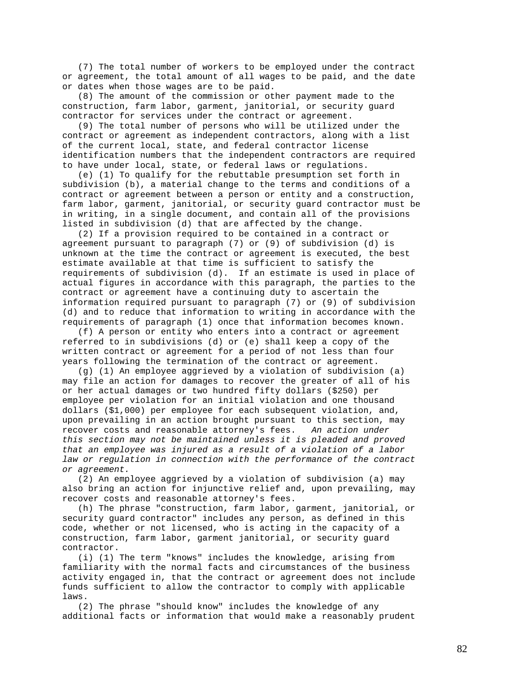(7) The total number of workers to be employed under the contract or agreement, the total amount of all wages to be paid, and the date or dates when those wages are to be paid.

 (8) The amount of the commission or other payment made to the construction, farm labor, garment, janitorial, or security guard contractor for services under the contract or agreement.

 (9) The total number of persons who will be utilized under the contract or agreement as independent contractors, along with a list of the current local, state, and federal contractor license identification numbers that the independent contractors are required to have under local, state, or federal laws or regulations.

 (e) (1) To qualify for the rebuttable presumption set forth in subdivision (b), a material change to the terms and conditions of a contract or agreement between a person or entity and a construction, farm labor, garment, janitorial, or security guard contractor must be in writing, in a single document, and contain all of the provisions listed in subdivision (d) that are affected by the change.

 (2) If a provision required to be contained in a contract or agreement pursuant to paragraph (7) or (9) of subdivision (d) is unknown at the time the contract or agreement is executed, the best estimate available at that time is sufficient to satisfy the requirements of subdivision (d). If an estimate is used in place of actual figures in accordance with this paragraph, the parties to the contract or agreement have a continuing duty to ascertain the information required pursuant to paragraph (7) or (9) of subdivision (d) and to reduce that information to writing in accordance with the requirements of paragraph (1) once that information becomes known.

 (f) A person or entity who enters into a contract or agreement referred to in subdivisions (d) or (e) shall keep a copy of the written contract or agreement for a period of not less than four years following the termination of the contract or agreement.

 (g) (1) An employee aggrieved by a violation of subdivision (a) may file an action for damages to recover the greater of all of his or her actual damages or two hundred fifty dollars (\$250) per employee per violation for an initial violation and one thousand dollars (\$1,000) per employee for each subsequent violation, and, upon prevailing in an action brought pursuant to this section, may recover costs and reasonable attorney's fees. *An action under this section may not be maintained unless it is pleaded and proved that an employee was injured as a result of a violation of a labor law or regulation in connection with the performance of the contract or agreement.* 

 (2) An employee aggrieved by a violation of subdivision (a) may also bring an action for injunctive relief and, upon prevailing, may recover costs and reasonable attorney's fees.

 (h) The phrase "construction, farm labor, garment, janitorial, or security guard contractor" includes any person, as defined in this code, whether or not licensed, who is acting in the capacity of a construction, farm labor, garment janitorial, or security guard contractor.

 (i) (1) The term "knows" includes the knowledge, arising from familiarity with the normal facts and circumstances of the business activity engaged in, that the contract or agreement does not include funds sufficient to allow the contractor to comply with applicable laws.

 (2) The phrase "should know" includes the knowledge of any additional facts or information that would make a reasonably prudent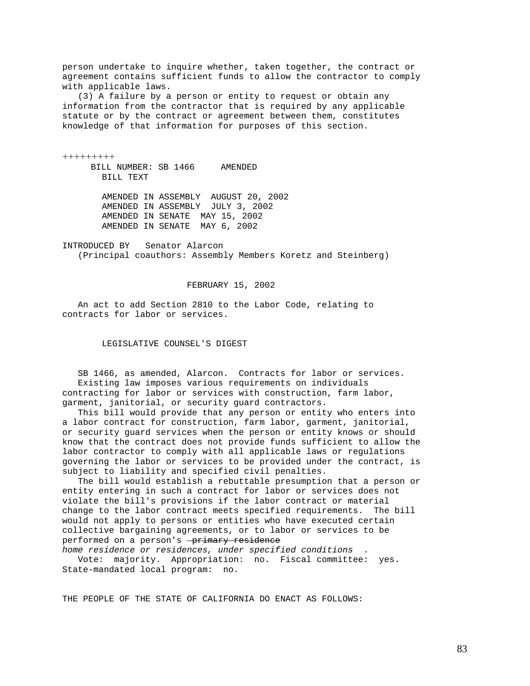person undertake to inquire whether, taken together, the contract or agreement contains sufficient funds to allow the contractor to comply with applicable laws. (3) A failure by a person or entity to request or obtain any information from the contractor that is required by any applicable statute or by the contract or agreement between them, constitutes knowledge of that information for purposes of this section. +++++++++ BILL NUMBER: SB 1466 AMENDED BILL TEXT

> AMENDED IN ASSEMBLY AUGUST 20, 2002 AMENDED IN ASSEMBLY JULY 3, 2002 AMENDED IN SENATE MAY 15, 2002 AMENDED IN SENATE MAY 6, 2002

INTRODUCED BY Senator Alarcon (Principal coauthors: Assembly Members Koretz and Steinberg)

## FEBRUARY 15, 2002

 An act to add Section 2810 to the Labor Code, relating to contracts for labor or services.

LEGISLATIVE COUNSEL'S DIGEST

 SB 1466, as amended, Alarcon. Contracts for labor or services. Existing law imposes various requirements on individuals contracting for labor or services with construction, farm labor, garment, janitorial, or security guard contractors.

 This bill would provide that any person or entity who enters into a labor contract for construction, farm labor, garment, janitorial, or security guard services when the person or entity knows or should know that the contract does not provide funds sufficient to allow the labor contractor to comply with all applicable laws or regulations governing the labor or services to be provided under the contract, is subject to liability and specified civil penalties.

 The bill would establish a rebuttable presumption that a person or entity entering in such a contract for labor or services does not violate the bill's provisions if the labor contract or material change to the labor contract meets specified requirements. The bill would not apply to persons or entities who have executed certain collective bargaining agreements, or to labor or services to be performed on a person's -primary residence

*home residence or residences, under specified conditions* . Vote: majority. Appropriation: no. Fiscal committee: yes. State-mandated local program: no.

THE PEOPLE OF THE STATE OF CALIFORNIA DO ENACT AS FOLLOWS: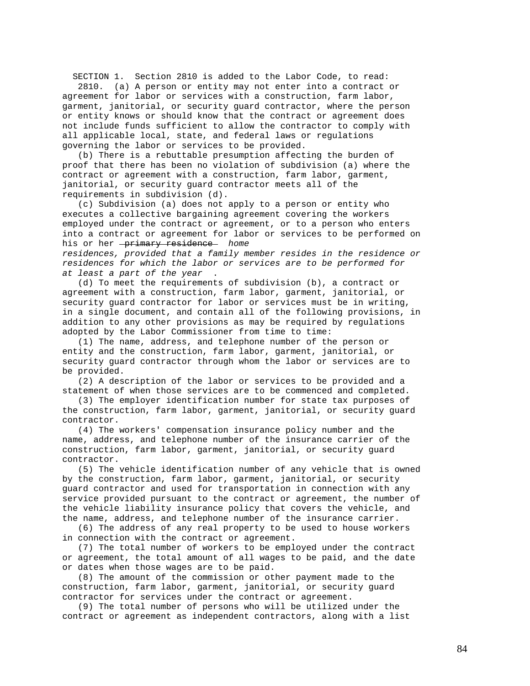SECTION 1. Section 2810 is added to the Labor Code, to read:

 2810. (a) A person or entity may not enter into a contract or agreement for labor or services with a construction, farm labor, garment, janitorial, or security guard contractor, where the person or entity knows or should know that the contract or agreement does not include funds sufficient to allow the contractor to comply with all applicable local, state, and federal laws or regulations governing the labor or services to be provided.

 (b) There is a rebuttable presumption affecting the burden of proof that there has been no violation of subdivision (a) where the contract or agreement with a construction, farm labor, garment, janitorial, or security guard contractor meets all of the requirements in subdivision (d).

 (c) Subdivision (a) does not apply to a person or entity who executes a collective bargaining agreement covering the workers employed under the contract or agreement, or to a person who enters into a contract or agreement for labor or services to be performed on his or her primary residence *home* 

*residences, provided that a family member resides in the residence or residences for which the labor or services are to be performed for at least a part of the year* .

 (d) To meet the requirements of subdivision (b), a contract or agreement with a construction, farm labor, garment, janitorial, or security guard contractor for labor or services must be in writing, in a single document, and contain all of the following provisions, in addition to any other provisions as may be required by regulations adopted by the Labor Commissioner from time to time:

 (1) The name, address, and telephone number of the person or entity and the construction, farm labor, garment, janitorial, or security guard contractor through whom the labor or services are to be provided.

 (2) A description of the labor or services to be provided and a statement of when those services are to be commenced and completed.

 (3) The employer identification number for state tax purposes of the construction, farm labor, garment, janitorial, or security guard contractor.

 (4) The workers' compensation insurance policy number and the name, address, and telephone number of the insurance carrier of the construction, farm labor, garment, janitorial, or security guard contractor.

 (5) The vehicle identification number of any vehicle that is owned by the construction, farm labor, garment, janitorial, or security guard contractor and used for transportation in connection with any service provided pursuant to the contract or agreement, the number of the vehicle liability insurance policy that covers the vehicle, and the name, address, and telephone number of the insurance carrier.

 (6) The address of any real property to be used to house workers in connection with the contract or agreement.

 (7) The total number of workers to be employed under the contract or agreement, the total amount of all wages to be paid, and the date or dates when those wages are to be paid.

 (8) The amount of the commission or other payment made to the construction, farm labor, garment, janitorial, or security guard contractor for services under the contract or agreement.

 (9) The total number of persons who will be utilized under the contract or agreement as independent contractors, along with a list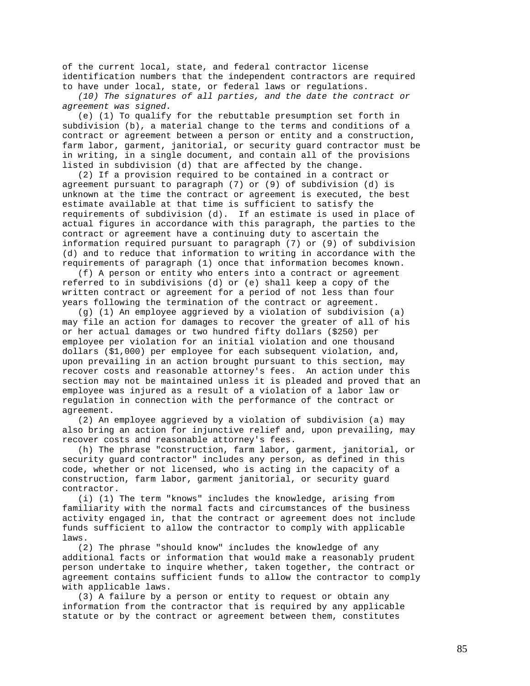of the current local, state, and federal contractor license identification numbers that the independent contractors are required to have under local, state, or federal laws or regulations.

 *(10) The signatures of all parties, and the date the contract or agreement was signed.* 

 (e) (1) To qualify for the rebuttable presumption set forth in subdivision (b), a material change to the terms and conditions of a contract or agreement between a person or entity and a construction, farm labor, garment, janitorial, or security guard contractor must be in writing, in a single document, and contain all of the provisions listed in subdivision (d) that are affected by the change.

 (2) If a provision required to be contained in a contract or agreement pursuant to paragraph (7) or (9) of subdivision (d) is unknown at the time the contract or agreement is executed, the best estimate available at that time is sufficient to satisfy the requirements of subdivision (d). If an estimate is used in place of actual figures in accordance with this paragraph, the parties to the contract or agreement have a continuing duty to ascertain the information required pursuant to paragraph (7) or (9) of subdivision (d) and to reduce that information to writing in accordance with the requirements of paragraph (1) once that information becomes known.

 (f) A person or entity who enters into a contract or agreement referred to in subdivisions (d) or (e) shall keep a copy of the written contract or agreement for a period of not less than four years following the termination of the contract or agreement.

 (g) (1) An employee aggrieved by a violation of subdivision (a) may file an action for damages to recover the greater of all of his or her actual damages or two hundred fifty dollars (\$250) per employee per violation for an initial violation and one thousand dollars (\$1,000) per employee for each subsequent violation, and, upon prevailing in an action brought pursuant to this section, may recover costs and reasonable attorney's fees. An action under this section may not be maintained unless it is pleaded and proved that an employee was injured as a result of a violation of a labor law or regulation in connection with the performance of the contract or agreement.

 (2) An employee aggrieved by a violation of subdivision (a) may also bring an action for injunctive relief and, upon prevailing, may recover costs and reasonable attorney's fees.

 (h) The phrase "construction, farm labor, garment, janitorial, or security guard contractor" includes any person, as defined in this code, whether or not licensed, who is acting in the capacity of a construction, farm labor, garment janitorial, or security guard contractor.

 (i) (1) The term "knows" includes the knowledge, arising from familiarity with the normal facts and circumstances of the business activity engaged in, that the contract or agreement does not include funds sufficient to allow the contractor to comply with applicable laws.

 (2) The phrase "should know" includes the knowledge of any additional facts or information that would make a reasonably prudent person undertake to inquire whether, taken together, the contract or agreement contains sufficient funds to allow the contractor to comply with applicable laws.

 (3) A failure by a person or entity to request or obtain any information from the contractor that is required by any applicable statute or by the contract or agreement between them, constitutes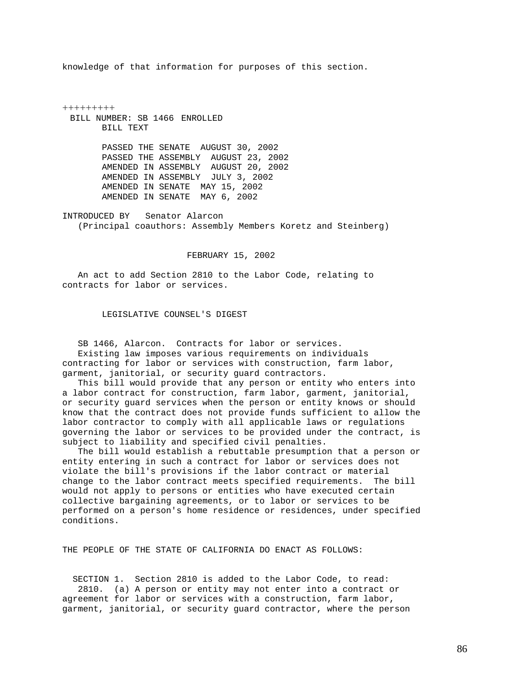knowledge of that information for purposes of this section.

+++++++++ BILL NUMBER: SB 1466 ENROLLED BILL TEXT PASSED THE SENATE AUGUST 30, 2002 PASSED THE ASSEMBLY AUGUST 23, 2002 AMENDED IN ASSEMBLY AUGUST 20, 2002 AMENDED IN ASSEMBLY JULY 3, 2002 AMENDED IN SENATE MAY 15, 2002 AMENDED IN SENATE MAY 6, 2002 INTRODUCED BY Senator Alarcon (Principal coauthors: Assembly Members Koretz and Steinberg)

## FEBRUARY 15, 2002

 An act to add Section 2810 to the Labor Code, relating to contracts for labor or services.

LEGISLATIVE COUNSEL'S DIGEST

 SB 1466, Alarcon. Contracts for labor or services. Existing law imposes various requirements on individuals contracting for labor or services with construction, farm labor, garment, janitorial, or security guard contractors.

 This bill would provide that any person or entity who enters into a labor contract for construction, farm labor, garment, janitorial, or security guard services when the person or entity knows or should know that the contract does not provide funds sufficient to allow the labor contractor to comply with all applicable laws or regulations governing the labor or services to be provided under the contract, is subject to liability and specified civil penalties.

 The bill would establish a rebuttable presumption that a person or entity entering in such a contract for labor or services does not violate the bill's provisions if the labor contract or material change to the labor contract meets specified requirements. The bill would not apply to persons or entities who have executed certain collective bargaining agreements, or to labor or services to be performed on a person's home residence or residences, under specified conditions.

THE PEOPLE OF THE STATE OF CALIFORNIA DO ENACT AS FOLLOWS:

 SECTION 1. Section 2810 is added to the Labor Code, to read: 2810. (a) A person or entity may not enter into a contract or agreement for labor or services with a construction, farm labor, garment, janitorial, or security guard contractor, where the person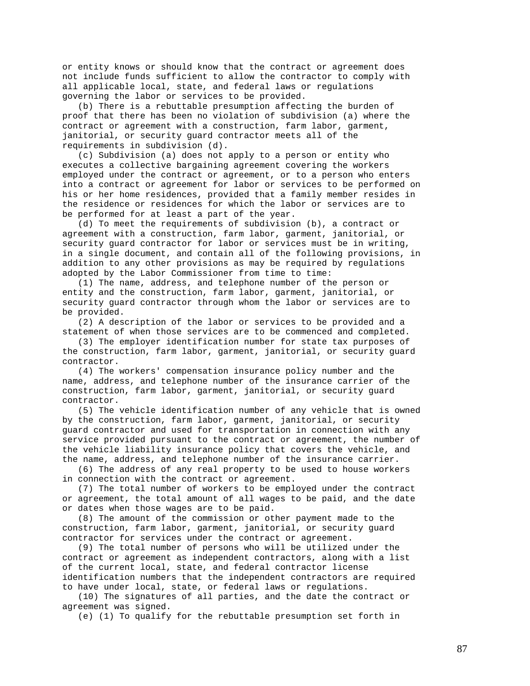or entity knows or should know that the contract or agreement does not include funds sufficient to allow the contractor to comply with all applicable local, state, and federal laws or regulations governing the labor or services to be provided.

 (b) There is a rebuttable presumption affecting the burden of proof that there has been no violation of subdivision (a) where the contract or agreement with a construction, farm labor, garment, janitorial, or security guard contractor meets all of the requirements in subdivision (d).

 (c) Subdivision (a) does not apply to a person or entity who executes a collective bargaining agreement covering the workers employed under the contract or agreement, or to a person who enters into a contract or agreement for labor or services to be performed on his or her home residences, provided that a family member resides in the residence or residences for which the labor or services are to be performed for at least a part of the year.

 (d) To meet the requirements of subdivision (b), a contract or agreement with a construction, farm labor, garment, janitorial, or security guard contractor for labor or services must be in writing, in a single document, and contain all of the following provisions, in addition to any other provisions as may be required by regulations adopted by the Labor Commissioner from time to time:

 (1) The name, address, and telephone number of the person or entity and the construction, farm labor, garment, janitorial, or security guard contractor through whom the labor or services are to be provided.

 (2) A description of the labor or services to be provided and a statement of when those services are to be commenced and completed.

 (3) The employer identification number for state tax purposes of the construction, farm labor, garment, janitorial, or security guard contractor.

 (4) The workers' compensation insurance policy number and the name, address, and telephone number of the insurance carrier of the construction, farm labor, garment, janitorial, or security guard contractor.

 (5) The vehicle identification number of any vehicle that is owned by the construction, farm labor, garment, janitorial, or security guard contractor and used for transportation in connection with any service provided pursuant to the contract or agreement, the number of the vehicle liability insurance policy that covers the vehicle, and the name, address, and telephone number of the insurance carrier.

 (6) The address of any real property to be used to house workers in connection with the contract or agreement.

 (7) The total number of workers to be employed under the contract or agreement, the total amount of all wages to be paid, and the date or dates when those wages are to be paid.

 (8) The amount of the commission or other payment made to the construction, farm labor, garment, janitorial, or security guard contractor for services under the contract or agreement.

 (9) The total number of persons who will be utilized under the contract or agreement as independent contractors, along with a list of the current local, state, and federal contractor license identification numbers that the independent contractors are required to have under local, state, or federal laws or regulations.

 (10) The signatures of all parties, and the date the contract or agreement was signed.

(e) (1) To qualify for the rebuttable presumption set forth in